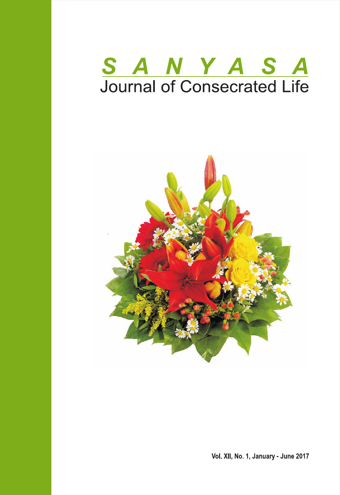

Vol. XII, No. 1, January - June 2017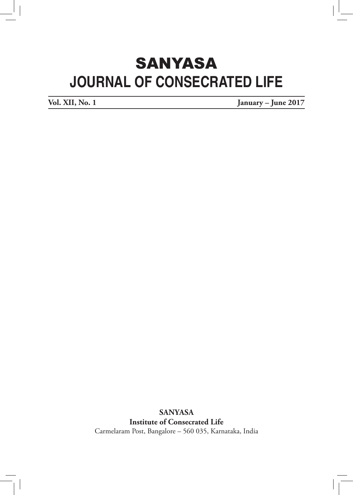## SANYASA **JOURNAL OF CONSECRATED LIFE**

**Vol. XII, No. 1 January – June 2017**

#### **Sanyasa Institute of Consecrated Life** Carmelaram Post, Bangalore – 560 035, Karnataka, India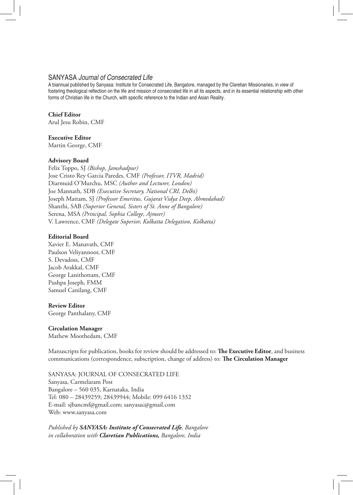#### Sanyasa *Journal of Consecrated Life*

A biannual published by Sanyasa: Institute for Consecrated Life, Bangalore, managed by the Claretian Missionaries, in view of fostering theological reflection on the life and mission of consecrated life in all its aspects, and in its essential relationship with other forms of Christian life in the Church, with specific reference to the Indian and Asian Reality.

#### **Chief Editor**

Arul Jesu Robin, CMF

#### **Executive Editor**

Martin George, CMF

#### **Advisory Board**

Felix Toppo, SJ *(Bishop, Jamshadpur)* Jose Cristo Rey Garcia Paredes, CMF *(Professor, ITVR, Madrid)* Diarmuid O'Murchu, MSC *(Author and Lecturer, London)* Joe Mannath, SDB *(Executive Secretary, National CRI, Delhi)* Joseph Mattam, SJ *(Professor Emeritus, Gujarat Vidya Deep, Ahmedabad)* Shanthi, SAB *(Superior General, Sisters of St. Anne of Bangalore)* Serena, MSA *(Principal, Sophia College, Ajmeer)* V. Lawrence, CMF *(Delegate Superior, Kolkatta Delegation, Kolkatta)*

#### **Editorial Board**

Xavier E. Manavath, CMF Paulson Veliyannoor, CMF S. Devadoss, CMF Jacob Arakkal, CMF George Lanithottam, CMF Pushpa Joseph, FMM Samuel Canilang, CMF

#### **Review Editor**

George Panthalany, CMF

#### **Circulation Manager**

Mathew Moothedam, CMF

Manuscripts for publication, books for review should be addressed to: **The Executive Editor**, and business communications (correspondence, subscription, change of address) to: **The Circulation Manager**

SANYASA: JOURNAL OF CONSECRATED LIFE Sanyasa, Carmelaram Post Bangalore – 560 035, Karnataka, India Tel: 080 – 28439259; 28439944; Mobile: 099 6416 1332 E-mail: sjbancmf@gmail.com; sanyasac@gmail.com Web: www.sanyasa.com

*Published by SANYASA: Institute of Consecrated Life, Bangalore in collaboration with Claretian Publications, Bangalore, India*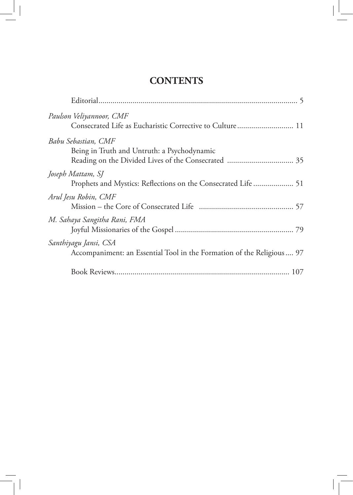## **CONTENTS**

| Paulson Veliyannoor, CMF<br>Consecrated Life as Eucharistic Corrective to Culture 11           |
|------------------------------------------------------------------------------------------------|
| Babu Sebastian, CMF<br>Being in Truth and Untruth: a Psychodynamic                             |
| Joseph Mattam, SJ<br>Prophets and Mystics: Reflections on the Consecrated Life  51             |
| Arul Jesu Robin, CMF                                                                           |
| M. Sahaya Sangitha Rani, FMA                                                                   |
| Santhiyagu Jansi, CSA<br>Accompaniment: an Essential Tool in the Formation of the Religious 97 |
|                                                                                                |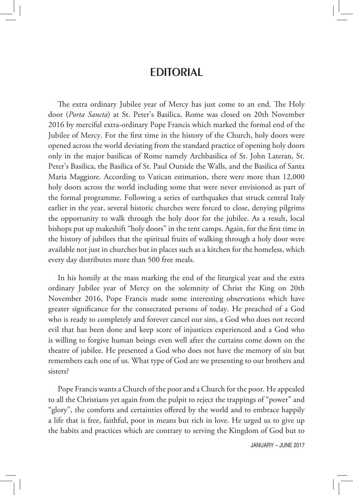## Editorial

The extra ordinary Jubilee year of Mercy has just come to an end. The Holy door (*Porta Sancta*) at St. Peter's Basilica, Rome was closed on 20th November 2016 by merciful extra-ordinary Pope Francis which marked the formal end of the Jubilee of Mercy. For the first time in the history of the Church, holy doors were opened across the world deviating from the standard practice of opening holy doors only in the major basilicas of Rome namely Archbasilica of St. John Lateran, St. Peter's Basilica, the Basilica of St. Paul Outside the Walls, and the Basilica of Santa Maria Maggiore. According to Vatican estimation, there were more than 12,000 holy doors across the world including some that were never envisioned as part of the formal programme. Following a series of earthquakes that struck central Italy earlier in the year, several historic churches were forced to close, denying pilgrims the opportunity to walk through the holy door for the jubilee. As a result, local bishops put up makeshift "holy doors" in the tent camps. Again, for the first time in the history of jubilees that the spiritual fruits of walking through a holy door were available not just in churches but in places such as a kitchen for the homeless, which every day distributes more than 500 free meals.

In his homily at the mass marking the end of the liturgical year and the extra ordinary Jubilee year of Mercy on the solemnity of Christ the King on 20th November 2016, Pope Francis made some interesting observations which have greater significance for the consecrated persons of today. He preached of a God who is ready to completely and forever cancel our sins, a God who does not record evil that has been done and keep score of injustices experienced and a God who is willing to forgive human beings even well after the curtains come down on the theatre of jubilee. He presented a God who does not have the memory of sin but remembers each one of us. What type of God are we presenting to our brothers and sisters?

Pope Francis wants a Church of the poor and a Church for the poor. He appealed to all the Christians yet again from the pulpit to reject the trappings of "power" and "glory", the comforts and certainties offered by the world and to embrace happily a life that is free, faithful, poor in means but rich in love. He urged us to give up the habits and practices which are contrary to serving the Kingdom of God but to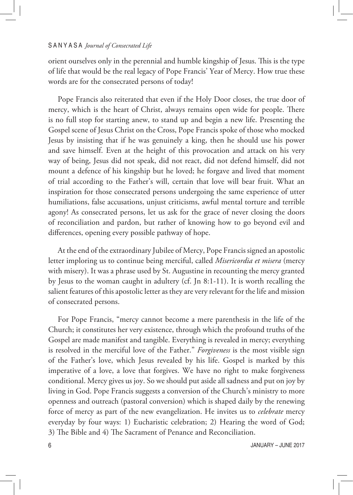orient ourselves only in the perennial and humble kingship of Jesus. This is the type of life that would be the real legacy of Pope Francis' Year of Mercy. How true these words are for the consecrated persons of today!

Pope Francis also reiterated that even if the Holy Door closes, the true door of mercy, which is the heart of Christ, always remains open wide for people. There is no full stop for starting anew, to stand up and begin a new life. Presenting the Gospel scene of Jesus Christ on the Cross, Pope Francis spoke of those who mocked Jesus by insisting that if he was genuinely a king, then he should use his power and save himself. Even at the height of this provocation and attack on his very way of being, Jesus did not speak, did not react, did not defend himself, did not mount a defence of his kingship but he loved; he forgave and lived that moment of trial according to the Father's will, certain that love will bear fruit. What an inspiration for those consecrated persons undergoing the same experience of utter humiliations, false accusations, unjust criticisms, awful mental torture and terrible agony! As consecrated persons, let us ask for the grace of never closing the doors of reconciliation and pardon, but rather of knowing how to go beyond evil and differences, opening every possible pathway of hope.

At the end of the extraordinary Jubilee of Mercy, Pope Francis signed an apostolic letter imploring us to continue being merciful, called *Misericordia et misera* (mercy with misery). It was a phrase used by St. Augustine in recounting the mercy granted by Jesus to the woman caught in adultery (cf. Jn 8:1-11). It is worth recalling the salient features of this apostolic letter as they are very relevant for the life and mission of consecrated persons.

For Pope Francis, "mercy cannot become a mere parenthesis in the life of the Church; it constitutes her very existence, through which the profound truths of the Gospel are made manifest and tangible. Everything is revealed in mercy; everything is resolved in the merciful love of the Father." *Forgiveness* is the most visible sign of the Father's love, which Jesus revealed by his life. Gospel is marked by this imperative of a love, a love that forgives. We have no right to make forgiveness conditional. Mercy gives us joy. So we should put aside all sadness and put on joy by living in God. Pope Francis suggests a conversion of the Church's ministry to more openness and outreach (pastoral conversion) which is shaped daily by the renewing force of mercy as part of the new evangelization. He invites us to *celebrate* mercy everyday by four ways: 1) Eucharistic celebration; 2) Hearing the word of God; 3) The Bible and 4) The Sacrament of Penance and Reconciliation.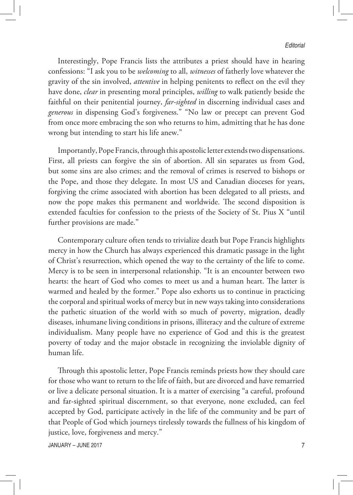Interestingly, Pope Francis lists the attributes a priest should have in hearing confessions: "I ask you to be *welcoming* to all, *witnesses* of fatherly love whatever the gravity of the sin involved, *attentive* in helping penitents to reflect on the evil they have done, *clear* in presenting moral principles, *willing* to walk patiently beside the faithful on their penitential journey, *far-sighted* in discerning individual cases and *generous* in dispensing God's forgiveness." "No law or precept can prevent God from once more embracing the son who returns to him, admitting that he has done wrong but intending to start his life anew."

Importantly, Pope Francis, through this apostolic letter extends two dispensations. First, all priests can forgive the sin of abortion. All sin separates us from God, but some sins are also crimes; and the removal of crimes is reserved to bishops or the Pope, and those they delegate. In most US and Canadian dioceses for years, forgiving the crime associated with abortion has been delegated to all priests, and now the pope makes this permanent and worldwide. The second disposition is extended faculties for confession to the priests of the Society of St. Pius X "until further provisions are made."

Contemporary culture often tends to trivialize death but Pope Francis highlights mercy in how the Church has always experienced this dramatic passage in the light of Christ's resurrection, which opened the way to the certainty of the life to come. Mercy is to be seen in interpersonal relationship. "It is an encounter between two hearts: the heart of God who comes to meet us and a human heart. The latter is warmed and healed by the former." Pope also exhorts us to continue in practicing the corporal and spiritual works of mercy but in new ways taking into considerations the pathetic situation of the world with so much of poverty, migration, deadly diseases, inhumane living conditions in prisons, illiteracy and the culture of extreme individualism. Many people have no experience of God and this is the greatest poverty of today and the major obstacle in recognizing the inviolable dignity of human life.

Through this apostolic letter, Pope Francis reminds priests how they should care for those who want to return to the life of faith, but are divorced and have remarried or live a delicate personal situation. It is a matter of exercising "a careful, profound and far-sighted spiritual discernment, so that everyone, none excluded, can feel accepted by God, participate actively in the life of the community and be part of that People of God which journeys tirelessly towards the fullness of his kingdom of justice, love, forgiveness and mercy."

JANUARY – JUNE 2017 7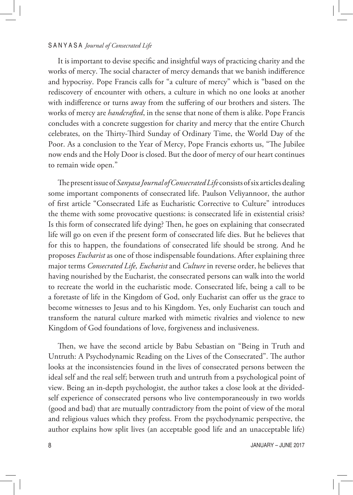It is important to devise specific and insightful ways of practicing charity and the works of mercy. The social character of mercy demands that we banish indifference and hypocrisy. Pope Francis calls for "a culture of mercy" which is "based on the rediscovery of encounter with others, a culture in which no one looks at another with indifference or turns away from the suffering of our brothers and sisters. The works of mercy are *handcrafted*, in the sense that none of them is alike. Pope Francis concludes with a concrete suggestion for charity and mercy that the entire Church celebrates, on the Thirty-Third Sunday of Ordinary Time, the World Day of the Poor. As a conclusion to the Year of Mercy, Pope Francis exhorts us, "The Jubilee now ends and the Holy Door is closed. But the door of mercy of our heart continues to remain wide open."

The present issue of *Sanyasa Journal of Consecrated Life* consists of six articles dealing some important components of consecrated life. Paulson Veliyannoor, the author of first article "Consecrated Life as Eucharistic Corrective to Culture" introduces the theme with some provocative questions: is consecrated life in existential crisis? Is this form of consecrated life dying? Then, he goes on explaining that consecrated life will go on even if the present form of consecrated life dies. But he believes that for this to happen, the foundations of consecrated life should be strong. And he proposes *Eucharist* as one of those indispensable foundations. After explaining three major terms *Consecrated Life, Eucharist* and *Culture* in reverse order, he believes that having nourished by the Eucharist, the consecrated persons can walk into the world to recreate the world in the eucharistic mode. Consecrated life, being a call to be a foretaste of life in the Kingdom of God, only Eucharist can offer us the grace to become witnesses to Jesus and to his Kingdom. Yes, only Eucharist can touch and transform the natural culture marked with mimetic rivalries and violence to new Kingdom of God foundations of love, forgiveness and inclusiveness.

Then, we have the second article by Babu Sebastian on "Being in Truth and Untruth: A Psychodynamic Reading on the Lives of the Consecrated". The author looks at the inconsistencies found in the lives of consecrated persons between the ideal self and the real self; between truth and untruth from a psychological point of view. Being an in-depth psychologist, the author takes a close look at the dividedself experience of consecrated persons who live contemporaneously in two worlds (good and bad) that are mutually contradictory from the point of view of the moral and religious values which they profess. From the psychodynamic perspective, the author explains how split lives (an acceptable good life and an unacceptable life)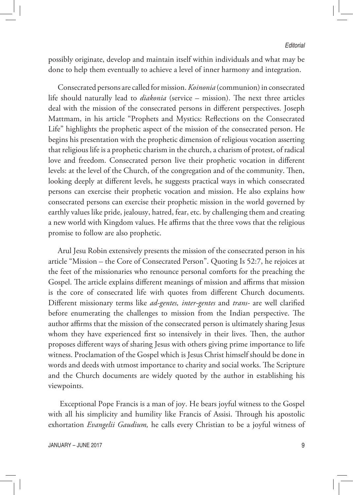possibly originate, develop and maintain itself within individuals and what may be done to help them eventually to achieve a level of inner harmony and integration.

Consecrated persons are called for mission. *Koinonia* (communion) in consecrated life should naturally lead to *diakonia* (service – mission). The next three articles deal with the mission of the consecrated persons in different perspectives. Joseph Mattmam, in his article "Prophets and Mystics: Reflections on the Consecrated Life" highlights the prophetic aspect of the mission of the consecrated person. He begins his presentation with the prophetic dimension of religious vocation asserting that religious life is a prophetic charism in the church, a charism of protest, of radical love and freedom. Consecrated person live their prophetic vocation in different levels: at the level of the Church, of the congregation and of the community. Then, looking deeply at different levels, he suggests practical ways in which consecrated persons can exercise their prophetic vocation and mission. He also explains how consecrated persons can exercise their prophetic mission in the world governed by earthly values like pride, jealousy, hatred, fear, etc. by challenging them and creating a new world with Kingdom values. He affirms that the three vows that the religious promise to follow are also prophetic.

Arul Jesu Robin extensively presents the mission of the consecrated person in his article "Mission – the Core of Consecrated Person". Quoting Is 52:7, he rejoices at the feet of the missionaries who renounce personal comforts for the preaching the Gospel. The article explains different meanings of mission and affirms that mission is the core of consecrated life with quotes from different Church documents. Different missionary terms like *ad-gentes, inter-gentes* and *trans-* are well clarified before enumerating the challenges to mission from the Indian perspective. The author affirms that the mission of the consecrated person is ultimately sharing Jesus whom they have experienced first so intensively in their lives. Then, the author proposes different ways of sharing Jesus with others giving prime importance to life witness. Proclamation of the Gospel which is Jesus Christ himself should be done in words and deeds with utmost importance to charity and social works. The Scripture and the Church documents are widely quoted by the author in establishing his viewpoints.

 Exceptional Pope Francis is a man of joy. He bears joyful witness to the Gospel with all his simplicity and humility like Francis of Assisi. Through his apostolic exhortation *Evangelii Gaudium,* he calls every Christian to be a joyful witness of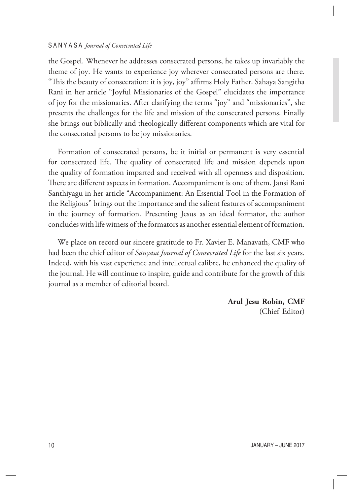the Gospel. Whenever he addresses consecrated persons, he takes up invariably the theme of joy. He wants to experience joy wherever consecrated persons are there. "This the beauty of consecration: it is joy, joy" affirms Holy Father. Sahaya Sangitha Rani in her article "Joyful Missionaries of the Gospel" elucidates the importance of joy for the missionaries. After clarifying the terms "joy" and "missionaries", she presents the challenges for the life and mission of the consecrated persons. Finally she brings out biblically and theologically different components which are vital for the consecrated persons to be joy missionaries.

Formation of consecrated persons, be it initial or permanent is very essential for consecrated life. The quality of consecrated life and mission depends upon the quality of formation imparted and received with all openness and disposition. There are different aspects in formation. Accompaniment is one of them. Jansi Rani Santhiyagu in her article "Accompaniment: An Essential Tool in the Formation of the Religious" brings out the importance and the salient features of accompaniment in the journey of formation. Presenting Jesus as an ideal formator, the author concludes with life witness of the formators as another essential element of formation.

We place on record our sincere gratitude to Fr. Xavier E. Manavath, CMF who had been the chief editor of *Sanyasa Journal of Consecrated Life* for the last six years. Indeed, with his vast experience and intellectual calibre, he enhanced the quality of the journal. He will continue to inspire, guide and contribute for the growth of this journal as a member of editorial board.

> **Arul Jesu Robin, CMF** (Chief Editor)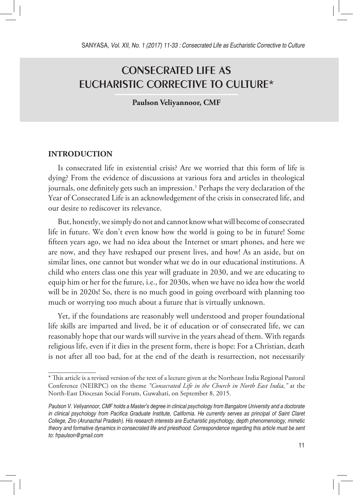## CONSECRATED LIFE AS EUCHARISTIC CORRECTIVE TO CULTURE\*

#### **Paulson Veliyannoor, CMF**

#### **INTRODUCTION**

Is consecrated life in existential crisis? Are we worried that this form of life is dying? From the evidence of discussions at various fora and articles in theological journals, one definitely gets such an impression.1 Perhaps the very declaration of the Year of Consecrated Life is an acknowledgement of the crisis in consecrated life, and our desire to rediscover its relevance.

But, honestly, we simply do not and cannot know what will become of consecrated life in future. We don't even know how the world is going to be in future! Some fifteen years ago, we had no idea about the Internet or smart phones, and here we are now, and they have reshaped our present lives, and how! As an aside, but on similar lines, one cannot but wonder what we do in our educational institutions. A child who enters class one this year will graduate in 2030, and we are educating to equip him or her for the future, i.e., for 2030s, when we have no idea how the world will be in 2020s! So, there is no much good in going overboard with planning too much or worrying too much about a future that is virtually unknown.

Yet, if the foundations are reasonably well understood and proper foundational life skills are imparted and lived, be it of education or of consecrated life, we can reasonably hope that our wards will survive in the years ahead of them. With regards religious life, even if it dies in the present form, there is hope: For a Christian, death is not after all too bad, for at the end of the death is resurrection, not necessarily

<sup>\*</sup> This article is a revised version of the text of a lecture given at the Northeast India Regional Pastoral Conference (NEIRPC) on the theme *"Consecrated Life in the Church in North East India,"* at the North-East Diocesan Social Forum, Guwahati, on September 8, 2015.

Paulson V. Veliyannoor, CMF holds a Master's degree in clinical psychology from Bangalore University and a doctorate in clinical psychology from Pacifica Graduate Institute, California. He currently serves as principal of Saint Claret College, Ziro (Arunachal Pradesh). His research interests are Eucharistic psychology, depth phenomenology, mimetic theory and formative dynamics in consecrated life and priesthood. Correspondence regarding this article must be sent *to: frpaulson@gmail.com*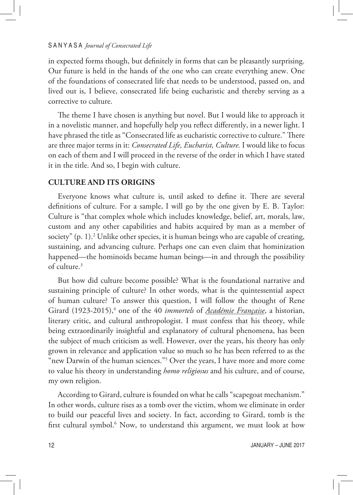in expected forms though, but definitely in forms that can be pleasantly surprising. Our future is held in the hands of the one who can create everything anew. One of the foundations of consecrated life that needs to be understood, passed on, and lived out is, I believe, consecrated life being eucharistic and thereby serving as a corrective to culture.

The theme I have chosen is anything but novel. But I would like to approach it in a novelistic manner, and hopefully help you reflect differently, in a newer light. I have phrased the title as "Consecrated life as eucharistic corrective to culture." There are three major terms in it: *Consecrated Life, Eucharist, Culture.* I would like to focus on each of them and I will proceed in the reverse of the order in which I have stated it in the title. And so, I begin with culture.

#### **CULTURE AND ITS ORIGINS**

Everyone knows what culture is, until asked to define it. There are several definitions of culture. For a sample, I will go by the one given by E. B. Taylor: Culture is "that complex whole which includes knowledge, belief, art, morals, law, custom and any other capabilities and habits acquired by man as a member of society" (p. 1).<sup>2</sup> Unlike other species, it is human beings who are capable of creating, sustaining, and advancing culture. Perhaps one can even claim that hominization happened—the hominoids became human beings—in and through the possibility of culture.3

But how did culture become possible? What is the foundational narrative and sustaining principle of culture? In other words, what is the quintessential aspect of human culture? To answer this question, I will follow the thought of Rene Girard (1923-2015),<sup>4</sup> one of the 40 *immortels* of *<u>Académie Française</u>*, a historian, literary critic, and cultural anthropologist. I must confess that his theory, while being extraordinarily insightful and explanatory of cultural phenomena, has been the subject of much criticism as well. However, over the years, his theory has only grown in relevance and application value so much so he has been referred to as the "new Darwin of the human sciences."5 Over the years, I have more and more come to value his theory in understanding *homo religiosus* and his culture, and of course, my own religion.

According to Girard, culture is founded on what he calls "scapegoat mechanism." In other words, culture rises as a tomb over the victim, whom we eliminate in order to build our peaceful lives and society. In fact, according to Girard, tomb is the first cultural symbol.<sup>6</sup> Now, to understand this argument, we must look at how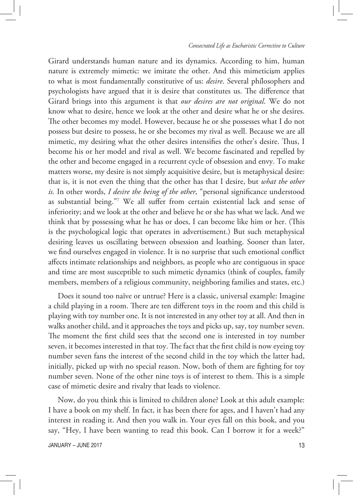Girard understands human nature and its dynamics. According to him, human nature is extremely mimetic: we imitate the other. And this mimeticism applies to what is most fundamentally constitutive of us: *desire*. Several philosophers and psychologists have argued that it is desire that constitutes us. The difference that Girard brings into this argument is that *our desires are not original*. We do not know what to desire, hence we look at the other and desire what he or she desires. The other becomes my model. However, because he or she possesses what I do not possess but desire to possess, he or she becomes my rival as well. Because we are all mimetic, my desiring what the other desires intensifies the other's desire. Thus, I become his or her model and rival as well. We become fascinated and repelled by the other and become engaged in a recurrent cycle of obsession and envy. To make matters worse, my desire is not simply acquisitive desire, but is metaphysical desire: that is, it is not even the thing that the other has that I desire, but *what the other is.* In other words, *I desire the being of the other*, "personal significance understood as substantial being."7 We all suffer from certain existential lack and sense of inferiority; and we look at the other and believe he or she has what we lack. And we think that by possessing what he has or does, I can become like him or her. (This is the psychological logic that operates in advertisement.) But such metaphysical desiring leaves us oscillating between obsession and loathing. Sooner than later, we find ourselves engaged in violence. It is no surprise that such emotional conflict affects intimate relationships and neighbors, as people who are contiguous in space and time are most susceptible to such mimetic dynamics (think of couples, family members, members of a religious community, neighboring families and states, etc.)

Does it sound too naïve or untrue? Here is a classic, universal example: Imagine a child playing in a room. There are ten different toys in the room and this child is playing with toy number one. It is not interested in any other toy at all. And then in walks another child, and it approaches the toys and picks up, say, toy number seven. The moment the first child sees that the second one is interested in toy number seven, it becomes interested in that toy. The fact that the first child is now eyeing toy number seven fans the interest of the second child in the toy which the latter had, initially, picked up with no special reason. Now, both of them are fighting for toy number seven. None of the other nine toys is of interest to them. This is a simple case of mimetic desire and rivalry that leads to violence.

Now, do you think this is limited to children alone? Look at this adult example: I have a book on my shelf. In fact, it has been there for ages, and I haven't had any interest in reading it. And then you walk in. Your eyes fall on this book, and you say, "Hey, I have been wanting to read this book. Can I borrow it for a week?"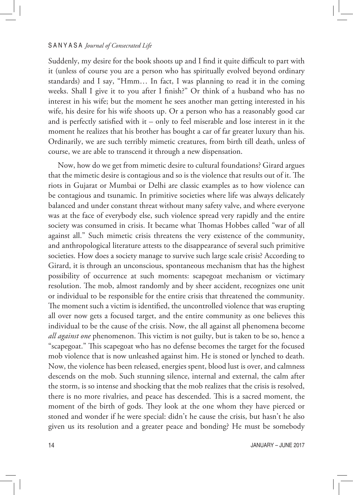Suddenly, my desire for the book shoots up and I find it quite difficult to part with it (unless of course you are a person who has spiritually evolved beyond ordinary standards) and I say, "Hmm… In fact, I was planning to read it in the coming weeks. Shall I give it to you after I finish?" Or think of a husband who has no interest in his wife; but the moment he sees another man getting interested in his wife, his desire for his wife shoots up. Or a person who has a reasonably good car and is perfectly satisfied with it – only to feel miserable and lose interest in it the moment he realizes that his brother has bought a car of far greater luxury than his. Ordinarily, we are such terribly mimetic creatures, from birth till death, unless of course, we are able to transcend it through a new dispensation.

Now, how do we get from mimetic desire to cultural foundations? Girard argues that the mimetic desire is contagious and so is the violence that results out of it. The riots in Gujarat or Mumbai or Delhi are classic examples as to how violence can be contagious and tsunamic. In primitive societies where life was always delicately balanced and under constant threat without many safety valve, and where everyone was at the face of everybody else, such violence spread very rapidly and the entire society was consumed in crisis. It became what Thomas Hobbes called "war of all against all." Such mimetic crisis threatens the very existence of the community, and anthropological literature attests to the disappearance of several such primitive societies. How does a society manage to survive such large scale crisis? According to Girard, it is through an unconscious, spontaneous mechanism that has the highest possibility of occurrence at such moments: scapegoat mechanism or victimary resolution. The mob, almost randomly and by sheer accident, recognizes one unit or individual to be responsible for the entire crisis that threatened the community. The moment such a victim is identified, the uncontrolled violence that was erupting all over now gets a focused target, and the entire community as one believes this individual to be the cause of the crisis. Now, the all against all phenomena become *all against one* phenomenon. This victim is not guilty, but is taken to be so, hence a "scapegoat." This scapegoat who has no defense becomes the target for the focused mob violence that is now unleashed against him. He is stoned or lynched to death. Now, the violence has been released, energies spent, blood lust is over, and calmness descends on the mob. Such stunning silence, internal and external, the calm after the storm, is so intense and shocking that the mob realizes that the crisis is resolved, there is no more rivalries, and peace has descended. This is a sacred moment, the moment of the birth of gods. They look at the one whom they have pierced or stoned and wonder if he were special: didn't he cause the crisis, but hasn't he also given us its resolution and a greater peace and bonding? He must be somebody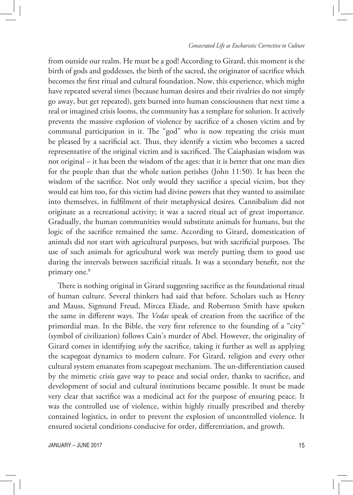from outside our realm. He must be a god! According to Girard, this moment is the birth of gods and goddesses, the birth of the sacred, the originator of sacrifice which becomes the first ritual and cultural foundation. Now, this experience, which might have repeated several times (because human desires and their rivalries do not simply go away, but get repeated), gets burned into human consciousness that next time a real or imagined crisis looms, the community has a template for solution. It actively prevents the massive explosion of violence by sacrifice of a chosen victim and by communal participation in it. The "god" who is now repeating the crisis must be pleased by a sacrificial act. Thus, they identify a victim who becomes a sacred representative of the original victim and is sacrificed. The Caiaphasian wisdom was not original – it has been the wisdom of the ages: that it is better that one man dies for the people than that the whole nation perishes (John 11:50). It has been the wisdom of the sacrifice. Not only would they sacrifice a special victim, but they would eat him too, for this victim had divine powers that they wanted to assimilate into themselves, in fulfilment of their metaphysical desires. Cannibalism did not originate as a recreational activity; it was a sacred ritual act of great importance. Gradually, the human communities would substitute animals for humans, but the logic of the sacrifice remained the same. According to Girard, domestication of animals did not start with agricultural purposes, but with sacrificial purposes. The use of such animals for agricultural work was merely putting them to good use during the intervals between sacrificial rituals. It was a secondary benefit, not the primary one.<sup>8</sup>

There is nothing original in Girard suggesting sacrifice as the foundational ritual of human culture. Several thinkers had said that before. Scholars such as Henry and Mauss, Sigmund Freud, Mircea Eliade, and Robertson Smith have spoken the same in different ways. The *Vedas* speak of creation from the sacrifice of the primordial man. In the Bible, the very first reference to the founding of a "city" (symbol of civilization) follows Cain's murder of Abel. However, the originality of Girard comes in identifying *why* the sacrifice, taking it further as well as applying the scapegoat dynamics to modern culture. For Girard, religion and every other cultural system emanates from scapegoat mechanism. The un-differentiation caused by the mimetic crisis gave way to peace and social order, thanks to sacrifice, and development of social and cultural institutions became possible. It must be made very clear that sacrifice was a medicinal act for the purpose of ensuring peace. It was the controlled use of violence, within highly ritually prescribed and thereby contained logistics, in order to prevent the explosion of uncontrolled violence. It ensured societal conditions conducive for order, differentiation, and growth.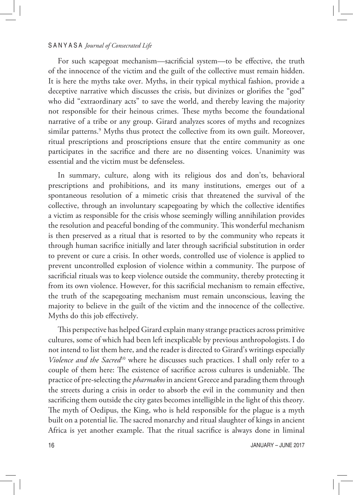For such scapegoat mechanism—sacrificial system—to be effective, the truth of the innocence of the victim and the guilt of the collective must remain hidden. It is here the myths take over. Myths, in their typical mythical fashion, provide a deceptive narrative which discusses the crisis, but divinizes or glorifies the "god" who did "extraordinary acts" to save the world, and thereby leaving the majority not responsible for their heinous crimes. These myths become the foundational narrative of a tribe or any group. Girard analyzes scores of myths and recognizes similar patterns.<sup>9</sup> Myths thus protect the collective from its own guilt. Moreover, ritual prescriptions and proscriptions ensure that the entire community as one participates in the sacrifice and there are no dissenting voices. Unanimity was essential and the victim must be defenseless.

In summary, culture, along with its religious dos and don'ts, behavioral prescriptions and prohibitions, and its many institutions, emerges out of a spontaneous resolution of a mimetic crisis that threatened the survival of the collective, through an involuntary scapegoating by which the collective identifies a victim as responsible for the crisis whose seemingly willing annihilation provides the resolution and peaceful bonding of the community. This wonderful mechanism is then preserved as a ritual that is resorted to by the community who repeats it through human sacrifice initially and later through sacrificial substitution in order to prevent or cure a crisis. In other words, controlled use of violence is applied to prevent uncontrolled explosion of violence within a community. The purpose of sacrificial rituals was to keep violence outside the community, thereby protecting it from its own violence. However, for this sacrificial mechanism to remain effective, the truth of the scapegoating mechanism must remain unconscious, leaving the majority to believe in the guilt of the victim and the innocence of the collective. Myths do this job effectively.

This perspective has helped Girard explain many strange practices across primitive cultures, some of which had been left inexplicable by previous anthropologists. I do not intend to list them here, and the reader is directed to Girard's writings especially *Violence and the Sacred*10 where he discusses such practices. I shall only refer to a couple of them here: The existence of sacrifice across cultures is undeniable. The practice of pre-selecting the *pharmakos* in ancient Greece and parading them through the streets during a crisis in order to absorb the evil in the community and then sacrificing them outside the city gates becomes intelligible in the light of this theory. The myth of Oedipus, the King, who is held responsible for the plague is a myth built on a potential lie. The sacred monarchy and ritual slaughter of kings in ancient Africa is yet another example. That the ritual sacrifice is always done in liminal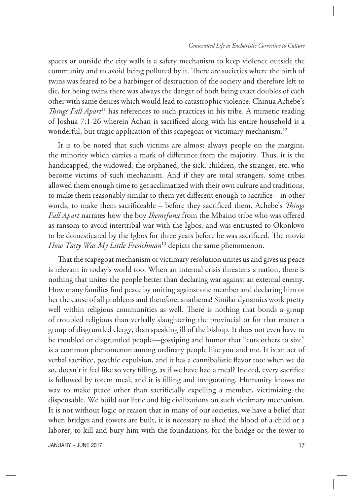spaces or outside the city walls is a safety mechanism to keep violence outside the community and to avoid being polluted by it. There are societies where the birth of twins was feared to be a harbinger of destruction of the society and therefore left to die, for being twins there was always the danger of both being exact doubles of each other with same desires which would lead to catastrophic violence. Chinua Achebe's *Things Fall Apart*<sup>11</sup> has references to such practices in his tribe. A mimetic reading of Joshua 7:1-26 wherein Achan is sacrificed along with his entire household is a wonderful, but tragic application of this scapegoat or victimary mechanism.<sup>12</sup>

It is to be noted that such victims are almost always people on the margins, the minority which carries a mark of difference from the majority. Thus, it is the handicapped, the widowed, the orphaned, the sick, children, the stranger, etc. who become victims of such mechanism. And if they are total strangers, some tribes allowed them enough time to get acclimatized with their own culture and traditions, to make them reasonably similar to them yet different enough to sacrifice – in other words, to make them sacrificeable – before they sacrificed them. Achebe's *Things Fall Apart* narrates how the boy *Ikemefuna* from the Mbaino tribe who was offered as ransom to avoid intertribal war with the Igbos, and was entrusted to Okonkwo to be domesticated by the Igbos for three years before he was sacrificed. The movie *How Tasty Was My Little Frenchman*13 depicts the same phenomenon.

That the scapegoat mechanism or victimary resolution unites us and gives us peace is relevant in today's world too. When an internal crisis threatens a nation, there is nothing that unites the people better than declaring war against an external enemy. How many families find peace by uniting against one member and declaring him or her the cause of all problems and therefore, anathema! Similar dynamics work pretty well within religious communities as well. There is nothing that bonds a group of troubled religious than verbally slaughtering the provincial or for that matter a group of disgruntled clergy, than speaking ill of the bishop. It does not even have to be troubled or disgruntled people—gossiping and humor that "cuts others to size" is a common phenomenon among ordinary people like you and me. It is an act of verbal sacrifice, psychic expulsion, and it has a cannibalistic flavor too: when we do so, doesn't it feel like so very filling, as if we have had a meal? Indeed, every sacrifice is followed by totem meal, and it is filling and invigorating. Humanity knows no way to make peace other than sacrificially expelling a member, victimizing the dispensable. We build our little and big civilizations on such victimary mechanism. It is not without logic or reason that in many of our societies, we have a belief that when bridges and towers are built, it is necessary to shed the blood of a child or a laborer, to kill and bury him with the foundations, for the bridge or the tower to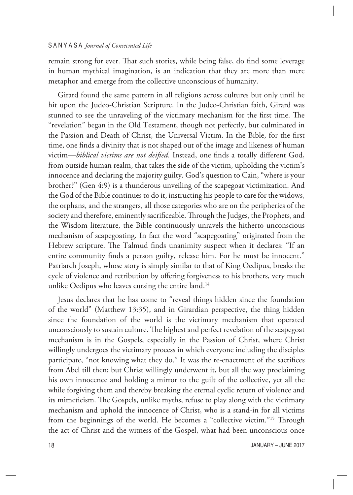remain strong for ever. That such stories, while being false, do find some leverage in human mythical imagination, is an indication that they are more than mere metaphor and emerge from the collective unconscious of humanity.

Girard found the same pattern in all religions across cultures but only until he hit upon the Judeo-Christian Scripture. In the Judeo-Christian faith, Girard was stunned to see the unraveling of the victimary mechanism for the first time. The "revelation" began in the Old Testament, though not perfectly, but culminated in the Passion and Death of Christ, the Universal Victim. In the Bible, for the first time, one finds a divinity that is not shaped out of the image and likeness of human victim—*biblical victims are not deified*. Instead, one finds a totally different God, from outside human realm, that takes the side of the victim, upholding the victim's innocence and declaring the majority guilty. God's question to Cain, "where is your brother?" (Gen 4:9) is a thunderous unveiling of the scapegoat victimization. And the God of the Bible continues to do it, instructing his people to care for the widows, the orphans, and the strangers, all those categories who are on the peripheries of the society and therefore, eminently sacrificeable. Through the Judges, the Prophets, and the Wisdom literature, the Bible continuously unravels the hitherto unconscious mechanism of scapegoating. In fact the word "scapegoating" originated from the Hebrew scripture. The Talmud finds unanimity suspect when it declares: "If an entire community finds a person guilty, release him. For he must be innocent." Patriarch Joseph, whose story is simply similar to that of King Oedipus, breaks the cycle of violence and retribution by offering forgiveness to his brothers, very much unlike Oedipus who leaves cursing the entire land.<sup>14</sup>

Jesus declares that he has come to "reveal things hidden since the foundation of the world" (Matthew 13:35), and in Girardian perspective, the thing hidden since the foundation of the world is the victimary mechanism that operated unconsciously to sustain culture. The highest and perfect revelation of the scapegoat mechanism is in the Gospels, especially in the Passion of Christ, where Christ willingly undergoes the victimary process in which everyone including the disciples participate, "not knowing what they do." It was the re-enactment of the sacrifices from Abel till then; but Christ willingly underwent it, but all the way proclaiming his own innocence and holding a mirror to the guilt of the collective, yet all the while forgiving them and thereby breaking the eternal cyclic return of violence and its mimeticism. The Gospels, unlike myths, refuse to play along with the victimary mechanism and uphold the innocence of Christ, who is a stand-in for all victims from the beginnings of the world. He becomes a "collective victim."15 Through the act of Christ and the witness of the Gospel, what had been unconscious once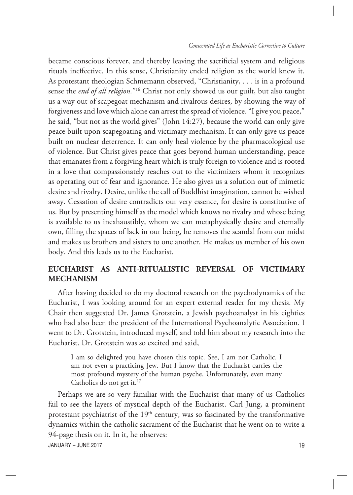became conscious forever, and thereby leaving the sacrificial system and religious rituals ineffective. In this sense, Christianity ended religion as the world knew it. As protestant theologian Schmemann observed, "Christianity, . . . is in a profound sense the *end of all religion.*"16 Christ not only showed us our guilt, but also taught us a way out of scapegoat mechanism and rivalrous desires, by showing the way of forgiveness and love which alone can arrest the spread of violence. "I give you peace," he said, "but not as the world gives" (John 14:27), because the world can only give peace built upon scapegoating and victimary mechanism. It can only give us peace built on nuclear deterrence. It can only heal violence by the pharmacological use of violence. But Christ gives peace that goes beyond human understanding, peace that emanates from a forgiving heart which is truly foreign to violence and is rooted in a love that compassionately reaches out to the victimizers whom it recognizes as operating out of fear and ignorance. He also gives us a solution out of mimetic desire and rivalry. Desire, unlike the call of Buddhist imagination, cannot be wished away. Cessation of desire contradicts our very essence, for desire is constitutive of us. But by presenting himself as the model which knows no rivalry and whose being is available to us inexhaustibly, whom we can metaphysically desire and eternally own, filling the spaces of lack in our being, he removes the scandal from our midst and makes us brothers and sisters to one another. He makes us member of his own body. And this leads us to the Eucharist.

#### **EUCHARIST AS ANTI-RITUALISTIC REVERSAL OF VICTIMARY MECHANISM**

After having decided to do my doctoral research on the psychodynamics of the Eucharist, I was looking around for an expert external reader for my thesis. My Chair then suggested Dr. James Grotstein, a Jewish psychoanalyst in his eighties who had also been the president of the International Psychoanalytic Association. I went to Dr. Grotstein, introduced myself, and told him about my research into the Eucharist. Dr. Grotstein was so excited and said,

I am so delighted you have chosen this topic. See, I am not Catholic. I am not even a practicing Jew. But I know that the Eucharist carries the most profound mystery of the human psyche. Unfortunately, even many Catholics do not get it. $17$ 

JANUARY – JUNE 2017 19 Perhaps we are so very familiar with the Eucharist that many of us Catholics fail to see the layers of mystical depth of the Eucharist. Carl Jung, a prominent protestant psychiatrist of the 19<sup>th</sup> century, was so fascinated by the transformative dynamics within the catholic sacrament of the Eucharist that he went on to write a 94-page thesis on it. In it, he observes: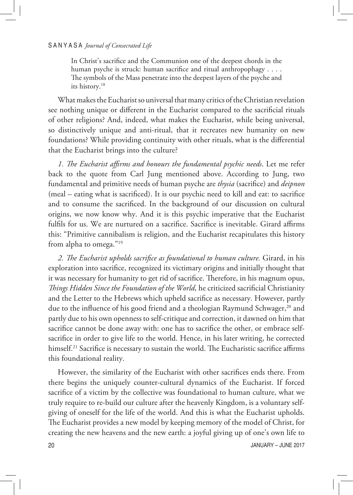In Christ's sacrifice and the Communion one of the deepest chords in the human psyche is struck: human sacrifice and ritual anthropophagy . . . . The symbols of the Mass penetrate into the deepest layers of the psyche and its history.18

What makes the Eucharist so universal that many critics of the Christian revelation see nothing unique or different in the Eucharist compared to the sacrificial rituals of other religions? And, indeed, what makes the Eucharist, while being universal, so distinctively unique and anti-ritual, that it recreates new humanity on new foundations? While providing continuity with other rituals, what is the differential that the Eucharist brings into the culture?

*1. The Eucharist affirms and honours the fundamental psychic needs*. Let me refer back to the quote from Carl Jung mentioned above. According to Jung, two fundamental and primitive needs of human psyche are *thysia* (sacrifice) and *deipnon* (meal – eating what is sacrificed). It is our psychic need to kill and eat: to sacrifice and to consume the sacrificed. In the background of our discussion on cultural origins, we now know why. And it is this psychic imperative that the Eucharist fulfils for us. We are nurtured on a sacrifice. Sacrifice is inevitable. Girard affirms this: "Primitive cannibalism is religion, and the Eucharist recapitulates this history from alpha to omega."19

*2. The Eucharist upholds sacrifice as foundational to human culture.* Girard, in his exploration into sacrifice, recognized its victimary origins and initially thought that it was necessary for humanity to get rid of sacrifice. Therefore, in his magnum opus, *Things Hidden Since the Foundation of the World,* he criticized sacrificial Christianity and the Letter to the Hebrews which upheld sacrifice as necessary. However, partly due to the influence of his good friend and a theologian Raymund Schwager,<sup>20</sup> and partly due to his own openness to self-critique and correction, it dawned on him that sacrifice cannot be done away with: one has to sacrifice the other, or embrace selfsacrifice in order to give life to the world. Hence, in his later writing, he corrected himself.<sup>21</sup> Sacrifice is necessary to sustain the world. The Eucharistic sacrifice affirms this foundational reality.

However, the similarity of the Eucharist with other sacrifices ends there. From there begins the uniquely counter-cultural dynamics of the Eucharist. If forced sacrifice of a victim by the collective was foundational to human culture, what we truly require to re-build our culture after the heavenly Kingdom, is a voluntary selfgiving of oneself for the life of the world. And this is what the Eucharist upholds. The Eucharist provides a new model by keeping memory of the model of Christ, for creating the new heavens and the new earth: a joyful giving up of one's own life to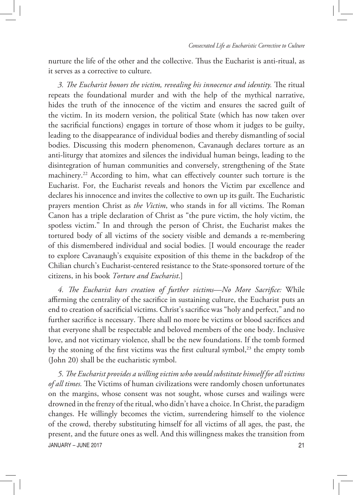nurture the life of the other and the collective. Thus the Eucharist is anti-ritual, as it serves as a corrective to culture.

*3. The Eucharist honors the victim, revealing his innocence and identity.* The ritual repeats the foundational murder and with the help of the mythical narrative, hides the truth of the innocence of the victim and ensures the sacred guilt of the victim. In its modern version, the political State (which has now taken over the sacrificial functions) engages in torture of those whom it judges to be guilty, leading to the disappearance of individual bodies and thereby dismantling of social bodies. Discussing this modern phenomenon, Cavanaugh declares torture as an anti-liturgy that atomizes and silences the individual human beings, leading to the disintegration of human communities and conversely, strengthening of the State machinery.<sup>22</sup> According to him, what can effectively counter such torture is the Eucharist. For, the Eucharist reveals and honors the Victim par excellence and declares his innocence and invites the collective to own up its guilt. The Eucharistic prayers mention Christ as *the Victim*, who stands in for all victims. The Roman Canon has a triple declaration of Christ as "the pure victim, the holy victim, the spotless victim." In and through the person of Christ, the Eucharist makes the tortured body of all victims of the society visible and demands a re-membering of this dismembered individual and social bodies. [I would encourage the reader to explore Cavanaugh's exquisite exposition of this theme in the backdrop of the Chilian church's Eucharist-centered resistance to the State-sponsored torture of the citizens, in his book *Torture and Eucharist*.]

*4. The Eucharist bars creation of further victims—No More Sacrifice:* While affirming the centrality of the sacrifice in sustaining culture, the Eucharist puts an end to creation of sacrificial victims. Christ's sacrifice was "holy and perfect," and no further sacrifice is necessary. There shall no more be victims or blood sacrifices and that everyone shall be respectable and beloved members of the one body. Inclusive love, and not victimary violence, shall be the new foundations. If the tomb formed by the stoning of the first victims was the first cultural symbol, $^{23}$  the empty tomb (John 20) shall be the eucharistic symbol.

JANUARY – JUNE 2017 21 *5. The Eucharist provides a willing victim who would substitute himself for all victims of all times.* The Victims of human civilizations were randomly chosen unfortunates on the margins, whose consent was not sought, whose curses and wailings were drowned in the frenzy of the ritual, who didn't have a choice. In Christ, the paradigm changes. He willingly becomes the victim, surrendering himself to the violence of the crowd, thereby substituting himself for all victims of all ages, the past, the present, and the future ones as well. And this willingness makes the transition from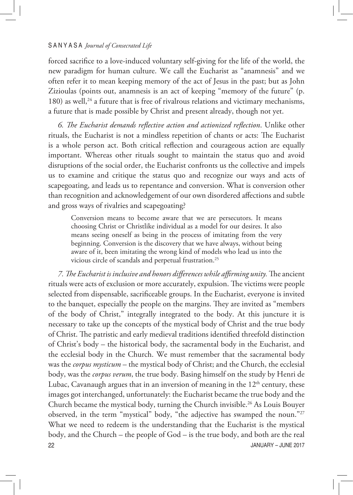forced sacrifice to a love-induced voluntary self-giving for the life of the world, the new paradigm for human culture. We call the Eucharist as "anamnesis" and we often refer it to mean keeping memory of the act of Jesus in the past; but as John Zizioulas (points out, anamnesis is an act of keeping "memory of the future" (p.  $180$ ) as well,<sup>24</sup> a future that is free of rivalrous relations and victimary mechanisms, a future that is made possible by Christ and present already, though not yet.

*6. The Eucharist demands reflective action and actionized reflection*. Unlike other rituals, the Eucharist is not a mindless repetition of chants or acts: The Eucharist is a whole person act. Both critical reflection and courageous action are equally important. Whereas other rituals sought to maintain the status quo and avoid disruptions of the social order, the Eucharist confronts us the collective and impels us to examine and critique the status quo and recognize our ways and acts of scapegoating, and leads us to repentance and conversion. What is conversion other than recognition and acknowledgement of our own disordered affections and subtle and gross ways of rivalries and scapegoating?

Conversion means to become aware that we are persecutors. It means choosing Christ or Christlike individual as a model for our desires. It also means seeing oneself as being in the process of imitating from the very beginning. Conversion is the discovery that we have always, without being aware of it, been imitating the wrong kind of models who lead us into the vicious circle of scandals and perpetual frustration.25

22 JANUARY – JUNE 2017 *7. The Eucharist is inclusive and honors differences while affirming unity.* The ancient rituals were acts of exclusion or more accurately, expulsion. The victims were people selected from dispensable, sacrificeable groups. In the Eucharist, everyone is invited to the banquet, especially the people on the margins. They are invited as "members of the body of Christ," integrally integrated to the body. At this juncture it is necessary to take up the concepts of the mystical body of Christ and the true body of Christ. The patristic and early medieval traditions identified threefold distinction of Christ's body – the historical body, the sacramental body in the Eucharist, and the ecclesial body in the Church. We must remember that the sacramental body was the *corpus mysticum* – the mystical body of Christ; and the Church, the ecclesial body, was the *corpus verum*, the true body. Basing himself on the study by Henri de Lubac, Cavanaugh argues that in an inversion of meaning in the  $12<sup>th</sup>$  century, these images got interchanged, unfortunately: the Eucharist became the true body and the Church became the mystical body, turning the Church invisible.26 As Louis Bouyer observed, in the term "mystical" body, "the adjective has swamped the noun."27 What we need to redeem is the understanding that the Eucharist is the mystical body, and the Church – the people of God – is the true body, and both are the real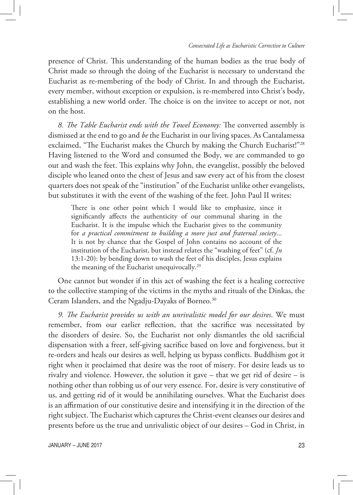presence of Christ. This understanding of the human bodies as the true body of Christ made so through the doing of the Eucharist is necessary to understand the Eucharist as re-membering of the body of Christ. In and through the Eucharist, every member, without exception or expulsion, is re-membered into Christ's body, establishing a new world order. The choice is on the invitee to accept or not, not on the host.

*8. The Table Eucharist ends with the Towel Economy:* The converted assembly is dismissed at the end to go and *be* the Eucharist in our living spaces. As Cantalamessa exclaimed, "The Eucharist makes the Church by making the Church Eucharist!"28 Having listened to the Word and consumed the Body, we are commanded to go out and wash the feet. This explains why John, the evangelist, possibly the beloved disciple who leaned onto the chest of Jesus and saw every act of his from the closest quarters does not speak of the "institution" of the Eucharist unlike other evangelists, but substitutes it with the event of the washing of the feet. John Paul II writes:

There is one other point which I would like to emphasize, since it significantly affects the authenticity of our communal sharing in the Eucharist. It is the impulse which the Eucharist gives to the community for *a practical commitment to building a more just and fraternal society*... It is not by chance that the Gospel of John contains no account of the institution of the Eucharist, but instead relates the "washing of feet" (cf. *Jn*  13:1-20): by bending down to wash the feet of his disciples, Jesus explains the meaning of the Eucharist unequivocally.29

One cannot but wonder if in this act of washing the feet is a healing corrective to the collective stamping of the victims in the myths and rituals of the Dinkas, the Ceram Islanders, and the Ngadju-Dayaks of Borneo.<sup>30</sup>

*9. The Eucharist provides us with an unrivalistic model for our desires*. We must remember, from our earlier reflection, that the sacrifice was necessitated by the disorders of desire. So, the Eucharist not only dismantles the old sacrificial dispensation with a freer, self-giving sacrifice based on love and forgiveness, but it re-orders and heals our desires as well, helping us bypass conflicts. Buddhism got it right when it proclaimed that desire was the root of misery. For desire leads us to rivalry and violence. However, the solution it gave – that we get rid of desire – is nothing other than robbing us of our very essence. For, desire is very constitutive of us, and getting rid of it would be annihilating ourselves. What the Eucharist does is an affirmation of our constitutive desire and intensifying it in the direction of the right subject. The Eucharist which captures the Christ-event cleanses our desires and presents before us the true and unrivalistic object of our desires – God in Christ, in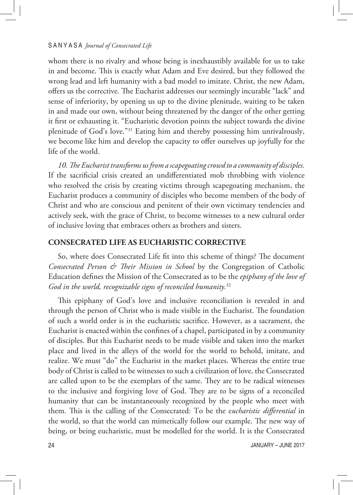whom there is no rivalry and whose being is inexhaustibly available for us to take in and become. This is exactly what Adam and Eve desired, but they followed the wrong lead and left humanity with a bad model to imitate. Christ, the new Adam, offers us the corrective. The Eucharist addresses our seemingly incurable "lack" and sense of inferiority, by opening us up to the divine plenitude, waiting to be taken in and made our own, without being threatened by the danger of the other getting it first or exhausting it. "Eucharistic devotion points the subject towards the divine plenitude of God's love."31 Eating him and thereby possessing him unrivalrously, we become like him and develop the capacity to offer ourselves up joyfully for the life of the world.

*10. The Eucharist transforms us from a scapegoating crowd to a community of disciples.*  If the sacrificial crisis created an undifferentiated mob throbbing with violence who resolved the crisis by creating victims through scapegoating mechanism, the Eucharist produces a community of disciples who become members of the body of Christ and who are conscious and penitent of their own victimary tendencies and actively seek, with the grace of Christ, to become witnesses to a new cultural order of inclusive loving that embraces others as brothers and sisters.

#### **CONSECRATED LIFE AS EUCHARISTIC CORRECTIVE**

So, where does Consecrated Life fit into this scheme of things? The document *Consecrated Person & Their Mission in School* by the Congregation of Catholic Education defines the Mission of the Consecrated as to be the *epiphany of the love of God in the world, recognizable signs of reconciled humanity.*<sup>32</sup>

This epiphany of God's love and inclusive reconciliation is revealed in and through the person of Christ who is made visible in the Eucharist. The foundation of such a world order is in the eucharistic sacrifice. However, as a sacrament, the Eucharist is enacted within the confines of a chapel, participated in by a community of disciples. But this Eucharist needs to be made visible and taken into the market place and lived in the alleys of the world for the world to behold, imitate, and realize. We must "do" the Eucharist in the market places. Whereas the entire true body of Christ is called to be witnesses to such a civilization of love, the Consecrated are called upon to be the exemplars of the same. They are to be radical witnesses to the inclusive and forgiving love of God. They are to be signs of a reconciled humanity that can be instantaneously recognized by the people who meet with them. This is the calling of the Consecrated: To be the e*ucharistic differential* in the world, so that the world can mimetically follow our example. The new way of being, or being eucharistic, must be modelled for the world. It is the Consecrated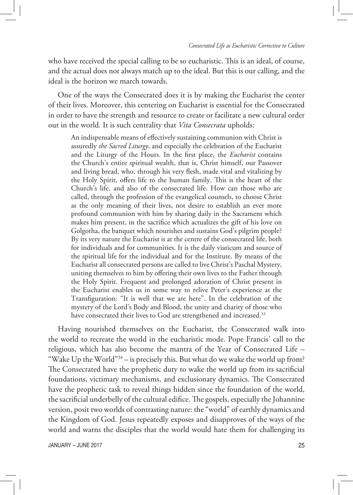who have received the special calling to be so eucharistic. This is an ideal, of course, and the actual does not always match up to the ideal. But this is our calling, and the ideal is the horizon we march towards.

One of the ways the Consecrated does it is by making the Eucharist the center of their lives. Moreover, this centering on Eucharist is essential for the Consecrated in order to have the strength and resource to create or facilitate a new cultural order out in the world. It is such centrality that *Vita Consecrata* upholds:

An indispensable means of effectively sustaining communion with Christ is assuredly *the Sacred Liturgy*, and especially the celebration of the Eucharist and the Liturgy of the Hours. In the first place, the *Eucharist* contains the Church's entire spiritual wealth, that is, Christ himself, our Passover and living bread, who, through his very flesh, made vital and vitalizing by the Holy Spirit, offers life to the human family. This is the heart of the Church's life, and also of the consecrated life. How can those who are called, through the profession of the evangelical counsels, to choose Christ as the only meaning of their lives, not desire to establish an ever more profound communion with him by sharing daily in the Sacrament which makes him present, in the sacrifice which actualizes the gift of his love on Golgotha, the banquet which nourishes and sustains God's pilgrim people? By its very nature the Eucharist is at the centre of the consecrated life, both for individuals and for communities. It is the daily viaticum and source of the spiritual life for the individual and for the Institute. By means of the Eucharist all consecrated persons are called to live Christ's Paschal Mystery, uniting themselves to him by offering their own lives to the Father through the Holy Spirit. Frequent and prolonged adoration of Christ present in the Eucharist enables us in some way to relive Peter's experience at the Transfiguration: "It is well that we are here". In the celebration of the mystery of the Lord's Body and Blood, the unity and charity of those who have consecrated their lives to God are strengthened and increased.<sup>33</sup>

Having nourished themselves on the Eucharist, the Consecrated walk into the world to recreate the world in the eucharistic mode. Pope Francis' call to the religious, which has also become the mantra of the Year of Consecrated Life – "Wake Up the World"34 – is precisely this. But what do we wake the world up from? The Consecrated have the prophetic duty to wake the world up from its sacrificial foundations, victimary mechanisms, and exclusionary dynamics. The Consecrated have the prophetic task to reveal things hidden since the foundation of the world, the sacrificial underbelly of the cultural edifice. The gospels, especially the Johannine version, posit two worlds of contrasting nature: the "world" of earthly dynamics and the Kingdom of God. Jesus repeatedly exposes and disapproves of the ways of the world and warns the disciples that the world would hate them for challenging its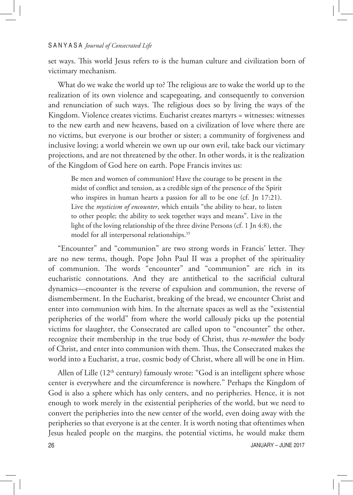set ways. This world Jesus refers to is the human culture and civilization born of victimary mechanism.

What do we wake the world up to? The religious are to wake the world up to the realization of its own violence and scapegoating, and consequently to conversion and renunciation of such ways. The religious does so by living the ways of the Kingdom. Violence creates victims. Eucharist creates martyrs = witnesses: witnesses to the new earth and new heavens, based on a civilization of love where there are no victims, but everyone is our brother or sister; a community of forgiveness and inclusive loving; a world wherein we own up our own evil, take back our victimary projections, and are not threatened by the other. In other words, it is the realization of the Kingdom of God here on earth. Pope Francis invites us:

Be men and women of communion! Have the courage to be present in the midst of conflict and tension, as a credible sign of the presence of the Spirit who inspires in human hearts a passion for all to be one (cf. Jn 17:21). Live the *mysticism of encounter*, which entails "the ability to hear, to listen to other people; the ability to seek together ways and means". Live in the light of the loving relationship of the three divine Persons (cf. 1 Jn 4:8), the model for all interpersonal relationships.35

"Encounter" and "communion" are two strong words in Francis' letter. They are no new terms, though. Pope John Paul II was a prophet of the spirituality of communion. The words "encounter" and "communion" are rich in its eucharistic connotations. And they are antithetical to the sacrificial cultural dynamics—encounter is the reverse of expulsion and communion, the reverse of dismemberment. In the Eucharist, breaking of the bread, we encounter Christ and enter into communion with him. In the alternate spaces as well as the "existential peripheries of the world" from where the world callously picks up the potential victims for slaughter, the Consecrated are called upon to "encounter" the other, recognize their membership in the true body of Christ, thus *re-member* the body of Christ, and enter into communion with them. Thus, the Consecrated makes the world into a Eucharist, a true, cosmic body of Christ, where all will be one in Him.

Allen of Lille ( $12<sup>th</sup>$  century) famously wrote: "God is an intelligent sphere whose center is everywhere and the circumference is nowhere." Perhaps the Kingdom of God is also a sphere which has only centers, and no peripheries. Hence, it is not enough to work merely in the existential peripheries of the world, but we need to convert the peripheries into the new center of the world, even doing away with the peripheries so that everyone is at the center. It is worth noting that oftentimes when Jesus healed people on the margins, the potential victims, he would make them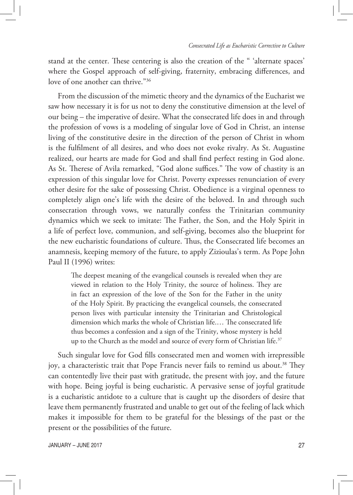stand at the center. These centering is also the creation of the " 'alternate spaces' where the Gospel approach of self-giving, fraternity, embracing differences, and love of one another can thrive."36

From the discussion of the mimetic theory and the dynamics of the Eucharist we saw how necessary it is for us not to deny the constitutive dimension at the level of our being – the imperative of desire. What the consecrated life does in and through the profession of vows is a modeling of singular love of God in Christ, an intense living of the constitutive desire in the direction of the person of Christ in whom is the fulfilment of all desires, and who does not evoke rivalry. As St. Augustine realized, our hearts are made for God and shall find perfect resting in God alone. As St. Therese of Avila remarked, "God alone suffices." The vow of chastity is an expression of this singular love for Christ. Poverty expresses renunciation of every other desire for the sake of possessing Christ. Obedience is a virginal openness to completely align one's life with the desire of the beloved. In and through such consecration through vows, we naturally confess the Trinitarian community dynamics which we seek to imitate: The Father, the Son, and the Holy Spirit in a life of perfect love, communion, and self-giving, becomes also the blueprint for the new eucharistic foundations of culture. Thus, the Consecrated life becomes an anamnesis, keeping memory of the future, to apply Zizioulas's term. As Pope John Paul II (1996) writes:

The deepest meaning of the evangelical counsels is revealed when they are viewed in relation to the Holy Trinity, the source of holiness. They are in fact an expression of the love of the Son for the Father in the unity of the Holy Spirit. By practicing the evangelical counsels, the consecrated person lives with particular intensity the Trinitarian and Christological dimension which marks the whole of Christian life.… The consecrated life thus becomes a confession and a sign of the Trinity, whose mystery is held up to the Church as the model and source of every form of Christian life.<sup>37</sup>

Such singular love for God fills consecrated men and women with irrepressible joy, a characteristic trait that Pope Francis never fails to remind us about.<sup>38</sup> They can contentedly live their past with gratitude, the present with joy, and the future with hope. Being joyful is being eucharistic. A pervasive sense of joyful gratitude is a eucharistic antidote to a culture that is caught up the disorders of desire that leave them permanently frustrated and unable to get out of the feeling of lack which makes it impossible for them to be grateful for the blessings of the past or the present or the possibilities of the future.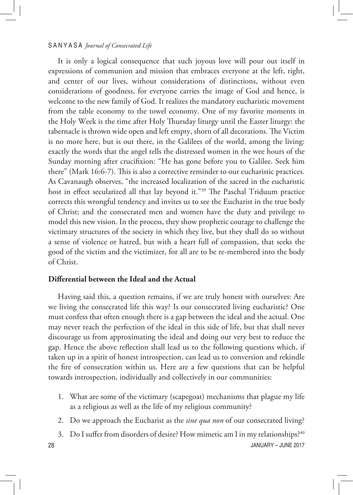It is only a logical consequence that such joyous love will pour out itself in expressions of communion and mission that embraces everyone at the left, right, and center of our lives, without considerations of distinctions, without even considerations of goodness, for everyone carries the image of God and hence, is welcome to the new family of God. It realizes the mandatory eucharistic movement from the table economy to the towel economy. One of my favorite moments in the Holy Week is the time after Holy Thursday liturgy until the Easter liturgy: the tabernacle is thrown wide open and left empty, shorn of all decorations. The Victim is no more here, but is out there, in the Galilees of the world, among the living: exactly the words that the angel tells the distressed women in the wee hours of the Sunday morning after crucifixion: "He has gone before you to Galilee. Seek him there" (Mark 16:6-7). This is also a corrective reminder to our eucharistic practices. As Cavanaugh observes, "the increased localization of the sacred in the eucharistic host in effect secularized all that lay beyond it."39 The Paschal Triduum practice corrects this wrongful tendency and invites us to see the Eucharist in the true body of Christ; and the consecrated men and women have the duty and privilege to model this new vision. In the process, they show prophetic courage to challenge the victimary structures of the society in which they live, but they shall do so without a sense of violence or hatred, but with a heart full of compassion, that seeks the good of the victim and the victimizer, for all are to be re-membered into the body of Christ.

#### **Differential between the Ideal and the Actual**

Having said this, a question remains, if we are truly honest with ourselves: Are we living the consecrated life this way? Is our consecrated living eucharistic? One must confess that often enough there is a gap between the ideal and the actual. One may never reach the perfection of the ideal in this side of life, but that shall never discourage us from approximating the ideal and doing our very best to reduce the gap. Hence the above reflection shall lead us to the following questions which, if taken up in a spirit of honest introspection, can lead us to conversion and rekindle the fire of consecration within us. Here are a few questions that can be helpful towards introspection, individually and collectively in our communities:

- 1. What are some of the victimary (scapegoat) mechanisms that plague my life as a religious as well as the life of my religious community?
- 2. Do we approach the Eucharist as the *sine qua non* of our consecrated living?
- 28 JANUARY JUNE 2017 3. Do I suffer from disorders of desire? How mimetic am I in my relationships?<sup>40</sup>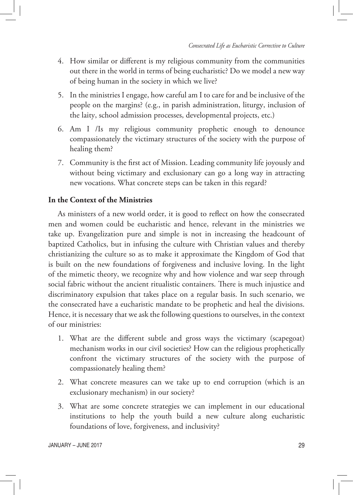- 4. How similar or different is my religious community from the communities out there in the world in terms of being eucharistic? Do we model a new way of being human in the society in which we live?
- 5. In the ministries I engage, how careful am I to care for and be inclusive of the people on the margins? (e.g., in parish administration, liturgy, inclusion of the laity, school admission processes, developmental projects, etc.)
- 6. Am I /Is my religious community prophetic enough to denounce compassionately the victimary structures of the society with the purpose of healing them?
- 7. Community is the first act of Mission. Leading community life joyously and without being victimary and exclusionary can go a long way in attracting new vocations. What concrete steps can be taken in this regard?

#### **In the Context of the Ministries**

As ministers of a new world order, it is good to reflect on how the consecrated men and women could be eucharistic and hence, relevant in the ministries we take up. Evangelization pure and simple is not in increasing the headcount of baptized Catholics, but in infusing the culture with Christian values and thereby christianizing the culture so as to make it approximate the Kingdom of God that is built on the new foundations of forgiveness and inclusive loving. In the light of the mimetic theory, we recognize why and how violence and war seep through social fabric without the ancient ritualistic containers. There is much injustice and discriminatory expulsion that takes place on a regular basis. In such scenario, we the consecrated have a eucharistic mandate to be prophetic and heal the divisions. Hence, it is necessary that we ask the following questions to ourselves, in the context of our ministries:

- 1. What are the different subtle and gross ways the victimary (scapegoat) mechanism works in our civil societies? How can the religious prophetically confront the victimary structures of the society with the purpose of compassionately healing them?
- 2. What concrete measures can we take up to end corruption (which is an exclusionary mechanism) in our society?
- 3. What are some concrete strategies we can implement in our educational institutions to help the youth build a new culture along eucharistic foundations of love, forgiveness, and inclusivity?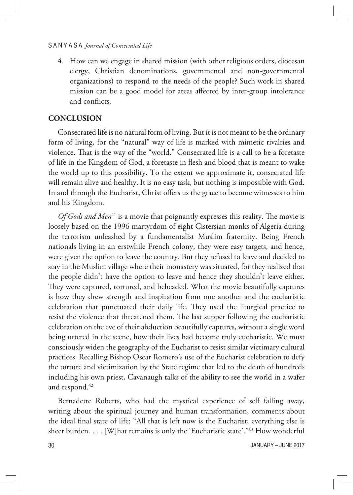4. How can we engage in shared mission (with other religious orders, diocesan clergy, Christian denominations, governmental and non-governmental organizations) to respond to the needs of the people? Such work in shared mission can be a good model for areas affected by inter-group intolerance and conflicts.

#### **CONCLUSION**

Consecrated life is no natural form of living. But it is not meant to be the ordinary form of living, for the "natural" way of life is marked with mimetic rivalries and violence. That is the way of the "world." Consecrated life is a call to be a foretaste of life in the Kingdom of God, a foretaste in flesh and blood that is meant to wake the world up to this possibility. To the extent we approximate it, consecrated life will remain alive and healthy. It is no easy task, but nothing is impossible with God. In and through the Eucharist, Christ offers us the grace to become witnesses to him and his Kingdom.

*Of Gods and Men*<sup>41</sup> is a movie that poignantly expresses this reality. The movie is loosely based on the 1996 martyrdom of eight Cistersian monks of Algeria during the terrorism unleashed by a fundamentalist Muslim fraternity. Being French nationals living in an erstwhile French colony, they were easy targets, and hence, were given the option to leave the country. But they refused to leave and decided to stay in the Muslim village where their monastery was situated, for they realized that the people didn't have the option to leave and hence they shouldn't leave either. They were captured, tortured, and beheaded. What the movie beautifully captures is how they drew strength and inspiration from one another and the eucharistic celebration that punctuated their daily life. They used the liturgical practice to resist the violence that threatened them. The last supper following the eucharistic celebration on the eve of their abduction beautifully captures, without a single word being uttered in the scene, how their lives had become truly eucharistic. We must consciously widen the geography of the Eucharist to resist similar victimary cultural practices. Recalling Bishop Oscar Romero's use of the Eucharist celebration to defy the torture and victimization by the State regime that led to the death of hundreds including his own priest, Cavanaugh talks of the ability to see the world in a wafer and respond.<sup>42</sup>

Bernadette Roberts, who had the mystical experience of self falling away, writing about the spiritual journey and human transformation, comments about the ideal final state of life: "All that is left now is the Eucharist; everything else is sheer burden. . . . [W] hat remains is only the 'Eucharistic state'."<sup>43</sup> How wonderful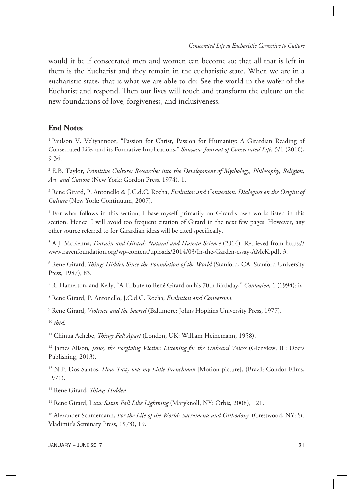would it be if consecrated men and women can become so: that all that is left in them is the Eucharist and they remain in the eucharistic state. When we are in a eucharistic state, that is what we are able to do: See the world in the wafer of the Eucharist and respond. Then our lives will touch and transform the culture on the new foundations of love, forgiveness, and inclusiveness.

#### **End Notes**

<sup>1</sup> Paulson V. Veliyannoor, "Passion for Christ, Passion for Humanity: A Girardian Reading of Consecrated Life, and its Formative Implications," *Sanyasa: Journal of Consecrated Life,* 5/1 (2010), 9-34.

2 E.B. Taylor, *Primitive Culture: Researches into the Development of Mythology, Philosophy, Religion, Art, and Custom* (New York: Gordon Press, 1974), 1.

3 Rene Girard, P. Antonello & J.C.d.C. Rocha, *Evolution and Conversion: Dialogues on the Origins of Culture* (New York: Continuum, 2007).

4 For what follows in this section, I base myself primarily on Girard's own works listed in this section. Hence, I will avoid too frequent citation of Girard in the next few pages. However, any other source referred to for Girardian ideas will be cited specifically.

5 A.J. McKenna, *Darwin and Girard: Natural and Human Science* (2014)*.* Retrieved from https:// www.ravenfoundation.org/wp-content/uploads/2014/03/In-the-Garden-essay-AMcK.pdf, 3.

6 Rene Girard, *Things Hidden Since the Foundation of the World* (Stanford, CA: Stanford University Press, 1987), 83.

7 R. Hamerton, and Kelly, "A Tribute to René Girard on his 70th Birthday," *Contagion,* 1 (1994): ix.

8 Rene Girard, P. Antonello, J.C.d.C. Rocha, *Evolution and Conversion*.

9 Rene Girard, *Violence and the Sacred* (Baltimore: Johns Hopkins University Press, 1977).

<sup>10</sup> *ibid.*

11 Chinua Achebe, *Things Fall Apart* (London, UK: William Heinemann, 1958).

<sup>12</sup> James Alison, *Jesus, the Forgiving Victim: Listening for the Unheard Voices* (Glenview, IL: Doers Publishing, 2013).

13 N.P. Dos Santos, *How Tasty was my Little Frenchman* [Motion picture], (Brazil: Condor Films, 1971).

14 Rene Girard, *Things Hidden*.

15 Rene Girard, I *saw Satan Fall Like Lightning* (Maryknoll, NY: Orbis, 2008), 121.

16 Alexander Schmemann, *For the Life of the World: Sacraments and Orthodoxy,* (Crestwood, NY: St. Vladimir's Seminary Press, 1973), 19.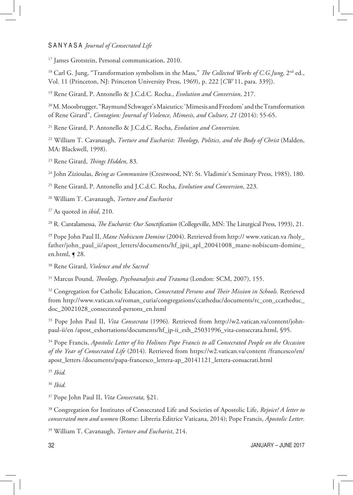<sup>17</sup> James Grotstein, Personal communication, 2010.

18 Carl G. Jung, "Transformation symbolism in the Mass," *The Collected Works of C.G.Jung,* 2nd ed., Vol. 11 (Princeton, NJ: Princeton University Press, 1969), p. 222 [*CW* 11, para. 339]).

19 Rene Girard, P. Antonello & J.C.d.C. Rocha., *Evolution and Conversion*, 217.

20 M. Moosbrugger, "Raymund Schwager's Maieutics: 'Mimesis and Freedom' and the Transformation of Rene Girard", *Contagion: Journal of Violence, Mimesis, and Culture, 21* (2014): 55-65.

21 Rene Girard, P. Antonello & J.C.d.C. Rocha, *Evolution and Conversion.*

<sup>22</sup> William T. Cavanaugh, *Torture and Eucharist: Theology, Politics, and the Body of Christ* (Malden, MA: Blackwell, 1998).

23 Rene Girard, *Things Hidden,* 83.

24 John Zizioulas, *Being as Communion* (Crestwood, NY: St. Vladimir's Seminary Press, 1985), 180.

25 Rene Girard, P. Antonello and J.C.d.C. Rocha, *Evolution and Conversion*, 223.

26 William T. Cavanaugh, *Torture and Eucharist*

27 As quoted in *ibid*, 210.

28 R. Cantalamessa, *The Eucharist: Our Sanctification* (Collegeville, MN: The Liturgical Press, 1993), 21.

29 Pope John Paul II, *Mane Nobiscum Domine* (2004). Retrieved from http:// www.vatican.va /holy\_ father/john\_paul\_ii/apost\_letters/documents/hf\_jpii\_apl\_20041008\_mane-nobiscum-domine\_ en.html, ¶ 28.

30 Rene Girard, *Violence and the Sacred*

31 Marcus Pound, *Theology, Psychoanalysis and Trauma* (London: SCM, 2007), 155.

32 Congregation for Catholic Education, *Consecrated Persons and Their Mission in Schools.* Retrieved from http://www.vatican.va/roman\_curia/congregations/ccatheduc/documents/rc\_con\_ccatheduc\_ doc\_20021028\_consecrated-persons\_en.html

33 Pope John Paul II, *Vita Consecrata* (1996)*.* Retrieved from http://w2.vatican.va/content/johnpaul-ii/en /apost\_exhortations/documents/hf\_jp-ii\_exh\_25031996\_vita-consecrata.html, §95.

34 Pope Francis, *Apostolic Letter of his Holiness Pope Francis to all Consecrated People on the Occasion of the Year of Consecrated Life* (2014)*.* Retrieved from https://w2.vatican.va/content /francesco/en/ apost\_letters /documents/papa-francesco\_lettera-ap\_20141121\_lettera-consacrati.html

<sup>35</sup> *Ibid.*

<sup>36</sup> *Ibid.*

37 Pope John Paul II, *Vita Consecrata,* §21.

38 Congregation for Institutes of Consecrated Life and Societies of Apostolic Life, *Rejoice! A letter to consecrated men and women* (Rome: Libreria Editrice Vaticana, 2014); Pope Francis, *Apostolic Letter*.

39 William T. Cavanaugh, *Torture and Eucharist*, 214.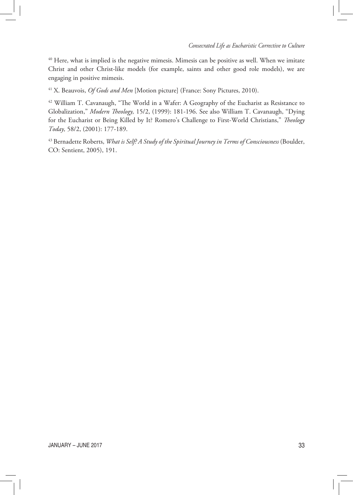$40$  Here, what is implied is the negative mimesis. Mimesis can be positive as well. When we imitate Christ and other Christ-like models (for example, saints and other good role models), we are engaging in positive mimesis.

41 X. Beauvois, *Of Gods and Men* [Motion picture] (France: Sony Pictures, 2010).

 $42$  William T. Cavanaugh, "The World in a Wafer: A Geography of the Eucharist as Resistance to Globalization," *Modern Theology,* 15/2, (1999): 181-196. See also William T. Cavanaugh, "Dying for the Eucharist or Being Killed by It? Romero's Challenge to First-World Christians," *Theology Today,* 58/2, (2001): 177-189.

43 Bernadette Roberts, *What is Self? A Study of the Spiritual Journey in Terms of Consciousness* (Boulder, CO: Sentient, 2005), 191.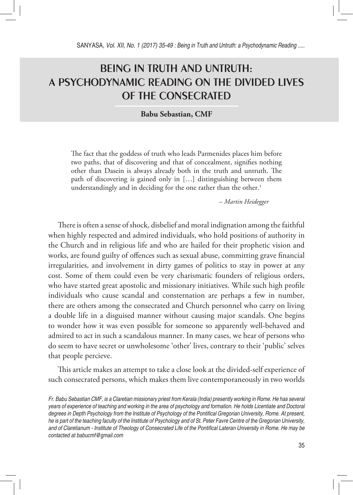## BEING IN TRUTH AND UNTRUTH: A PSYCHODYNAMIC READING ON THE DIVIDED LIVES OF THE CONSECRATED

**Babu Sebastian, CMF**

The fact that the goddess of truth who leads Parmenides places him before two paths, that of discovering and that of concealment, signifies nothing other than Dasein is always already both in the truth and untruth. The path of discovering is gained only in […] distinguishing between them understandingly and in deciding for the one rather than the other.<sup>1</sup>

– *Martin Heidegger*

There is often a sense of shock, disbelief and moral indignation among the faithful when highly respected and admired individuals, who hold positions of authority in the Church and in religious life and who are hailed for their prophetic vision and works, are found guilty of offences such as sexual abuse, committing grave financial irregularities, and involvement in dirty games of politics to stay in power at any cost. Some of them could even be very charismatic founders of religious orders, who have started great apostolic and missionary initiatives. While such high profile individuals who cause scandal and consternation are perhaps a few in number, there are others among the consecrated and Church personnel who carry on living a double life in a disguised manner without causing major scandals. One begins to wonder how it was even possible for someone so apparently well-behaved and admired to act in such a scandalous manner. In many cases, we hear of persons who do seem to have secret or unwholesome 'other' lives, contrary to their 'public' selves that people percieve.

This article makes an attempt to take a close look at the divided-self experience of such consecrated persons, which makes them live contemporaneously in two worlds

Fr. Babu Sebastian CMF, is a Claretian missionary priest from Kerala (India) presently working in Rome. He has several years of experience of teaching and working in the area of psychology and formation. He holds Licentiate and Doctoral degrees in Depth Psychology from the Institute of Psychology of the Pontifical Gregorian University, Rome. At present, he is part of the teaching faculty of the Institute of Psychology and of St. Peter Favre Centre of the Gregorian University, and of Claretianum - Institute of Theology of Consecrated Life of the Pontifical Lateran University in Rome. He may be *contacted at babucmf@gmail.com*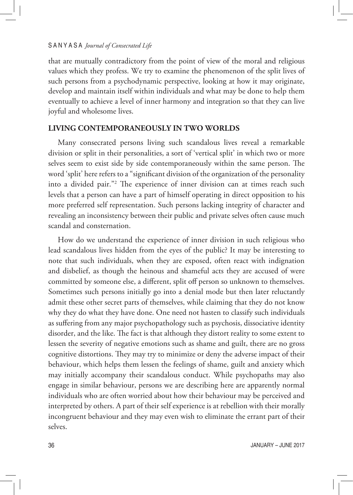that are mutually contradictory from the point of view of the moral and religious values which they profess. We try to examine the phenomenon of the split lives of such persons from a psychodynamic perspective, looking at how it may originate, develop and maintain itself within individuals and what may be done to help them eventually to achieve a level of inner harmony and integration so that they can live joyful and wholesome lives.

# **LIVING CONTEMPORANEOUSLY IN TWO WORLDS**

Many consecrated persons living such scandalous lives reveal a remarkable division or split in their personalities, a sort of 'vertical split' in which two or more selves seem to exist side by side contemporaneously within the same person. The word 'split' here refers to a "significant division of the organization of the personality into a divided pair."2 The experience of inner division can at times reach such levels that a person can have a part of himself operating in direct opposition to his more preferred self representation. Such persons lacking integrity of character and revealing an inconsistency between their public and private selves often cause much scandal and consternation.

How do we understand the experience of inner division in such religious who lead scandalous lives hidden from the eyes of the public? It may be interesting to note that such individuals, when they are exposed, often react with indignation and disbelief, as though the heinous and shameful acts they are accused of were committed by someone else, a different, split off person so unknown to themselves. Sometimes such persons initially go into a denial mode but then later reluctantly admit these other secret parts of themselves, while claiming that they do not know why they do what they have done. One need not hasten to classify such individuals as suffering from any major psychopathology such as psychosis, dissociative identity disorder, and the like. The fact is that although they distort reality to some extent to lessen the severity of negative emotions such as shame and guilt, there are no gross cognitive distortions. They may try to minimize or deny the adverse impact of their behaviour, which helps them lessen the feelings of shame, guilt and anxiety which may initially accompany their scandalous conduct. While psychopaths may also engage in similar behaviour, persons we are describing here are apparently normal individuals who are often worried about how their behaviour may be perceived and interpreted by others. A part of their self experience is at rebellion with their morally incongruent behaviour and they may even wish to eliminate the errant part of their selves.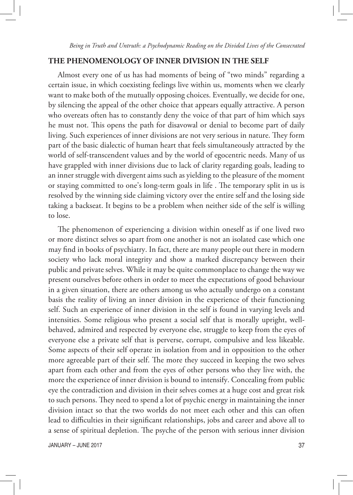#### **THE PHENOMENOLOGY OF INNER DIVISION IN THE SELF**

Almost every one of us has had moments of being of "two minds" regarding a certain issue, in which coexisting feelings live within us, moments when we clearly want to make both of the mutually opposing choices. Eventually, we decide for one, by silencing the appeal of the other choice that appears equally attractive. A person who overeats often has to constantly deny the voice of that part of him which says he must not. This opens the path for disavowal or denial to become part of daily living. Such experiences of inner divisions are not very serious in nature. They form part of the basic dialectic of human heart that feels simultaneously attracted by the world of self-transcendent values and by the world of egocentric needs. Many of us have grappled with inner divisions due to lack of clarity regarding goals, leading to an inner struggle with divergent aims such as yielding to the pleasure of the moment or staying committed to one's long-term goals in life . The temporary split in us is resolved by the winning side claiming victory over the entire self and the losing side taking a backseat. It begins to be a problem when neither side of the self is willing to lose.

The phenomenon of experiencing a division within oneself as if one lived two or more distinct selves so apart from one another is not an isolated case which one may find in books of psychiatry. In fact, there are many people out there in modern society who lack moral integrity and show a marked discrepancy between their public and private selves. While it may be quite commonplace to change the way we present ourselves before others in order to meet the expectations of good behaviour in a given situation, there are others among us who actually undergo on a constant basis the reality of living an inner division in the experience of their functioning self. Such an experience of inner division in the self is found in varying levels and intensities. Some religious who present a social self that is morally upright, wellbehaved, admired and respected by everyone else, struggle to keep from the eyes of everyone else a private self that is perverse, corrupt, compulsive and less likeable. Some aspects of their self operate in isolation from and in opposition to the other more agreeable part of their self. The more they succeed in keeping the two selves apart from each other and from the eyes of other persons who they live with, the more the experience of inner division is bound to intensify. Concealing from public eye the contradiction and division in their selves comes at a huge cost and great risk to such persons. They need to spend a lot of psychic energy in maintaining the inner division intact so that the two worlds do not meet each other and this can often lead to difficulties in their significant relationships, jobs and career and above all to a sense of spiritual depletion. The psyche of the person with serious inner division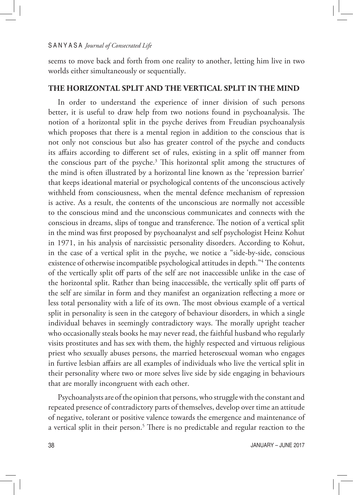seems to move back and forth from one reality to another, letting him live in two worlds either simultaneously or sequentially.

#### **THE HORIZONTAL SPLIT AND THE VERTICAL SPLIT IN THE MIND**

In order to understand the experience of inner division of such persons better, it is useful to draw help from two notions found in psychoanalysis. The notion of a horizontal split in the psyche derives from Freudian psychoanalysis which proposes that there is a mental region in addition to the conscious that is not only not conscious but also has greater control of the psyche and conducts its affairs according to different set of rules, existing in a split off manner from the conscious part of the psyche.3 This horizontal split among the structures of the mind is often illustrated by a horizontal line known as the 'repression barrier' that keeps ideational material or psychological contents of the unconscious actively withheld from consciousness, when the mental defence mechanism of repression is active. As a result, the contents of the unconscious are normally not accessible to the conscious mind and the unconscious communicates and connects with the conscious in dreams, slips of tongue and transference. The notion of a vertical split in the mind was first proposed by psychoanalyst and self psychologist Heinz Kohut in 1971, in his analysis of narcissistic personality disorders. According to Kohut, in the case of a vertical split in the psyche, we notice a "side-by-side, conscious existence of otherwise incompatible psychological attitudes in depth."4 The contents of the vertically split off parts of the self are not inaccessible unlike in the case of the horizontal split. Rather than being inaccessible, the vertically split off parts of the self are similar in form and they manifest an organization reflecting a more or less total personality with a life of its own. The most obvious example of a vertical split in personality is seen in the category of behaviour disorders, in which a single individual behaves in seemingly contradictory ways. The morally upright teacher who occasionally steals books he may never read, the faithful husband who regularly visits prostitutes and has sex with them, the highly respected and virtuous religious priest who sexually abuses persons, the married heterosexual woman who engages in furtive lesbian affairs are all examples of individuals who live the vertical split in their personality where two or more selves live side by side engaging in behaviours that are morally incongruent with each other.

Psychoanalysts are of the opinion that persons, who struggle with the constant and repeated presence of contradictory parts of themselves, develop over time an attitude of negative, tolerant or positive valence towards the emergence and maintenance of a vertical split in their person.<sup>5</sup> There is no predictable and regular reaction to the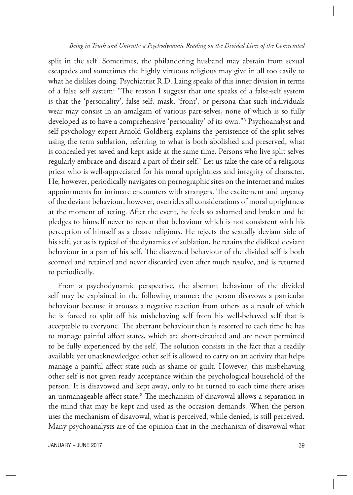split in the self. Sometimes, the philandering husband may abstain from sexual escapades and sometimes the highly virtuous religious may give in all too easily to what he dislikes doing. Psychiatrist R.D. Laing speaks of this inner division in terms of a false self system: "The reason I suggest that one speaks of a false-self system is that the 'personality', false self, mask, 'front', or persona that such individuals wear may consist in an amalgam of various part-selves, none of which is so fully developed as to have a comprehensive 'personality' of its own."6 Psychoanalyst and self psychology expert Arnold Goldberg explains the persistence of the split selves using the term sublation, referring to what is both abolished and preserved, what is concealed yet saved and kept aside at the same time. Persons who live split selves regularly embrace and discard a part of their self.7 Let us take the case of a religious priest who is well-appreciated for his moral uprightness and integrity of character. He, however, periodically navigates on pornographic sites on the internet and makes appointments for intimate encounters with strangers. The excitement and urgency of the deviant behaviour, however, overrides all considerations of moral uprightness at the moment of acting. After the event, he feels so ashamed and broken and he pledges to himself never to repeat that behaviour which is not consistent with his perception of himself as a chaste religious. He rejects the sexually deviant side of his self, yet as is typical of the dynamics of sublation, he retains the disliked deviant behaviour in a part of his self. The disowned behaviour of the divided self is both scorned and retained and never discarded even after much resolve, and is returned to periodically.

From a psychodynamic perspective, the aberrant behaviour of the divided self may be explained in the following manner: the person disavows a particular behaviour because it arouses a negative reaction from others as a result of which he is forced to split off his misbehaving self from his well-behaved self that is acceptable to everyone. The aberrant behaviour then is resorted to each time he has to manage painful affect states, which are short-circuited and are never permitted to be fully experienced by the self. The solution consists in the fact that a readily available yet unacknowledged other self is allowed to carry on an activity that helps manage a painful affect state such as shame or guilt. However, this misbehaving other self is not given ready acceptance within the psychological household of the person. It is disavowed and kept away, only to be turned to each time there arises an unmanageable affect state.<sup>8</sup> The mechanism of disavowal allows a separation in the mind that may be kept and used as the occasion demands. When the person uses the mechanism of disavowal, what is perceived, while denied, is still perceived. Many psychoanalysts are of the opinion that in the mechanism of disavowal what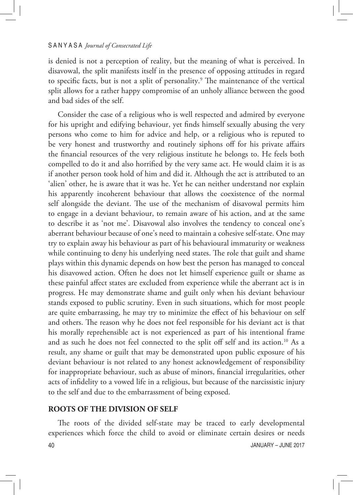is denied is not a perception of reality, but the meaning of what is perceived. In disavowal, the split manifests itself in the presence of opposing attitudes in regard to specific facts, but is not a split of personality.9 The maintenance of the vertical split allows for a rather happy compromise of an unholy alliance between the good and bad sides of the self.

Consider the case of a religious who is well respected and admired by everyone for his upright and edifying behaviour, yet finds himself sexually abusing the very persons who come to him for advice and help, or a religious who is reputed to be very honest and trustworthy and routinely siphons off for his private affairs the financial resources of the very religious institute he belongs to. He feels both compelled to do it and also horrified by the very same act. He would claim it is as if another person took hold of him and did it. Although the act is attributed to an 'alien' other, he is aware that it was he. Yet he can neither understand nor explain his apparently incoherent behaviour that allows the coexistence of the normal self alongside the deviant. The use of the mechanism of disavowal permits him to engage in a deviant behaviour, to remain aware of his action, and at the same to describe it as 'not me'. Disavowal also involves the tendency to conceal one's aberrant behaviour because of one's need to maintain a cohesive self-state. One may try to explain away his behaviour as part of his behavioural immaturity or weakness while continuing to deny his underlying need states. The role that guilt and shame plays within this dynamic depends on how best the person has managed to conceal his disavowed action. Often he does not let himself experience guilt or shame as these painful affect states are excluded from experience while the aberrant act is in progress. He may demonstrate shame and guilt only when his deviant behaviour stands exposed to public scrutiny. Even in such situations, which for most people are quite embarrassing, he may try to minimize the effect of his behaviour on self and others. The reason why he does not feel responsible for his deviant act is that his morally reprehensible act is not experienced as part of his intentional frame and as such he does not feel connected to the split off self and its action.<sup>10</sup> As a result, any shame or guilt that may be demonstrated upon public exposure of his deviant behaviour is not related to any honest acknowledgement of responsibility for inappropriate behaviour, such as abuse of minors, financial irregularities, other acts of infidelity to a vowed life in a religious, but because of the narcissistic injury to the self and due to the embarrassment of being exposed.

### **ROOTS OF THE DIVISION OF SELF**

The roots of the divided self-state may be traced to early developmental experiences which force the child to avoid or eliminate certain desires or needs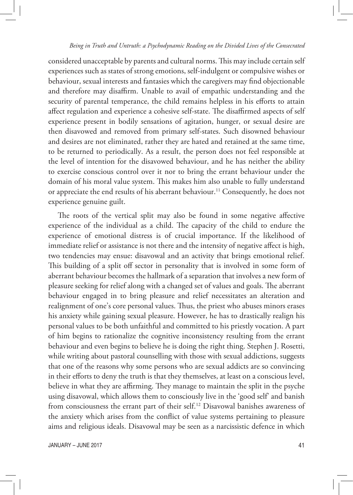considered unacceptable by parents and cultural norms. This may include certain self experiences such as states of strong emotions, self-indulgent or compulsive wishes or behaviour, sexual interests and fantasies which the caregivers may find objectionable and therefore may disaffirm. Unable to avail of empathic understanding and the security of parental temperance, the child remains helpless in his efforts to attain affect regulation and experience a cohesive self-state. The disaffirmed aspects of self experience present in bodily sensations of agitation, hunger, or sexual desire are then disavowed and removed from primary self-states. Such disowned behaviour and desires are not eliminated, rather they are hated and retained at the same time, to be returned to periodically. As a result, the person does not feel responsible at the level of intention for the disavowed behaviour, and he has neither the ability to exercise conscious control over it nor to bring the errant behaviour under the domain of his moral value system. This makes him also unable to fully understand or appreciate the end results of his aberrant behaviour.<sup>11</sup> Consequently, he does not experience genuine guilt.

The roots of the vertical split may also be found in some negative affective experience of the individual as a child. The capacity of the child to endure the experience of emotional distress is of crucial importance. If the likelihood of immediate relief or assistance is not there and the intensity of negative affect is high, two tendencies may ensue: disavowal and an activity that brings emotional relief. This building of a split off sector in personality that is involved in some form of aberrant behaviour becomes the hallmark of a separation that involves a new form of pleasure seeking for relief along with a changed set of values and goals. The aberrant behaviour engaged in to bring pleasure and relief necessitates an alteration and realignment of one's core personal values. Thus, the priest who abuses minors erases his anxiety while gaining sexual pleasure. However, he has to drastically realign his personal values to be both unfaithful and committed to his priestly vocation. A part of him begins to rationalize the cognitive inconsistency resulting from the errant behaviour and even begins to believe he is doing the right thing. Stephen J. Rosetti, while writing about pastoral counselling with those with sexual addictions, suggests that one of the reasons why some persons who are sexual addicts are so convincing in their efforts to deny the truth is that they themselves, at least on a conscious level, believe in what they are affirming. They manage to maintain the split in the psyche using disavowal, which allows them to consciously live in the 'good self' and banish from consciousness the errant part of their self.12 Disavowal banishes awareness of the anxiety which arises from the conflict of value systems pertaining to pleasure aims and religious ideals. Disavowal may be seen as a narcissistic defence in which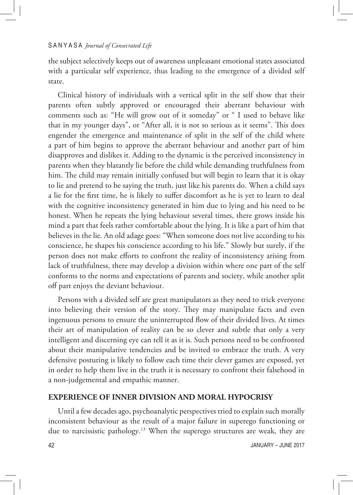the subject selectively keeps out of awareness unpleasant emotional states associated with a particular self experience, thus leading to the emergence of a divided self state.

Clinical history of individuals with a vertical split in the self show that their parents often subtly approved or encouraged their aberrant behaviour with comments such as: "He will grow out of it someday" or " I used to behave like that in my younger days", or "After all, it is not so serious as it seems". This does engender the emergence and maintenance of split in the self of the child where a part of him begins to approve the aberrant behaviour and another part of him disapproves and dislikes it. Adding to the dynamic is the perceived inconsistency in parents when they blatantly lie before the child while demanding truthfulness from him. The child may remain initially confused but will begin to learn that it is okay to lie and pretend to be saying the truth, just like his parents do. When a child says a lie for the first time, he is likely to suffer discomfort as he is yet to learn to deal with the cognitive inconsistency generated in him due to lying and his need to be honest. When he repeats the lying behaviour several times, there grows inside his mind a part that feels rather comfortable about the lying. It is like a part of him that believes in the lie. An old adage goes: "When someone does not live according to his conscience, he shapes his conscience according to his life." Slowly but surely, if the person does not make efforts to confront the reality of inconsistency arising from lack of truthfulness, there may develop a division within where one part of the self conforms to the norms and expectations of parents and society, while another split off part enjoys the deviant behaviour.

Persons with a divided self are great manipulators as they need to trick everyone into believing their version of the story. They may manipulate facts and even ingenuous persons to ensure the uninterrupted flow of their divided lives. At times their art of manipulation of reality can be so clever and subtle that only a very intelligent and discerning eye can tell it as it is. Such persons need to be confronted about their manipulative tendencies and be invited to embrace the truth. A very defensive posturing is likely to follow each time their clever games are exposed, yet in order to help them live in the truth it is necessary to confront their falsehood in a non-judgemental and empathic manner.

# **EXPERIENCE OF INNER DIVISION AND MORAL HYPOCRISY**

Until a few decades ago, psychoanalytic perspectives tried to explain such morally inconsistent behaviour as the result of a major failure in superego functioning or due to narcissistic pathology.<sup>13</sup> When the superego structures are weak, they are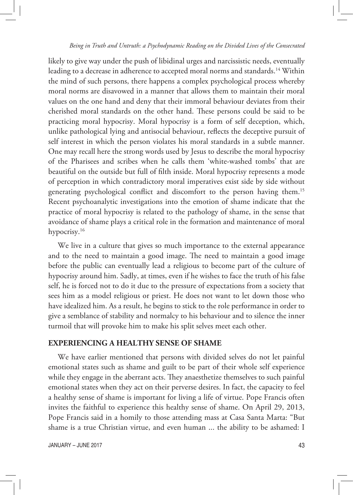likely to give way under the push of libidinal urges and narcissistic needs, eventually leading to a decrease in adherence to accepted moral norms and standards.<sup>14</sup> Within the mind of such persons, there happens a complex psychological process whereby moral norms are disavowed in a manner that allows them to maintain their moral values on the one hand and deny that their immoral behaviour deviates from their cherished moral standards on the other hand. These persons could be said to be practicing moral hypocrisy. Moral hypocrisy is a form of self deception, which, unlike pathological lying and antisocial behaviour, reflects the deceptive pursuit of self interest in which the person violates his moral standards in a subtle manner. One may recall here the strong words used by Jesus to describe the moral hypocrisy of the Pharisees and scribes when he calls them 'white-washed tombs' that are beautiful on the outside but full of filth inside. Moral hypocrisy represents a mode of perception in which contradictory moral imperatives exist side by side without generating psychological conflict and discomfort to the person having them.15 Recent psychoanalytic investigations into the emotion of shame indicate that the practice of moral hypocrisy is related to the pathology of shame, in the sense that avoidance of shame plays a critical role in the formation and maintenance of moral hypocrisy.16

We live in a culture that gives so much importance to the external appearance and to the need to maintain a good image. The need to maintain a good image before the public can eventually lead a religious to become part of the culture of hypocrisy around him. Sadly, at times, even if he wishes to face the truth of his false self, he is forced not to do it due to the pressure of expectations from a society that sees him as a model religious or priest. He does not want to let down those who have idealized him. As a result, he begins to stick to the role performance in order to give a semblance of stability and normalcy to his behaviour and to silence the inner turmoil that will provoke him to make his split selves meet each other.

# **EXPERIENCING A HEALTHY SENSE OF SHAME**

We have earlier mentioned that persons with divided selves do not let painful emotional states such as shame and guilt to be part of their whole self experience while they engage in the aberrant acts. They anaesthetize themselves to such painful emotional states when they act on their perverse desires. In fact, the capacity to feel a healthy sense of shame is important for living a life of virtue. Pope Francis often invites the faithful to experience this healthy sense of shame. On April 29, 2013, Pope Francis said in a homily to those attending mass at Casa Santa Marta: "But shame is a true Christian virtue, and even human ... the ability to be ashamed: I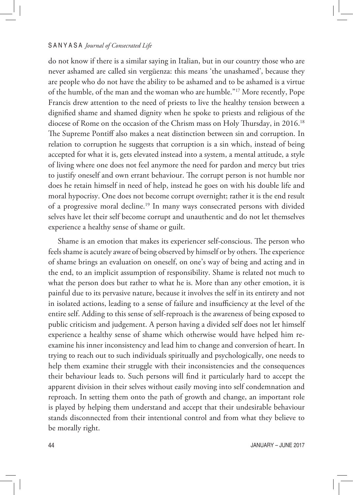do not know if there is a similar saying in Italian, but in our country those who are never ashamed are called sin vergüenza: this means 'the unashamed', because they are people who do not have the ability to be ashamed and to be ashamed is a virtue of the humble, of the man and the woman who are humble."17 More recently, Pope Francis drew attention to the need of priests to live the healthy tension between a dignified shame and shamed dignity when he spoke to priests and religious of the diocese of Rome on the occasion of the Chrism mass on Holy Thursday, in 2016.18 The Supreme Pontiff also makes a neat distinction between sin and corruption. In relation to corruption he suggests that corruption is a sin which, instead of being accepted for what it is, gets elevated instead into a system, a mental attitude, a style of living where one does not feel anymore the need for pardon and mercy but tries to justify oneself and own errant behaviour. The corrupt person is not humble nor does he retain himself in need of help, instead he goes on with his double life and moral hypocrisy. One does not become corrupt overnight; rather it is the end result of a progressive moral decline.19 In many ways consecrated persons with divided selves have let their self become corrupt and unauthentic and do not let themselves experience a healthy sense of shame or guilt.

Shame is an emotion that makes its experiencer self-conscious. The person who feels shame is acutely aware of being observed by himself or by others. The experience of shame brings an evaluation on oneself, on one's way of being and acting and in the end, to an implicit assumption of responsibility. Shame is related not much to what the person does but rather to what he is. More than any other emotion, it is painful due to its pervasive nature, because it involves the self in its entirety and not in isolated actions, leading to a sense of failure and insufficiency at the level of the entire self. Adding to this sense of self-reproach is the awareness of being exposed to public criticism and judgement. A person having a divided self does not let himself experience a healthy sense of shame which otherwise would have helped him reexamine his inner inconsistency and lead him to change and conversion of heart. In trying to reach out to such individuals spiritually and psychologically, one needs to help them examine their struggle with their inconsistencies and the consequences their behaviour leads to. Such persons will find it particularly hard to accept the apparent division in their selves without easily moving into self condemnation and reproach. In setting them onto the path of growth and change, an important role is played by helping them understand and accept that their undesirable behaviour stands disconnected from their intentional control and from what they believe to be morally right.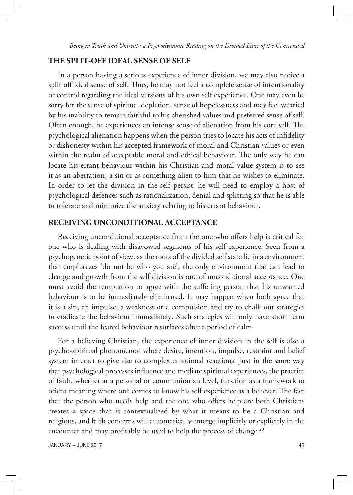#### **THE SPLIT-OFF IDEAL SENSE OF SELF**

In a person having a serious experience of inner division, we may also notice a split off ideal sense of self. Thus, he may not feel a complete sense of intentionality or control regarding the ideal versions of his own self experience. One may even be sorry for the sense of spiritual depletion, sense of hopelessness and may feel wearied by his inability to remain faithful to his cherished values and preferred sense of self. Often enough, he experiences an intense sense of alienation from his core self. The psychological alienation happens when the person tries to locate his acts of infidelity or dishonesty within his accepted framework of moral and Christian values or even within the realm of acceptable moral and ethical behaviour. The only way he can locate his errant behaviour within his Christian and moral value system is to see it as an aberration, a sin or as something alien to him that he wishes to eliminate. In order to let the division in the self persist, he will need to employ a host of psychological defences such as rationalization, denial and splitting so that he is able to tolerate and minimize the anxiety relating to his errant behaviour.

#### **RECEIVING UNCONDITIONAL ACCEPTANCE**

Receiving unconditional acceptance from the one who offers help is critical for one who is dealing with disavowed segments of his self experience. Seen from a psychogenetic point of view, as the roots of the divided self state lie in a environment that emphasizes 'do not be who you are', the only environment that can lead to change and growth from the self division is one of unconditional acceptance. One must avoid the temptation to agree with the suffering person that his unwanted behaviour is to be immediately eliminated. It may happen when both agree that it is a sin, an impulse, a weakness or a compulsion and try to chalk out strategies to eradicate the behaviour immediately. Such strategies will only have short term success until the feared behaviour resurfaces after a period of calm.

For a believing Christian, the experience of inner division in the self is also a psycho-spiritual phenomenon where desire, intention, impulse, restraint and belief system interact to give rise to complex emotional reactions. Just in the same way that psychological processes influence and mediate spiritual experiences, the practice of faith, whether at a personal or communitarian level, function as a framework to orient meaning where one comes to know his self experience as a believer. The fact that the person who needs help and the one who offers help are both Christians creates a space that is contextualized by what it means to be a Christian and religious, and faith concerns will automatically emerge implicitly or explicitly in the encounter and may profitably be used to help the process of change.<sup>20</sup>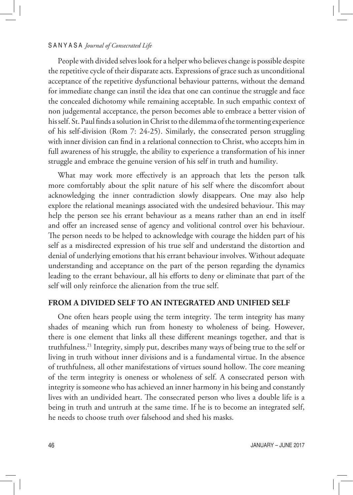People with divided selves look for a helper who believes change is possible despite the repetitive cycle of their disparate acts. Expressions of grace such as unconditional acceptance of the repetitive dysfunctional behaviour patterns, without the demand for immediate change can instil the idea that one can continue the struggle and face the concealed dichotomy while remaining acceptable. In such empathic context of non judgemental acceptance, the person becomes able to embrace a better vision of his self. St. Paul finds a solution in Christ to the dilemma of the tormenting experience of his self-division (Rom 7: 24-25). Similarly, the consecrated person struggling with inner division can find in a relational connection to Christ, who accepts him in full awareness of his struggle, the ability to experience a transformation of his inner struggle and embrace the genuine version of his self in truth and humility.

What may work more effectively is an approach that lets the person talk more comfortably about the split nature of his self where the discomfort about acknowledging the inner contradiction slowly disappears. One may also help explore the relational meanings associated with the undesired behaviour. This may help the person see his errant behaviour as a means rather than an end in itself and offer an increased sense of agency and volitional control over his behaviour. The person needs to be helped to acknowledge with courage the hidden part of his self as a misdirected expression of his true self and understand the distortion and denial of underlying emotions that his errant behaviour involves. Without adequate understanding and acceptance on the part of the person regarding the dynamics leading to the errant behaviour, all his efforts to deny or eliminate that part of the self will only reinforce the alienation from the true self.

#### **FROM A DIVIDED SELF TO AN INTEGRATED AND UNIFIED SELF**

One often hears people using the term integrity. The term integrity has many shades of meaning which run from honesty to wholeness of being. However, there is one element that links all these different meanings together, and that is truthfulness.21 Integrity, simply put, describes many ways of being true to the self or living in truth without inner divisions and is a fundamental virtue. In the absence of truthfulness, all other manifestations of virtues sound hollow. The core meaning of the term integrity is oneness or wholeness of self. A consecrated person with integrity is someone who has achieved an inner harmony in his being and constantly lives with an undivided heart. The consecrated person who lives a double life is a being in truth and untruth at the same time. If he is to become an integrated self, he needs to choose truth over falsehood and shed his masks.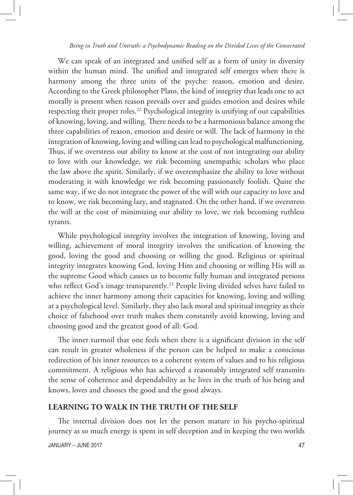We can speak of an integrated and unified self as a form of unity in diversity within the human mind. The unified and integrated self emerges when there is harmony among the three units of the psyche: reason, emotion and desire. According to the Greek philosopher Plato, the kind of integrity that leads one to act morally is present when reason prevails over and guides emotion and desires while respecting their proper roles.<sup>22</sup> Psychological integrity is unifying of our capabilities of knowing, loving, and willing. There needs to be a harmonious balance among the three capabilities of reason, emotion and desire or will. The lack of harmony in the integration of knowing, loving and willing can lead to psychological malfunctioning. Thus, if we overstress our ability to know at the cost of not integrating our ability to love with our knowledge, we risk becoming unempathic scholars who place the law above the spirit. Similarly, if we overemphasize the ability to love without moderating it with knowledge we risk becoming passionately foolish. Quite the same way, if we do not integrate the power of the will with our capacity to love and to know, we risk becoming lazy, and stagnated. On the other hand, if we overstress the will at the cost of minimizing our ability to love, we risk becoming ruthless tyrants.

While psychological integrity involves the integration of knowing, loving and willing, achievement of moral integrity involves the unification of knowing the good, loving the good and choosing or willing the good. Religious or spiritual integrity integrates knowing God, loving Him and choosing or willing His will as the supreme Good which causes us to become fully human and integrated persons who reflect God's image transparently.<sup>23</sup> People living divided selves have failed to achieve the inner harmony among their capacities for knowing, loving and willing at a psychological level. Similarly, they also lack moral and spiritual integrity as their choice of falsehood over truth makes them constantly avoid knowing, loving and choosing good and the greatest good of all: God.

The inner turmoil that one feels when there is a significant division in the self can result in greater wholeness if the person can be helped to make a conscious redirection of his inner resources to a coherent system of values and to his religious commitment. A religious who has achieved a reasonably integrated self transmits the sense of coherence and dependability as he lives in the truth of his being and knows, loves and chooses the good and the good always.

# **LEARNING TO WALK IN THE TRUTH OF THE SELF**

The internal division does not let the person mature in his psycho-spiritual journey as so much energy is spent in self deception and in keeping the two worlds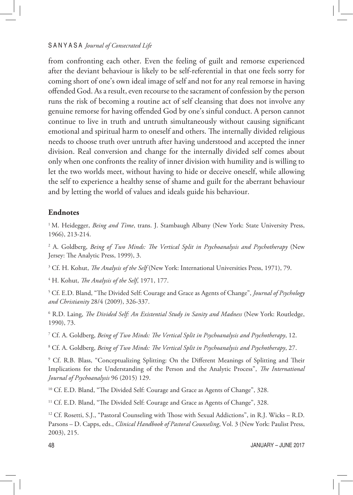from confronting each other. Even the feeling of guilt and remorse experienced after the deviant behaviour is likely to be self-referential in that one feels sorry for coming short of one's own ideal image of self and not for any real remorse in having offended God. As a result, even recourse to the sacrament of confession by the person runs the risk of becoming a routine act of self cleansing that does not involve any genuine remorse for having offended God by one's sinful conduct. A person cannot continue to live in truth and untruth simultaneously without causing significant emotional and spiritual harm to oneself and others. The internally divided religious needs to choose truth over untruth after having understood and accepted the inner division. Real conversion and change for the internally divided self comes about only when one confronts the reality of inner division with humility and is willing to let the two worlds meet, without having to hide or deceive oneself, while allowing the self to experience a healthy sense of shame and guilt for the aberrant behaviour and by letting the world of values and ideals guide his behaviour.

# **Endnotes**

<sup>1</sup> M. Heidegger, *Being and Time*, trans. J. Stambaugh Albany (New York: State University Press, 1966), 213-214.

2 A. Goldberg, *Being of Two Minds: The Vertical Split in Psychoanalysis and Psychotherapy* (New Jersey: The Analytic Press, 1999), 3.

3 Cf. H. Kohut, *The Analysis of the Self* (New York: International Universities Press, 1971), 79.

4 H. Kohut, *The Analysis of the Self*, 1971, 177.

5 Cf. E.D. Bland, "The Divided Self: Courage and Grace as Agents of Change", *Journal of Psychology and Christianity* 28/4 (2009), 326-337.

6 R.D. Laing, *The Divided Self: An Existential Study in Sanity and Madness* (New York: Routledge, 1990), 73.

7 Cf. A. Goldberg, *Being of Two Minds: The Vertical Split in Psychoanalysis and Psychotherapy*, 12.

8 Cf. A. Goldberg, *Being of Two Minds: The Vertical Split in Psychoanalysis and Psychotherapy*, 27.

9 Cf. R.B. Blass, "Conceptualizing Splitting: On the Different Meanings of Splitting and Their Implications for the Understanding of the Person and the Analytic Process", *The International Journal of Psychoanalysis* 96 (2015) 129.

10 Cf. E.D. Bland, "The Divided Self: Courage and Grace as Agents of Change", 328.

<sup>11</sup> Cf. E.D. Bland, "The Divided Self: Courage and Grace as Agents of Change", 328.

<sup>12</sup> Cf. Rosetti, S.J., "Pastoral Counseling with Those with Sexual Addictions", in R.J. Wicks – R.D. Parsons – D. Capps, eds., *Clinical Handbook of Pastoral Counseling*, Vol. 3 (New York: Paulist Press, 2003), 215.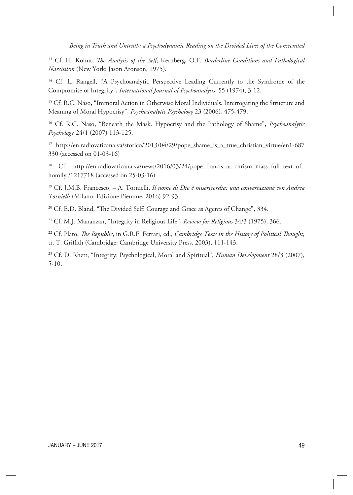*Being in Truth and Untruth: a Psychodynamic Reading on the Divided Lives of the Consecrated* 

13 Cf. H. Kohut, *The Analysis of the Self*; Kernberg, O.F. *Borderline Conditions and Pathological Narcissism* (New York: Jason Aronson, 1975).

<sup>14</sup> Cf. L. Rangell, "A Psychoanalytic Perspective Leading Currently to the Syndrome of the Compromise of Integrity", *International Journal of Psychoanalysis*, 55 (1974), 3-12.

<sup>15</sup> Cf. R.C. Naso, "Immoral Action in Otherwise Moral Individuals. Interrogating the Structure and Meaning of Moral Hypocrisy", *Psychoanalytic Psychology* 23 (2006), 475-479.

16 Cf. R.C. Naso, "Beneath the Mask. Hypocrisy and the Pathology of Shame", *Psychoanalytic Psycholog*y 24/1 (2007) 113-125.

<sup>17</sup> http://en.radiovaticana.va/storico/2013/04/29/pope shame is a true christian virtue/en1-687 330 (accessed on 01-03-16)

Cf. http://en.radiovaticana.va/news/2016/03/24/pope\_francis\_at\_chrism\_mass\_full\_text\_of\_ homily /1217718 (accessed on 25-03-16)

19 Cf. J.M.B. Francesco, – A. Tornielli, *Il nome di Dio è misericordia: una conversazione con Andrea Tornielli* (Milano: Edizione Piemme, 2016) 92-93.

<sup>20</sup> Cf. E.D. Bland, "The Divided Self: Courage and Grace as Agents of Change", 334.

21 Cf. M.J. Mananzan, "Integrity in Religious Life", *Review for Religious* 34/3 (1975), 366.

22 Cf. Plato, *The Republic*, in G.R.F. Ferrari, ed., *Cambridge Texts in the History of Political Thought*, tr. T. Griffith (Cambridge: Cambridge University Press, 2003), 111-143.

23 Cf. D. Rhett, "Integrity: Psychological, Moral and Spiritual", *Human Development* 28/3 (2007), 5-10.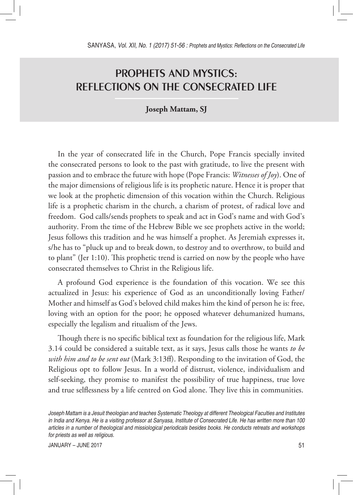# Prophets and Mystics: reflections on the Consecrated life

#### **Joseph Mattam, SJ**

In the year of consecrated life in the Church, Pope Francis specially invited the consecrated persons to look to the past with gratitude, to live the present with passion and to embrace the future with hope (Pope Francis: *Witnesses of Joy*). One of the major dimensions of religious life is its prophetic nature. Hence it is proper that we look at the prophetic dimension of this vocation within the Church. Religious life is a prophetic charism in the church, a charism of protest, of radical love and freedom. God calls/sends prophets to speak and act in God's name and with God's authority. From the time of the Hebrew Bible we see prophets active in the world; Jesus follows this tradition and he was himself a prophet. As Jeremiah expresses it, s/he has to "pluck up and to break down, to destroy and to overthrow, to build and to plant" (Jer 1:10). This prophetic trend is carried on now by the people who have consecrated themselves to Christ in the Religious life.

A profound God experience is the foundation of this vocation. We see this actualized in Jesus: his experience of God as an unconditionally loving Father/ Mother and himself as God's beloved child makes him the kind of person he is: free, loving with an option for the poor; he opposed whatever dehumanized humans, especially the legalism and ritualism of the Jews.

Though there is no specific biblical text as foundation for the religious life, Mark 3.14 could be considered a suitable text, as it says, Jesus calls those he wants *to be with him and to be sent out* (Mark 3:13ff). Responding to the invitation of God, the Religious opt to follow Jesus. In a world of distrust, violence, individualism and self-seeking, they promise to manifest the possibility of true happiness, true love and true selflessness by a life centred on God alone. They live this in communities.

Joseph Mattam is a Jesuit theologian and teaches Systematic Theology at different Theological Faculties and Institutes in India and Kenya. He is a visiting professor at Sanyasa, Institute of Consecrated Life. He has written more than 100 articles in a number of theological and missiological periodicals besides books. He conducts retreats and workshops for priests as well as religious.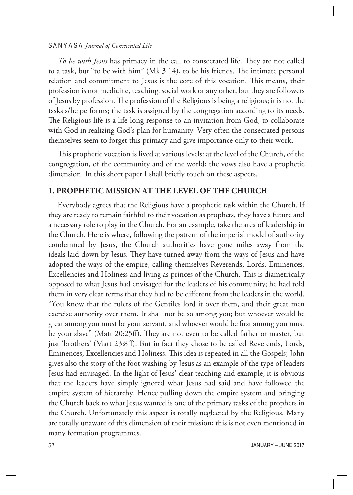*To be with Jesus* has primacy in the call to consecrated life. They are not called to a task, but "to be with him" (Mk 3.14), to be his friends. The intimate personal relation and commitment to Jesus is the core of this vocation. This means, their profession is not medicine, teaching, social work or any other, but they are followers of Jesus by profession. The profession of the Religious is being a religious; it is not the tasks s/he performs; the task is assigned by the congregation according to its needs. The Religious life is a life-long response to an invitation from God, to collaborate with God in realizing God's plan for humanity. Very often the consecrated persons themselves seem to forget this primacy and give importance only to their work.

This prophetic vocation is lived at various levels: at the level of the Church, of the congregation, of the community and of the world; the vows also have a prophetic dimension. In this short paper I shall briefly touch on these aspects.

### **1. Prophetic mission at the level of the Church**

Everybody agrees that the Religious have a prophetic task within the Church. If they are ready to remain faithful to their vocation as prophets, they have a future and a necessary role to play in the Church. For an example, take the area of leadership in the Church. Here is where, following the pattern of the imperial model of authority condemned by Jesus, the Church authorities have gone miles away from the ideals laid down by Jesus. They have turned away from the ways of Jesus and have adopted the ways of the empire, calling themselves Reverends, Lords, Eminences, Excellencies and Holiness and living as princes of the Church. This is diametrically opposed to what Jesus had envisaged for the leaders of his community; he had told them in very clear terms that they had to be different from the leaders in the world. "You know that the rulers of the Gentiles lord it over them, and their great men exercise authority over them. It shall not be so among you; but whoever would be great among you must be your servant, and whoever would be first among you must be your slave" (Matt 20:25ff). They are not even to be called father or master, but just 'brothers' (Matt 23:8ff). But in fact they chose to be called Reverends, Lords, Eminences, Excellencies and Holiness. This idea is repeated in all the Gospels; John gives also the story of the foot washing by Jesus as an example of the type of leaders Jesus had envisaged. In the light of Jesus' clear teaching and example, it is obvious that the leaders have simply ignored what Jesus had said and have followed the empire system of hierarchy. Hence pulling down the empire system and bringing the Church back to what Jesus wanted is one of the primary tasks of the prophets in the Church. Unfortunately this aspect is totally neglected by the Religious. Many are totally unaware of this dimension of their mission; this is not even mentioned in many formation programmes.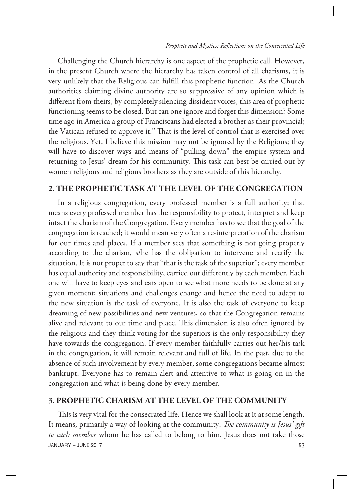Challenging the Church hierarchy is one aspect of the prophetic call. However, in the present Church where the hierarchy has taken control of all charisms, it is very unlikely that the Religious can fulfill this prophetic function. As the Church authorities claiming divine authority are so suppressive of any opinion which is different from theirs, by completely silencing dissident voices, this area of prophetic functioning seems to be closed. But can one ignore and forget this dimension? Some time ago in America a group of Franciscans had elected a brother as their provincial; the Vatican refused to approve it." That is the level of control that is exercised over the religious. Yet, I believe this mission may not be ignored by the Religious; they will have to discover ways and means of "pulling down" the empire system and returning to Jesus' dream for his community. This task can best be carried out by women religious and religious brothers as they are outside of this hierarchy.

# **2. The prophetic task at the level of the Congregation**

In a religious congregation, every professed member is a full authority; that means every professed member has the responsibility to protect, interpret and keep intact the charism of the Congregation. Every member has to see that the goal of the congregation is reached; it would mean very often a re-interpretation of the charism for our times and places. If a member sees that something is not going properly according to the charism, s/he has the obligation to intervene and rectify the situation. It is not proper to say that "that is the task of the superior"; every member has equal authority and responsibility, carried out differently by each member. Each one will have to keep eyes and ears open to see what more needs to be done at any given moment; situations and challenges change and hence the need to adapt to the new situation is the task of everyone. It is also the task of everyone to keep dreaming of new possibilities and new ventures, so that the Congregation remains alive and relevant to our time and place. This dimension is also often ignored by the religious and they think voting for the superiors is the only responsibility they have towards the congregation. If every member faithfully carries out her/his task in the congregation, it will remain relevant and full of life. In the past, due to the absence of such involvement by every member, some congregations became almost bankrupt. Everyone has to remain alert and attentive to what is going on in the congregation and what is being done by every member.

#### **3. Prophetic charism at the level of the community**

JANUARY – JUNE 2017 **53** This is very vital for the consecrated life. Hence we shall look at it at some length. It means, primarily a way of looking at the community. *The community is Jesus' gift to each member* whom he has called to belong to him. Jesus does not take those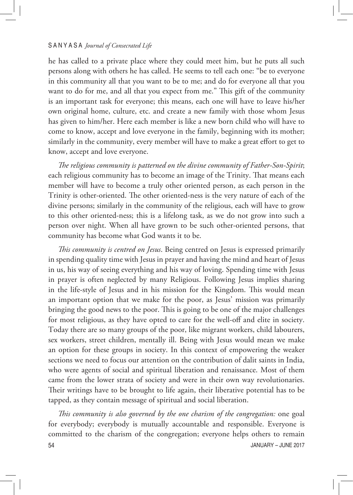he has called to a private place where they could meet him, but he puts all such persons along with others he has called. He seems to tell each one: "be to everyone in this community all that you want to be to me; and do for everyone all that you want to do for me, and all that you expect from me." This gift of the community is an important task for everyone; this means, each one will have to leave his/her own original home, culture, etc. and create a new family with those whom Jesus has given to him/her. Here each member is like a new born child who will have to come to know, accept and love everyone in the family, beginning with its mother; similarly in the community, every member will have to make a great effort to get to know, accept and love everyone.

*The religious community is patterned on the divine community of Father-Son-Spirit*; each religious community has to become an image of the Trinity. That means each member will have to become a truly other oriented person, as each person in the Trinity is other-oriented. The other oriented-ness is the very nature of each of the divine persons; similarly in the community of the religious, each will have to grow to this other oriented-ness; this is a lifelong task, as we do not grow into such a person over night. When all have grown to be such other-oriented persons, that community has become what God wants it to be.

*This community is centred on Jesus*. Being centred on Jesus is expressed primarily in spending quality time with Jesus in prayer and having the mind and heart of Jesus in us, his way of seeing everything and his way of loving. Spending time with Jesus in prayer is often neglected by many Religious. Following Jesus implies sharing in the life-style of Jesus and in his mission for the Kingdom. This would mean an important option that we make for the poor, as Jesus' mission was primarily bringing the good news to the poor. This is going to be one of the major challenges for most religious, as they have opted to care for the well-off and elite in society. Today there are so many groups of the poor, like migrant workers, child labourers, sex workers, street children, mentally ill. Being with Jesus would mean we make an option for these groups in society. In this context of empowering the weaker sections we need to focus our attention on the contribution of dalit saints in India, who were agents of social and spiritual liberation and renaissance. Most of them came from the lower strata of society and were in their own way revolutionaries. Their writings have to be brought to life again, their liberative potential has to be tapped, as they contain message of spiritual and social liberation.

54 JANUARY – JUNE 2017 *This community is also governed by the one charism of the congregation:* one goal for everybody; everybody is mutually accountable and responsible. Everyone is committed to the charism of the congregation; everyone helps others to remain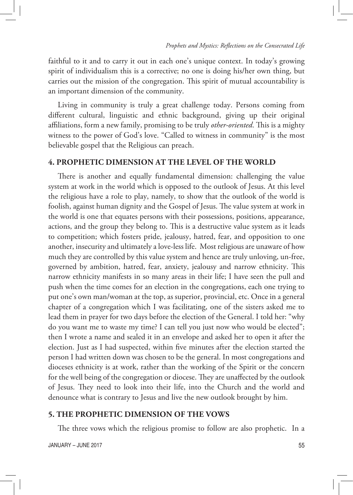faithful to it and to carry it out in each one's unique context. In today's growing spirit of individualism this is a corrective; no one is doing his/her own thing, but carries out the mission of the congregation. This spirit of mutual accountability is an important dimension of the community.

Living in community is truly a great challenge today. Persons coming from different cultural, linguistic and ethnic background, giving up their original affiliations, form a new family, promising to be truly *other-oriented*. This is a mighty witness to the power of God's love. "Called to witness in community" is the most believable gospel that the Religious can preach.

# **4. Prophetic dimension at the level of the world**

There is another and equally fundamental dimension: challenging the value system at work in the world which is opposed to the outlook of Jesus. At this level the religious have a role to play, namely, to show that the outlook of the world is foolish, against human dignity and the Gospel of Jesus. The value system at work in the world is one that equates persons with their possessions, positions, appearance, actions, and the group they belong to. This is a destructive value system as it leads to competition; which fosters pride, jealousy, hatred, fear, and opposition to one another, insecurity and ultimately a love-less life. Most religious are unaware of how much they are controlled by this value system and hence are truly unloving, un-free, governed by ambition, hatred, fear, anxiety, jealousy and narrow ethnicity. This narrow ethnicity manifests in so many areas in their life; I have seen the pull and push when the time comes for an election in the congregations, each one trying to put one's own man/woman at the top, as superior, provincial, etc. Once in a general chapter of a congregation which I was facilitating, one of the sisters asked me to lead them in prayer for two days before the election of the General. I told her: "why do you want me to waste my time? I can tell you just now who would be elected"; then I wrote a name and sealed it in an envelope and asked her to open it after the election. Just as I had suspected, within five minutes after the election started the person I had written down was chosen to be the general. In most congregations and dioceses ethnicity is at work, rather than the working of the Spirit or the concern for the well being of the congregation or diocese. They are unaffected by the outlook of Jesus. They need to look into their life, into the Church and the world and denounce what is contrary to Jesus and live the new outlook brought by him.

#### **5. The prophetic dimension of the Vows**

The three vows which the religious promise to follow are also prophetic. In a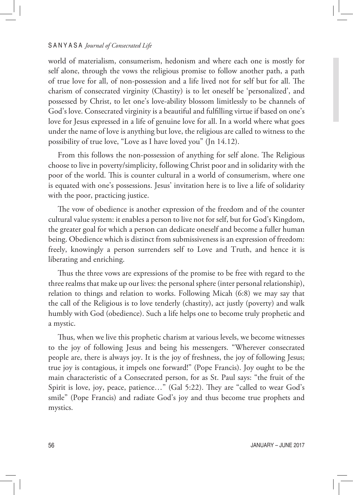world of materialism, consumerism, hedonism and where each one is mostly for self alone, through the vows the religious promise to follow another path, a path of true love for all, of non-possession and a life lived not for self but for all. The charism of consecrated virginity (Chastity) is to let oneself be 'personalized', and possessed by Christ, to let one's love-ability blossom limitlessly to be channels of God's love. Consecrated virginity is a beautiful and fulfilling virtue if based on one's love for Jesus expressed in a life of genuine love for all. In a world where what goes under the name of love is anything but love, the religious are called to witness to the possibility of true love, "Love as I have loved you" (Jn 14.12).

From this follows the non-possession of anything for self alone. The Religious choose to live in poverty/simplicity, following Christ poor and in solidarity with the poor of the world. This is counter cultural in a world of consumerism, where one is equated with one's possessions. Jesus' invitation here is to live a life of solidarity with the poor, practicing justice.

The vow of obedience is another expression of the freedom and of the counter cultural value system: it enables a person to live not for self, but for God's Kingdom, the greater goal for which a person can dedicate oneself and become a fuller human being. Obedience which is distinct from submissiveness is an expression of freedom: freely, knowingly a person surrenders self to Love and Truth, and hence it is liberating and enriching.

Thus the three vows are expressions of the promise to be free with regard to the three realms that make up our lives: the personal sphere (inter personal relationship), relation to things and relation to works. Following Micah (6:8) we may say that the call of the Religious is to love tenderly (chastity), act justly (poverty) and walk humbly with God (obedience). Such a life helps one to become truly prophetic and a mystic.

Thus, when we live this prophetic charism at various levels, we become witnesses to the joy of following Jesus and being his messengers. "Wherever consecrated people are, there is always joy. It is the joy of freshness, the joy of following Jesus; true joy is contagious, it impels one forward!" (Pope Francis). Joy ought to be the main characteristic of a Consecrated person, for as St. Paul says: "the fruit of the Spirit is love, joy, peace, patience…" (Gal 5:22). They are "called to wear God's smile" (Pope Francis) and radiate God's joy and thus become true prophets and mystics.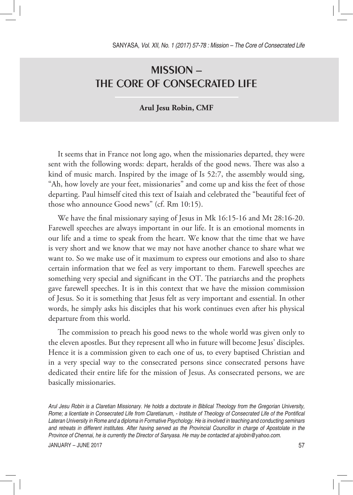# MISSION – THE CORE OF CONSECRATED LIFE

#### **Arul Jesu Robin, CMF**

It seems that in France not long ago, when the missionaries departed, they were sent with the following words: depart, heralds of the good news. There was also a kind of music march. Inspired by the image of Is 52:7, the assembly would sing, "Ah, how lovely are your feet, missionaries" and come up and kiss the feet of those departing. Paul himself cited this text of Isaiah and celebrated the "beautiful feet of those who announce Good news" (cf. Rm 10:15).

We have the final missionary saying of Jesus in Mk 16:15-16 and Mt 28:16-20. Farewell speeches are always important in our life. It is an emotional moments in our life and a time to speak from the heart. We know that the time that we have is very short and we know that we may not have another chance to share what we want to. So we make use of it maximum to express our emotions and also to share certain information that we feel as very important to them. Farewell speeches are something very special and significant in the OT. The patriarchs and the prophets gave farewell speeches. It is in this context that we have the mission commission of Jesus. So it is something that Jesus felt as very important and essential. In other words, he simply asks his disciples that his work continues even after his physical departure from this world.

The commission to preach his good news to the whole world was given only to the eleven apostles. But they represent all who in future will become Jesus' disciples. Hence it is a commission given to each one of us, to every baptised Christian and in a very special way to the consecrated persons since consecrated persons have dedicated their entire life for the mission of Jesus. As consecrated persons, we are basically missionaries.

Arul Jesu Robin is a Claretian Missionary. He holds a doctorate in Biblical Theology from the Gregorian University, Rome; a licentiate in Consecrated Life from Claretianum, - Institute of Theology of Consecrated Life of the Pontifical Lateran University in Rome and a diploma in Formative Psychology. He is involved in teaching and conducting seminars *and retreats in different institutes. After having served as the Provincial Councillor in charge of Apostolate in the*  Province of Chennai, he is currently the Director of Sanyasa. He may be contacted at ajrobin@yahoo.com.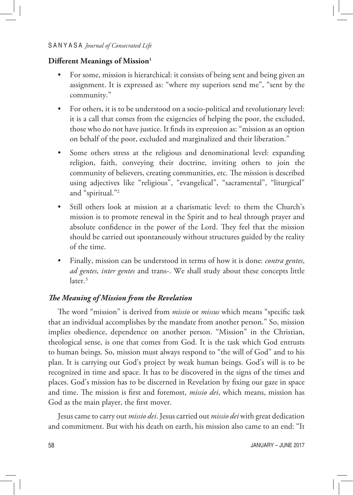# **Different Meanings of Mission**<sup>1</sup>

- For some, mission is hierarchical: it consists of being sent and being given an assignment. It is expressed as: "where my superiors send me", "sent by the community."
- For others, it is to be understood on a socio-political and revolutionary level: it is a call that comes from the exigencies of helping the poor, the excluded, those who do not have justice. It finds its expression as: "mission as an option on behalf of the poor, excluded and marginalized and their liberation."
- Some others stress at the religious and denominational level: expanding religion, faith, conveying their doctrine, inviting others to join the community of believers, creating communities, etc. The mission is described using adjectives like "religious", "evangelical", "sacramental", "liturgical" and "spiritual."2
- • Still others look at mission at a charismatic level: to them the Church's mission is to promote renewal in the Spirit and to heal through prayer and absolute confidence in the power of the Lord. They feel that the mission should be carried out spontaneously without structures guided by the reality of the time.
- • Finally, mission can be understood in terms of how it is done: *contra gentes*, *ad gentes*, *inter gentes* and trans-. We shall study about these concepts little  $\arctan^3$

# *The Meaning of Mission from the Revelation*

The word "mission" is derived from *missio* or *missus* which means "specific task that an individual accomplishes by the mandate from another person." So, mission implies obedience, dependence on another person. "Mission" in the Christian, theological sense, is one that comes from God. It is the task which God entrusts to human beings. So, mission must always respond to "the will of God" and to his plan. It is carrying out God's project by weak human beings. God's will is to be recognized in time and space. It has to be discovered in the signs of the times and places. God's mission has to be discerned in Revelation by fixing our gaze in space and time. The mission is first and foremost, *missio dei*, which means, mission has God as the main player, the first mover.

Jesus came to carry out *missio dei*. Jesus carried out *missio dei* with great dedication and commitment. But with his death on earth, his mission also came to an end: "It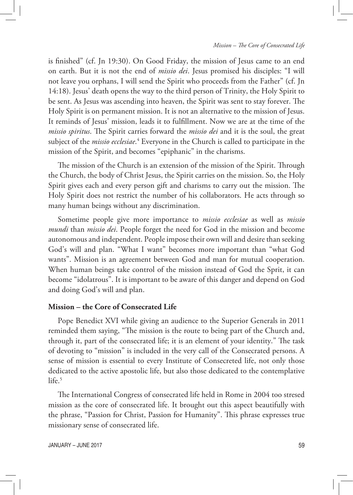is finished" (cf. Jn 19:30). On Good Friday, the mission of Jesus came to an end on earth. But it is not the end of *missio dei*. Jesus promised his disciples: "I will not leave you orphans, I will send the Spirit who proceeds from the Father" (cf. Jn 14:18). Jesus' death opens the way to the third person of Trinity, the Holy Spirit to be sent. As Jesus was ascending into heaven, the Spirit was sent to stay forever. The Holy Spirit is on permanent mission. It is not an alternative to the mission of Jesus. It reminds of Jesus' mission, leads it to fulfillment. Now we are at the time of the *missio spiritus*. The Spirit carries forward the *missio dei* and it is the soul, the great subject of the *missio ecclesiae*. 4 Everyone in the Church is called to participate in the mission of the Spirit, and becomes "epiphanic" in the charisms.

The mission of the Church is an extension of the mission of the Spirit. Through the Church, the body of Christ Jesus, the Spirit carries on the mission. So, the Holy Spirit gives each and every person gift and charisms to carry out the mission. The Holy Spirit does not restrict the number of his collaborators. He acts through so many human beings without any discrimination.

Sometime people give more importance to *missio ecclesiae* as well as *missio mundi* than *missio dei*. People forget the need for God in the mission and become autonomous and independent. People impose their own will and desire than seeking God's will and plan. "What I want" becomes more important than "what God wants". Mission is an agreement between God and man for mutual cooperation. When human beings take control of the mission instead of God the Sprit, it can become "idolatrous". It is important to be aware of this danger and depend on God and doing God's will and plan.

# **Mission – the Core of Consecrated Life**

Pope Benedict XVI while giving an audience to the Superior Generals in 2011 reminded them saying, "The mission is the route to being part of the Church and, through it, part of the consecrated life; it is an element of your identity." The task of devoting to "mission" is included in the very call of the Consecrated persons. A sense of mission is essential to every Institute of Consecreted life, not only those dedicated to the active apostolic life, but also those dedicated to the contemplative  $l$ ife. $5$ 

The International Congress of consecrated life held in Rome in 2004 too stresed mission as the core of consecrated life. It brought out this aspect beautifully with the phrase, "Passion for Christ, Passion for Humanity". This phrase expresses true missionary sense of consecrated life.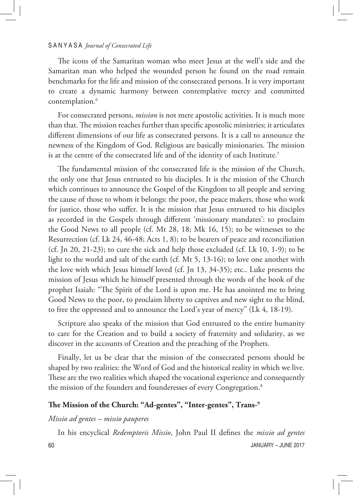The icons of the Samaritan woman who meet Jesus at the well's side and the Samaritan man who helped the wounded person he found on the road remain benchmarks for the life and mission of the consecrated persons. It is very important to create a dynamic harmony between contemplative mercy and committed contemplation. 6

For consecrated persons, *mission* is not mere apostolic activities. It is much more than that. The mission reaches further than specific apostolic ministries; it articulates different dimensions of our life as consecrated persons. It is a call to announce the newness of the Kingdom of God. Religious are basically missionaries. The mission is at the centre of the consecrated life and of the identity of each Institute. 7

The fundamental mission of the consecrated life is the mission of the Church, the only one that Jesus entrusted to his disciples. It is the mission of the Church which continues to announce the Gospel of the Kingdom to all people and serving the cause of those to whom it belongs: the poor, the peace makers, those who work for justice, those who suffer. It is the mission that Jesus entrusted to his disciples as recorded in the Gospels through different 'missionary mandates': to proclaim the Good News to all people (cf. Mt 28, 18; Mk 16, 15); to be witnesses to the Resurrection (cf. Lk 24, 46-48; Acts 1, 8); to be bearers of peace and reconciliation (cf. Jn 20, 21-23); to cure the sick and help those excluded (cf. Lk 10, 1-9); to be light to the world and salt of the earth (cf. Mt 5, 13-16); to love one another with the love with which Jesus himself loved (cf. Jn 13, 34-35); etc.. Luke presents the mission of Jesus which he himself presented through the words of the book of the prophet Isaiah: "The Spirit of the Lord is upon me. He has anointed me to bring Good News to the poor, to proclaim liberty to captives and new sight to the blind, to free the oppressed and to announce the Lord's year of mercy" (Lk 4, 18-19).

Scripture also speaks of the mission that God entrusted to the entire humanity to care for the Creation and to build a society of fraternity and solidarity, as we discover in the accounts of Creation and the preaching of the Prophets.

Finally, let us be clear that the mission of the consecrated persons should be shaped by two realities: the Word of God and the historical reality in which we live. These are the two realities which shaped the vocational experience and consequently the mission of the founders and founderesses of every Congregation.<sup>8</sup>

# **The Mission of the Church: "Ad-gentes", "Inter-gentes", Trans-9**

#### *Missio ad gentes – missio pauperes*

60 JANUARY – JUNE 2017 In his encyclical *Redemptoris Missio*, John Paul II defines the *missio ad gentes*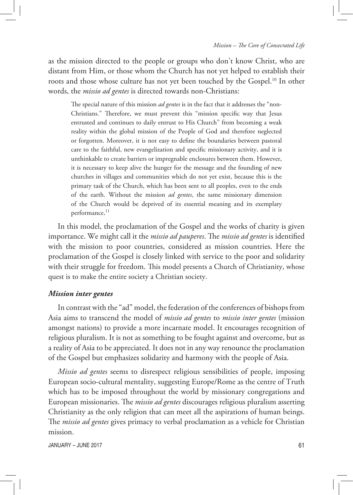as the mission directed to the people or groups who don't know Christ, who are distant from Him, or those whom the Church has not yet helped to establish their roots and those whose culture has not yet been touched by the Gospel.10 In other words, the *missio ad gentes* is directed towards non-Christians:

The special nature of this mission *ad gentes* is in the fact that it addresses the "non-Christians." Therefore, we must prevent this "mission specific way that Jesus entrusted and continues to daily entrust to His Church" from becoming a weak reality within the global mission of the People of God and therefore neglected or forgotten. Moreover, it is not easy to define the boundaries between pastoral care to the faithful, new evangelization and specific missionary activity, and it is unthinkable to create barriers or impregnable enclosures between them. However, it is necessary to keep alive the hunger for the message and the founding of new churches in villages and communities which do not yet exist, because this is the primary task of the Church, which has been sent to all peoples, even to the ends of the earth. Without the mission *ad gentes*, the same missionary dimension of the Church would be deprived of its essential meaning and its exemplary performance. 11

In this model, the proclamation of the Gospel and the works of charity is given importance. We might call it the *missio ad pauperes*. The *missio ad gentes* is identified with the mission to poor countries, considered as mission countries. Here the proclamation of the Gospel is closely linked with service to the poor and solidarity with their struggle for freedom. This model presents a Church of Christianity, whose quest is to make the entire society a Christian society.

# *Mission inter gentes*

In contrast with the "ad" model, the federation of the conferences of bishops from Asia aims to transcend the model of *missio ad gentes* to *missio inter gentes* (mission amongst nations) to provide a more incarnate model. It encourages recognition of religious pluralism. It is not as something to be fought against and overcome, but as a reality of Asia to be appreciated. It does not in any way renounce the proclamation of the Gospel but emphasizes solidarity and harmony with the people of Asia.

*Missio ad gentes* seems to disrespect religious sensibilities of people, imposing European socio-cultural mentality, suggesting Europe/Rome as the centre of Truth which has to be imposed throughout the world by missionary congregations and European missionaries. The *missio ad gentes* discourages religious pluralism asserting Christianity as the only religion that can meet all the aspirations of human beings. The *missio ad gentes* gives primacy to verbal proclamation as a vehicle for Christian mission.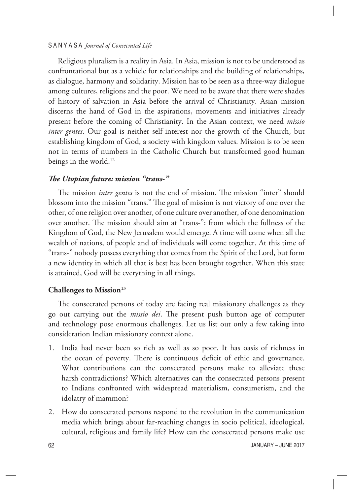Religious pluralism is a reality in Asia. In Asia, mission is not to be understood as confrontational but as a vehicle for relationships and the building of relationships, as dialogue, harmony and solidarity. Mission has to be seen as a three-way dialogue among cultures, religions and the poor. We need to be aware that there were shades of history of salvation in Asia before the arrival of Christianity. Asian mission discerns the hand of God in the aspirations, movements and initiatives already present before the coming of Christianity. In the Asian context, we need *missio inter gentes*. Our goal is neither self-interest nor the growth of the Church, but establishing kingdom of God, a society with kingdom values. Mission is to be seen not in terms of numbers in the Catholic Church but transformed good human beings in the world.<sup>12</sup>

# *The Utopian future: mission "trans-"*

The mission *inter gentes* is not the end of mission. The mission "inter" should blossom into the mission "trans." The goal of mission is not victory of one over the other, of one religion over another, of one culture over another, of one denomination over another. The mission should aim at "trans-": from which the fullness of the Kingdom of God, the New Jerusalem would emerge. A time will come when all the wealth of nations, of people and of individuals will come together. At this time of "trans-" nobody possess everything that comes from the Spirit of the Lord, but form a new identity in which all that is best has been brought together. When this state is attained, God will be everything in all things.

# **Challenges to Mission**<sup>13</sup>

The consecrated persons of today are facing real missionary challenges as they go out carrying out the *missio dei*. The present push button age of computer and technology pose enormous challenges. Let us list out only a few taking into consideration Indian missionary context alone.

- 1. India had never been so rich as well as so poor. It has oasis of richness in the ocean of poverty. There is continuous deficit of ethic and governance. What contributions can the consecrated persons make to alleviate these harsh contradictions? Which alternatives can the consecrated persons present to Indians confronted with widespread materialism, consumerism, and the idolatry of mammon?
- 2. How do consecrated persons respond to the revolution in the communication media which brings about far-reaching changes in socio political, ideological, cultural, religious and family life? How can the consecrated persons make use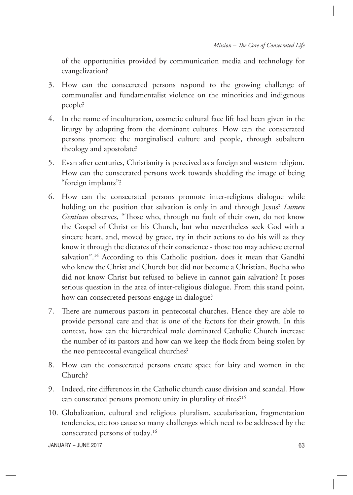of the opportunities provided by communication media and technology for evangelization?

- 3. How can the consecreted persons respond to the growing challenge of communalist and fundamentalist violence on the minorities and indigenous people?
- 4. In the name of inculturation, cosmetic cultural face lift had been given in the liturgy by adopting from the dominant cultures. How can the consecrated persons promote the marginalised culture and people, through subaltern theology and apostolate?
- 5. Evan after centuries, Christianity is perecived as a foreign and western religion. How can the consecrated persons work towards shedding the image of being "foreign implants"?
- 6. How can the consecrated persons promote inter-religious dialogue while holding on the position that salvation is only in and through Jesus? *Lumen Gentium* observes, "Those who, through no fault of their own, do not know the Gospel of Christ or his Church, but who nevertheless seek God with a sincere heart, and, moved by grace, try in their actions to do his will as they know it through the dictates of their conscience - those too may achieve eternal salvation".<sup>14</sup> According to this Catholic position, does it mean that Gandhi who knew the Christ and Church but did not become a Christian, Budha who did not know Christ but refused to believe in cannot gain salvation? It poses serious question in the area of inter-religious dialogue. From this stand point, how can consecreted persons engage in dialogue?
- 7. There are numerous pastors in pentecostal churches. Hence they are able to provide personal care and that is one of the factors for their growth. In this context, how can the hierarchical male dominated Catholic Church increase the number of its pastors and how can we keep the flock from being stolen by the neo pentecostal evangelical churches?
- 8. How can the consecrated persons create space for laity and women in the Church?
- 9. Indeed, rite differences in the Catholic church cause division and scandal. How can conscrated persons promote unity in plurality of rites?<sup>15</sup>
- 10. Globalization, cultural and religious pluralism, secularisation, fragmentation tendencies, etc too cause so many challenges which need to be addressed by the consecrated persons of today.16

JANUARY – JUNE 2017 63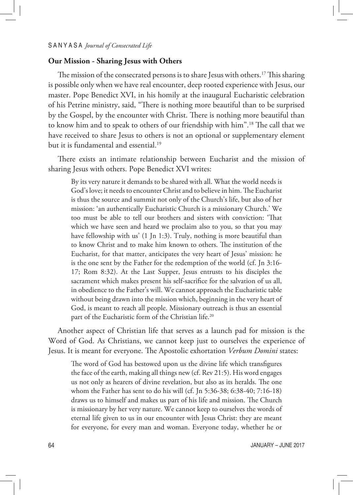# **Our Mission - Sharing Jesus with Others**

The mission of the consecrated persons is to share Jesus with others.17 This sharing is possible only when we have real encounter, deep rooted experience with Jesus, our master. Pope Benedict XVI, in his homily at the inaugural Eucharistic celebration of his Petrine ministry, said, "There is nothing more beautiful than to be surprised by the Gospel, by the encounter with Christ. There is nothing more beautiful than to know him and to speak to others of our friendship with him".18 The call that we have received to share Jesus to others is not an optional or supplementary element but it is fundamental and essential.<sup>19</sup>

There exists an intimate relationship between Eucharist and the mission of sharing Jesus with others. Pope Benedict XVI writes:

By its very nature it demands to be shared with all. What the world needs is God's love; it needs to encounter Christ and to believe in him. The Eucharist is thus the source and summit not only of the Church's life, but also of her mission: 'an authentically Eucharistic Church is a missionary Church.' We too must be able to tell our brothers and sisters with conviction: 'That which we have seen and heard we proclaim also to you, so that you may have fellowship with us' (1 Jn 1:3). Truly, nothing is more beautiful than to know Christ and to make him known to others. The institution of the Eucharist, for that matter, anticipates the very heart of Jesus' mission: he is the one sent by the Father for the redemption of the world (cf. Jn 3:16- 17; Rom 8:32). At the Last Supper, Jesus entrusts to his disciples the sacrament which makes present his self-sacrifice for the salvation of us all, in obedience to the Father's will. We cannot approach the Eucharistic table without being drawn into the mission which, beginning in the very heart of God, is meant to reach all people. Missionary outreach is thus an essential part of the Eucharistic form of the Christian life.<sup>20</sup>

Another aspect of Christian life that serves as a launch pad for mission is the Word of God. As Christians, we cannot keep just to ourselves the experience of Jesus. It is meant for everyone. The Apostolic exhortation *Verbum Domini* states:

The word of God has bestowed upon us the divine life which transfigures the face of the earth, making all things new (cf. Rev 21:5). His word engages us not only as hearers of divine revelation, but also as its heralds. The one whom the Father has sent to do his will (cf. Jn 5:36-38; 6:38-40; 7:16-18) draws us to himself and makes us part of his life and mission. The Church is missionary by her very nature. We cannot keep to ourselves the words of eternal life given to us in our encounter with Jesus Christ: they are meant for everyone, for every man and woman. Everyone today, whether he or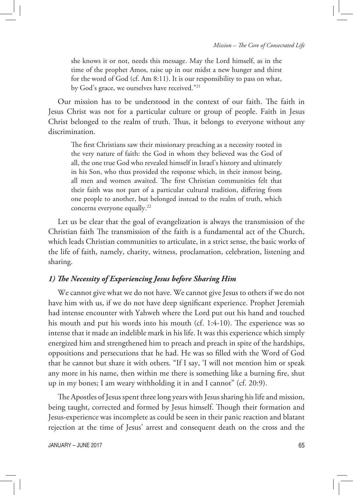she knows it or not, needs this message. May the Lord himself, as in the time of the prophet Amos, raise up in our midst a new hunger and thirst for the word of God (cf. Am 8:11). It is our responsibility to pass on what, by God's grace, we ourselves have received."21

Our mission has to be understood in the context of our faith. The faith in Jesus Christ was not for a particular culture or group of people. Faith in Jesus Christ belonged to the realm of truth. Thus, it belongs to everyone without any discrimination.

The first Christians saw their missionary preaching as a necessity rooted in the very nature of faith: the God in whom they believed was the God of all, the one true God who revealed himself in Israel's history and ultimately in his Son, who thus provided the response which, in their inmost being, all men and women awaited. The first Christian communities felt that their faith was not part of a particular cultural tradition, differing from one people to another, but belonged instead to the realm of truth, which concerns everyone equally.<sup>22</sup>

Let us be clear that the goal of evangelization is always the transmission of the Christian faith The transmission of the faith is a fundamental act of the Church, which leads Christian communities to articulate, in a strict sense, the basic works of the life of faith, namely, charity, witness, proclamation, celebration, listening and sharing.

# *1) The Necessity of Experiencing Jesus before Sharing Him*

We cannot give what we do not have. We cannot give Jesus to others if we do not have him with us, if we do not have deep significant experience. Prophet Jeremiah had intense encounter with Yahweh where the Lord put out his hand and touched his mouth and put his words into his mouth (cf. 1:4-10). The experience was so intense that it made an indelible mark in his life. It was this experience which simply energized him and strengthened him to preach and preach in spite of the hardships, oppositions and persecutions that he had. He was so filled with the Word of God that he cannot but share it with others. "If I say, 'I will not mention him or speak any more in his name, then within me there is something like a burning fire, shut up in my bones; I am weary withholding it in and I cannot" (cf. 20:9).

The Apostles of Jesus spent three long years with Jesus sharing his life and mission, being taught, corrected and formed by Jesus himself. Though their formation and Jesus-experience was incomplete as could be seen in their panic reaction and blatant rejection at the time of Jesus' arrest and consequent death on the cross and the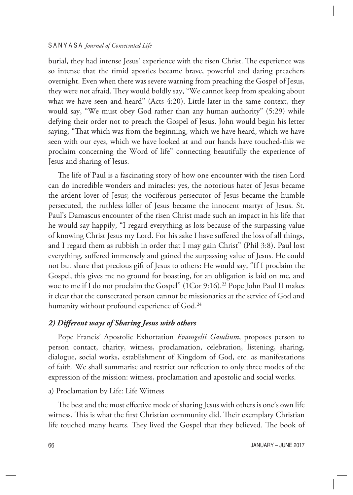burial, they had intense Jesus' experience with the risen Christ. The experience was so intense that the timid apostles became brave, powerful and daring preachers overnight. Even when there was severe warning from preaching the Gospel of Jesus, they were not afraid. They would boldly say, "We cannot keep from speaking about what we have seen and heard" (Acts 4:20). Little later in the same context, they would say, "We must obey God rather than any human authority" (5:29) while defying their order not to preach the Gospel of Jesus. John would begin his letter saying, "That which was from the beginning, which we have heard, which we have seen with our eyes, which we have looked at and our hands have touched-this we proclaim concerning the Word of life" connecting beautifully the experience of Jesus and sharing of Jesus.

The life of Paul is a fascinating story of how one encounter with the risen Lord can do incredible wonders and miracles: yes, the notorious hater of Jesus became the ardent lover of Jesus; the vociferous persecutor of Jesus became the humble persecuted, the ruthless killer of Jesus became the innocent martyr of Jesus. St. Paul's Damascus encounter of the risen Christ made such an impact in his life that he would say happily, "I regard everything as loss because of the surpassing value of knowing Christ Jesus my Lord. For his sake I have suffered the loss of all things, and I regard them as rubbish in order that I may gain Christ" (Phil 3:8). Paul lost everything, suffered immensely and gained the surpassing value of Jesus. He could not but share that precious gift of Jesus to others: He would say, "If I proclaim the Gospel, this gives me no ground for boasting, for an obligation is laid on me, and woe to me if I do not proclaim the Gospel" (1Cor 9:16).<sup>23</sup> Pope John Paul II makes it clear that the consecrated person cannot be missionaries at the service of God and humanity without profound experience of God.<sup>24</sup>

# *2) Different ways of Sharing Jesus with others*

Pope Francis' Apostolic Exhortation *Evamgelii Gaudium*, proposes person to person contact, charity, witness, proclamation, celebration, listening, sharing, dialogue, social works, establishment of Kingdom of God, etc. as manifestations of faith. We shall summarise and restrict our reflection to only three modes of the expression of the mission: witness, proclamation and apostolic and social works.

# a) Proclamation by Life: Life Witness

The best and the most effective mode of sharing Jesus with others is one's own life witness. This is what the first Christian community did. Their exemplary Christian life touched many hearts. They lived the Gospel that they believed. The book of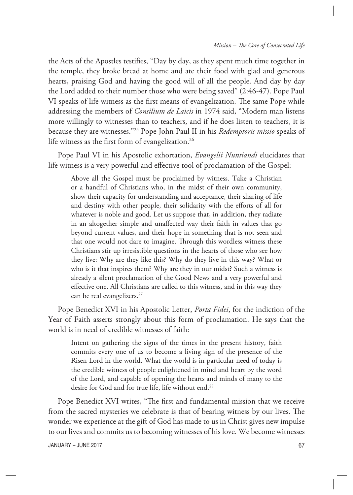the Acts of the Apostles testifies, "Day by day, as they spent much time together in the temple, they broke bread at home and ate their food with glad and generous hearts, praising God and having the good will of all the people. And day by day the Lord added to their number those who were being saved" (2:46-47). Pope Paul VI speaks of life witness as the first means of evangelization. The same Pope while addressing the members of *Consilium de Laicis* in 1974 said, "Modern man listens more willingly to witnesses than to teachers, and if he does listen to teachers, it is because they are witnesses."25 Pope John Paul II in his *Redemptoris missio* speaks of life witness as the first form of evangelization.<sup>26</sup>

Pope Paul VI in his Apostolic exhortation, *Evangelii Nuntiandi* elucidates that life witness is a very powerful and effective tool of proclamation of the Gospel:

Above all the Gospel must be proclaimed by witness. Take a Christian or a handful of Christians who, in the midst of their own community, show their capacity for understanding and acceptance, their sharing of life and destiny with other people, their solidarity with the efforts of all for whatever is noble and good. Let us suppose that, in addition, they radiate in an altogether simple and unaffected way their faith in values that go beyond current values, and their hope in something that is not seen and that one would not dare to imagine. Through this wordless witness these Christians stir up irresistible questions in the hearts of those who see how they live: Why are they like this? Why do they live in this way? What or who is it that inspires them? Why are they in our midst? Such a witness is already a silent proclamation of the Good News and a very powerful and effective one. All Christians are called to this witness, and in this way they can be real evangelizers.<sup>27</sup>

Pope Benedict XVI in his Apostolic Letter, *Porta Fidei*, for the indiction of the Year of Faith asserts strongly about this form of proclamation. He says that the world is in need of credible witnesses of faith:

Intent on gathering the signs of the times in the present history, faith commits every one of us to become a living sign of the presence of the Risen Lord in the world. What the world is in particular need of today is the credible witness of people enlightened in mind and heart by the word of the Lord, and capable of opening the hearts and minds of many to the desire for God and for true life, life without end.<sup>28</sup>

Pope Benedict XVI writes, "The first and fundamental mission that we receive from the sacred mysteries we celebrate is that of bearing witness by our lives. The wonder we experience at the gift of God has made to us in Christ gives new impulse to our lives and commits us to becoming witnesses of his love. We become witnesses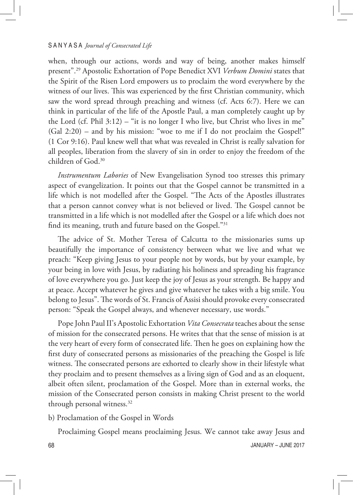when, through our actions, words and way of being, another makes himself present".29 Apostolic Exhortation of Pope Benedict XVI *Verbum Domini* states that the Spirit of the Risen Lord empowers us to proclaim the word everywhere by the witness of our lives. This was experienced by the first Christian community, which saw the word spread through preaching and witness (cf. Acts 6:7). Here we can think in particular of the life of the Apostle Paul, a man completely caught up by the Lord (cf. Phil  $3:12$ ) – "it is no longer I who live, but Christ who lives in me" (Gal 2:20) – and by his mission: "woe to me if I do not proclaim the Gospel!" (1 Cor 9:16). Paul knew well that what was revealed in Christ is really salvation for all peoples, liberation from the slavery of sin in order to enjoy the freedom of the children of God<sup>30</sup>

*Instrumentum Labories* of New Evangelisation Synod too stresses this primary aspect of evangelization. It points out that the Gospel cannot be transmitted in a life which is not modelled after the Gospel. "The Acts of the Apostles illustrates that a person cannot convey what is not believed or lived. The Gospel cannot be transmitted in a life which is not modelled after the Gospel or a life which does not find its meaning, truth and future based on the Gospel."31

The advice of St. Mother Teresa of Calcutta to the missionaries sums up beautifully the importance of consistency between what we live and what we preach: "Keep giving Jesus to your people not by words, but by your example, by your being in love with Jesus, by radiating his holiness and spreading his fragrance of love everywhere you go. Just keep the joy of Jesus as your strength. Be happy and at peace. Accept whatever he gives and give whatever he takes with a big smile. You belong to Jesus". The words of St. Francis of Assisi should provoke every consecrated person: "Speak the Gospel always, and whenever necessary, use words."

Pope John Paul II's Apostolic Exhortation *Vita Consecrata* teaches about the sense of mission for the consecrated persons. He writes that that the sense of mission is at the very heart of every form of consecrated life. Then he goes on explaining how the first duty of consecrated persons as missionaries of the preaching the Gospel is life witness. The consecrated persons are exhorted to clearly show in their lifestyle what they proclaim and to present themselves as a living sign of God and as an eloquent, albeit often silent, proclamation of the Gospel. More than in external works, the mission of the Consecrated person consists in making Christ present to the world through personal witness.<sup>32</sup>

#### b) Proclamation of the Gospel in Words

Proclaiming Gospel means proclaiming Jesus. We cannot take away Jesus and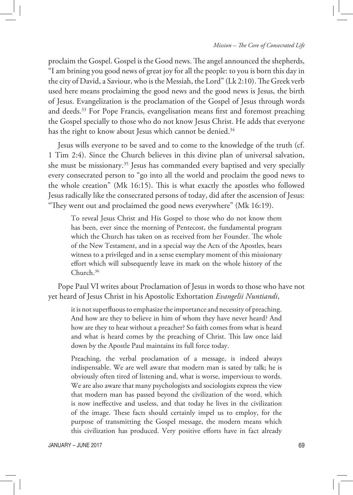proclaim the Gospel. Gospel is the Good news. The angel announced the shepherds, "I am brining you good news of great joy for all the people: to you is born this day in the city of David, a Saviour, who is the Messiah, the Lord" (Lk 2:10). The Greek verb used here means proclaiming the good news and the good news is Jesus, the birth of Jesus. Evangelization is the proclamation of the Gospel of Jesus through words and deeds.33 For Pope Francis, evangelisation means first and foremost preaching the Gospel specially to those who do not know Jesus Christ. He adds that everyone has the right to know about Jesus which cannot be denied.<sup>34</sup>

Jesus wills everyone to be saved and to come to the knowledge of the truth (cf. 1 Tim 2:4). Since the Church believes in this divine plan of universal salvation, she must be missionary.<sup>35</sup> Jesus has commanded every baptised and very specially every consecrated person to "go into all the world and proclaim the good news to the whole creation" (Mk 16:15). This is what exactly the apostles who followed Jesus radically like the consecrated persons of today, did after the ascension of Jesus: "They went out and proclaimed the good news everywhere" (Mk 16:19).

To reveal Jesus Christ and His Gospel to those who do not know them has been, ever since the morning of Pentecost, the fundamental program which the Church has taken on as received from her Founder. The whole of the New Testament, and in a special way the Acts of the Apostles, bears witness to a privileged and in a sense exemplary moment of this missionary effort which will subsequently leave its mark on the whole history of the Church.36

Pope Paul VI writes about Proclamation of Jesus in words to those who have not yet heard of Jesus Christ in his Apostolic Exhortation *Evangelii Nuntiandi*,

it is not superfluous to emphasize the importance and necessity of preaching. And how are they to believe in him of whom they have never heard? And how are they to hear without a preacher? So faith comes from what is heard and what is heard comes by the preaching of Christ. This law once laid down by the Apostle Paul maintains its full force today.

Preaching, the verbal proclamation of a message, is indeed always indispensable. We are well aware that modern man is sated by talk; he is obviously often tired of listening and, what is worse, impervious to words. We are also aware that many psychologists and sociologists express the view that modern man has passed beyond the civilization of the word, which is now ineffective and useless, and that today he lives in the civilization of the image. These facts should certainly impel us to employ, for the purpose of transmitting the Gospel message, the modern means which this civilization has produced. Very positive efforts have in fact already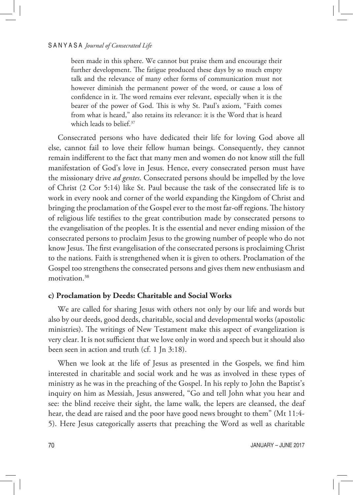been made in this sphere. We cannot but praise them and encourage their further development. The fatigue produced these days by so much empty talk and the relevance of many other forms of communication must not however diminish the permanent power of the word, or cause a loss of confidence in it. The word remains ever relevant, especially when it is the bearer of the power of God. This is why St. Paul's axiom, "Faith comes from what is heard," also retains its relevance: it is the Word that is heard which leads to belief  $37$ 

Consecrated persons who have dedicated their life for loving God above all else, cannot fail to love their fellow human beings. Consequently, they cannot remain indifferent to the fact that many men and women do not know still the full manifestation of God's love in Jesus. Hence, every consecrated person must have the missionary drive *ad gentes*. Consecrated persons should be impelled by the love of Christ (2 Cor 5:14) like St. Paul because the task of the consecrated life is to work in every nook and corner of the world expanding the Kingdom of Christ and bringing the proclamation of the Gospel ever to the most far-off regions. The history of religious life testifies to the great contribution made by consecrated persons to the evangelisation of the peoples. It is the essential and never ending mission of the consecrated persons to proclaim Jesus to the growing number of people who do not know Jesus. The first evangelisation of the consecrated persons is proclaiming Christ to the nations. Faith is strengthened when it is given to others. Proclamation of the Gospel too strengthens the consecrated persons and gives them new enthusiasm and motivation.<sup>38</sup>

# **c) Proclamation by Deeds: Charitable and Social Works**

We are called for sharing Jesus with others not only by our life and words but also by our deeds, good deeds, charitable, social and developmental works (apostolic ministries). The writings of New Testament make this aspect of evangelization is very clear. It is not sufficient that we love only in word and speech but it should also been seen in action and truth (cf. 1 Jn 3:18).

When we look at the life of Jesus as presented in the Gospels, we find him interested in charitable and social work and he was as involved in these types of ministry as he was in the preaching of the Gospel. In his reply to John the Baptist's inquiry on him as Messiah, Jesus answered, "Go and tell John what you hear and see: the blind receive their sight, the lame walk, the lepers are cleansed, the deaf hear, the dead are raised and the poor have good news brought to them" (Mt 11:4- 5). Here Jesus categorically asserts that preaching the Word as well as charitable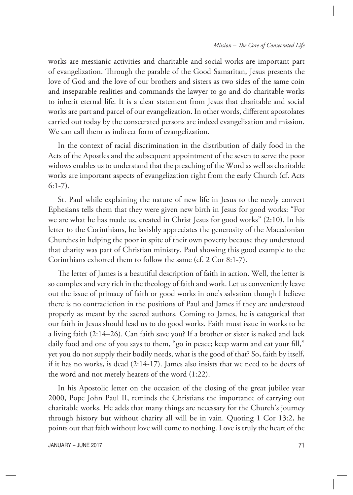works are messianic activities and charitable and social works are important part of evangelization. Through the parable of the Good Samaritan, Jesus presents the love of God and the love of our brothers and sisters as two sides of the same coin and inseparable realities and commands the lawyer to go and do charitable works to inherit eternal life. It is a clear statement from Jesus that charitable and social works are part and parcel of our evangelization. In other words, different apostolates carried out today by the consecrated persons are indeed evangelisation and mission. We can call them as indirect form of evangelization.

In the context of racial discrimination in the distribution of daily food in the Acts of the Apostles and the subsequent appointment of the seven to serve the poor widows enables us to understand that the preaching of the Word as well as charitable works are important aspects of evangelization right from the early Church (cf. Acts 6:1-7).

St. Paul while explaining the nature of new life in Jesus to the newly convert Ephesians tells them that they were given new birth in Jesus for good works: "For we are what he has made us, created in Christ Jesus for good works" (2:10). In his letter to the Corinthians, he lavishly appreciates the generosity of the Macedonian Churches in helping the poor in spite of their own poverty because they understood that charity was part of Christian ministry. Paul showing this good example to the Corinthians exhorted them to follow the same (cf. 2 Cor 8:1-7).

The letter of James is a beautiful description of faith in action. Well, the letter is so complex and very rich in the theology of faith and work. Let us conveniently leave out the issue of primacy of faith or good works in one's salvation though I believe there is no contradiction in the positions of Paul and James if they are understood properly as meant by the sacred authors. Coming to James, he is categorical that our faith in Jesus should lead us to do good works. Faith must issue in works to be a living faith (2:14–26). Can faith save you? If a brother or sister is naked and lack daily food and one of you says to them, "go in peace; keep warm and eat your fill," yet you do not supply their bodily needs, what is the good of that? So, faith by itself, if it has no works, is dead (2:14-17). James also insists that we need to be doers of the word and not merely hearers of the word (1:22).

In his Apostolic letter on the occasion of the closing of the great jubilee year 2000, Pope John Paul II, reminds the Christians the importance of carrying out charitable works. He adds that many things are necessary for the Church's journey through history but without charity all will be in vain. Quoting 1 Cor 13:2, he points out that faith without love will come to nothing. Love is truly the heart of the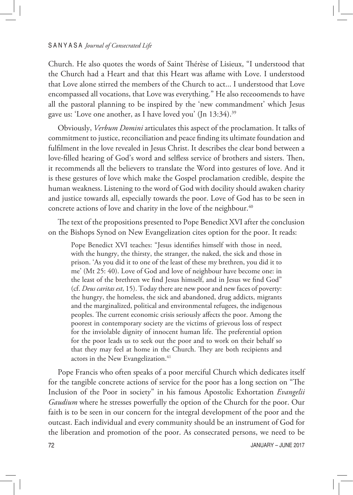Church. He also quotes the words of Saint Thérèse of Lisieux, "I understood that the Church had a Heart and that this Heart was aflame with Love. I understood that Love alone stirred the members of the Church to act... I understood that Love encompassed all vocations, that Love was everything." He also receoomends to have all the pastoral planning to be inspired by the 'new commandment' which Jesus gave us: 'Love one another, as I have loved you' (Jn 13:34).<sup>39</sup>

Obviously, *Verbum Domini* articulates this aspect of the proclamation. It talks of commitment to justice, reconciliation and peace finding its ultimate foundation and fulfilment in the love revealed in Jesus Christ. It describes the clear bond between a love-filled hearing of God's word and selfless service of brothers and sisters. Then, it recommends all the believers to translate the Word into gestures of love. And it is these gestures of love which make the Gospel proclamation credible, despite the human weakness. Listening to the word of God with docility should awaken charity and justice towards all, especially towards the poor. Love of God has to be seen in concrete actions of love and charity in the love of the neighbour.<sup>40</sup>

The text of the propositions presented to Pope Benedict XVI after the conclusion on the Bishops Synod on New Evangelization cites option for the poor. It reads:

Pope Benedict XVI teaches: "Jesus identifies himself with those in need, with the hungry, the thirsty, the stranger, the naked, the sick and those in prison. 'As you did it to one of the least of these my brethren, you did it to me' (Mt 25: 40). Love of God and love of neighbour have become one: in the least of the brethren we find Jesus himself, and in Jesus we find God" (cf. *Deus caritas est*, 15). Today there are new poor and new faces of poverty: the hungry, the homeless, the sick and abandoned, drug addicts, migrants and the marginalized, political and environmental refugees, the indigenous peoples. The current economic crisis seriously affects the poor. Among the poorest in contemporary society are the victims of grievous loss of respect for the inviolable dignity of innocent human life. The preferential option for the poor leads us to seek out the poor and to work on their behalf so that they may feel at home in the Church. They are both recipients and actors in the New Evangelization.<sup>41</sup>

Pope Francis who often speaks of a poor merciful Church which dedicates itself for the tangible concrete actions of service for the poor has a long section on "The Inclusion of the Poor in society" in his famous Apostolic Exhortation *Evangelii Gaudium* where he stresses powerfully the option of the Church for the poor. Our faith is to be seen in our concern for the integral development of the poor and the outcast. Each individual and every community should be an instrument of God for the liberation and promotion of the poor. As consecrated persons, we need to be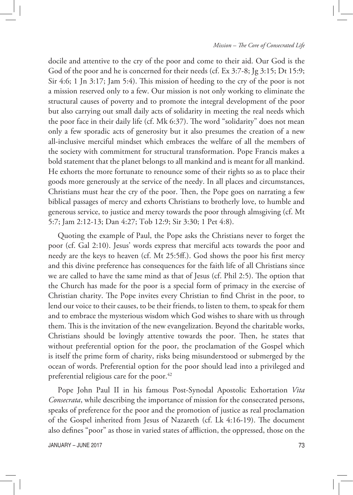docile and attentive to the cry of the poor and come to their aid. Our God is the God of the poor and he is concerned for their needs (cf. Ex 3:7-8; Jg 3:15; Dt 15:9; Sir 4:6; 1 Jn 3:17; Jam 5:4). This mission of heeding to the cry of the poor is not a mission reserved only to a few. Our mission is not only working to eliminate the structural causes of poverty and to promote the integral development of the poor but also carrying out small daily acts of solidarity in meeting the real needs which the poor face in their daily life (cf. Mk 6:37). The word "solidarity" does not mean only a few sporadic acts of generosity but it also presumes the creation of a new all-inclusive merciful mindset which embraces the welfare of all the members of the society with commitment for structural transformation. Pope Francis makes a bold statement that the planet belongs to all mankind and is meant for all mankind. He exhorts the more fortunate to renounce some of their rights so as to place their goods more generously at the service of the needy. In all places and circumstances, Christians must hear the cry of the poor. Then, the Pope goes on narrating a few biblical passages of mercy and exhorts Christians to brotherly love, to humble and generous service, to justice and mercy towards the poor through almsgiving (cf. Mt 5:7; Jam 2:12-13; Dan 4:27; Tob 12:9; Sir 3:30; 1 Pet 4:8).

Quoting the example of Paul, the Pope asks the Christians never to forget the poor (cf. Gal 2:10). Jesus' words express that merciful acts towards the poor and needy are the keys to heaven (cf. Mt 25:5ff.). God shows the poor his first mercy and this divine preference has consequences for the faith life of all Christians since we are called to have the same mind as that of Jesus (cf. Phil 2:5). The option that the Church has made for the poor is a special form of primacy in the exercise of Christian charity. The Pope invites every Christian to find Christ in the poor, to lend our voice to their causes, to be their friends, to listen to them, to speak for them and to embrace the mysterious wisdom which God wishes to share with us through them. This is the invitation of the new evangelization. Beyond the charitable works, Christians should be lovingly attentive towards the poor. Then, he states that without preferential option for the poor, the proclamation of the Gospel which is itself the prime form of charity, risks being misunderstood or submerged by the ocean of words. Preferential option for the poor should lead into a privileged and preferential religious care for the poor.<sup>42</sup>

Pope John Paul II in his famous Post-Synodal Apostolic Exhortation *Vita Consecrata*, while describing the importance of mission for the consecrated persons, speaks of preference for the poor and the promotion of justice as real proclamation of the Gospel inherited from Jesus of Nazareth (cf. Lk 4:16-19). The document also defines "poor" as those in varied states of affliction, the oppressed, those on the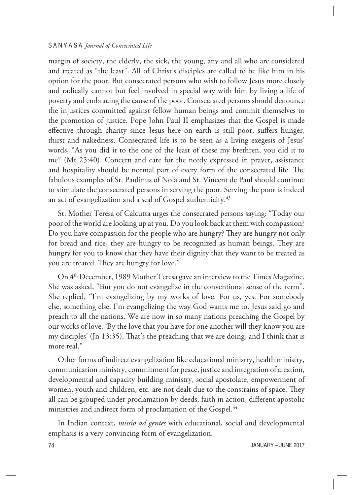margin of society, the elderly, the sick, the young, any and all who are considered and treated as "the least". All of Christ's disciples are called to be like him in his option for the poor. But consecrated persons who wish to follow Jesus more closely and radically cannot but feel involved in special way with him by living a life of poverty and embracing the cause of the poor. Consecrated persons should denounce the injustices committed against fellow human beings and commit themselves to the promotion of justice. Pope John Paul II emphasizes that the Gospel is made effective through charity since Jesus here on earth is still poor, suffers hunger, thirst and nakedness. Consecrated life is to be seen as a living exegesis of Jesus' words, "As you did it to the one of the least of these my brethren, you did it to me" (Mt 25:40). Concern and care for the needy expressed in prayer, assistance and hospitality should be normal part of every form of the consecrated life. The fabulous examples of St. Paulinus of Nola and St. Vincent de Paul should continue to stimulate the consecrated persons in serving the poor. Serving the poor is indeed an act of evangelization and a seal of Gospel authenticity.<sup>43</sup>

St. Mother Teresa of Calcutta urges the consecrated persons saying: "Today our poor of the world are looking up at you. Do you look back at them with compassion? Do you have compassion for the people who are hungry? They are hungry not only for bread and rice, they are hungry to be recognized as human beings. They are hungry for you to know that they have their dignity that they want to be treated as you are treated. They are hungry for love."

On 4th December, 1989 Mother Teresa gave an interview to the Times Magazine. She was asked, "But you do not evangelize in the conventional sense of the term". She replied, "I'm evangelizing by my works of love. For us, yes. For somebody else, something else. I'm evangelizing the way God wants me to. Jesus said go and preach to all the nations. We are now in so many nations preaching the Gospel by our works of love. 'By the love that you have for one another will they know you are my disciples' (Jn 13:35). That's the preaching that we are doing, and I think that is more real."

Other forms of indirect evangelization like educational ministry, health ministry, communication ministry, commitment for peace, justice and integration of creation, developmental and capacity building ministry, social apostolate, empowerment of women, youth and children, etc. are not dealt due to the constrains of space. They all can be grouped under proclamation by deeds, faith in action, different apostolic ministries and indirect form of proclamation of the Gospel.<sup>44</sup>

In Indian context, *missio ad gentes* with educational, social and developmental emphasis is a very convincing form of evangelization.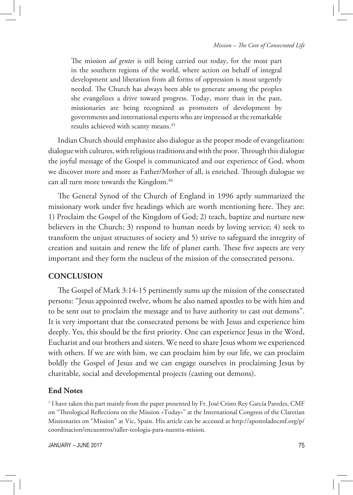The mission *ad gentes* is still being carried out today, for the most part in the southern regions of the world, where action on behalf of integral development and liberation from all forms of oppression is most urgently needed. The Church has always been able to generate among the peoples she evangelizes a drive toward progress. Today, more than in the past, missionaries are being recognized as promoters of development by governments and international experts who are impressed at the remarkable results achieved with scanty means.45

Indian Church should emphasize also dialogue as the proper mode of evangelization: dialogue with cultures, with religious traditions and with the poor. Through this dialogue the joyful message of the Gospel is communicated and our experience of God, whom we discover more and more as Father/Mother of all, is enriched. Through dialogue we can all turn more towards the Kingdom.46

The General Synod of the Church of England in 1996 aptly summarized the missionary work under five headings which are worth mentioning here. They are: 1) Proclaim the Gospel of the Kingdom of God; 2) teach, baptize and nurture new believers in the Church; 3) respond to human needs by loving service; 4) seek to transform the unjust structures of society and 5) strive to safeguard the integrity of creation and sustain and renew the life of planet earth. These five aspects are very important and they form the nucleus of the mission of the consecrated persons.

## **Conclusion**

The Gospel of Mark 3:14-15 pertinently sums up the mission of the consecrated persons: "Jesus appointed twelve, whom he also named apostles to be with him and to be sent out to proclaim the message and to have authority to cast out demons". It is very important that the consecrated persons be with Jesus and experience him deeply. Yes, this should be the first priority. One can experience Jesus in the Word, Eucharist and our brothers and sisters. We need to share Jesus whom we experienced with others. If we are with him, we can proclaim him by our life, we can proclaim boldly the Gospel of Jesus and we can engage ourselves in proclaiming Jesus by charitable, social and developmental projects (casting out demons).

## **End Notes**

1 I have taken this part mainly from the paper presented by Fr. José Cristo Rey García Paredes, CMF on "Theological Reflections on the Mission «Today»" at the International Congress of the Claretian Missionaries on "Mission" at Vic, Spain. His article can be accessed at http://apostoladocmf.org/p/ coordinacion/encuentros/taller-teologia-para-nuestra-mision.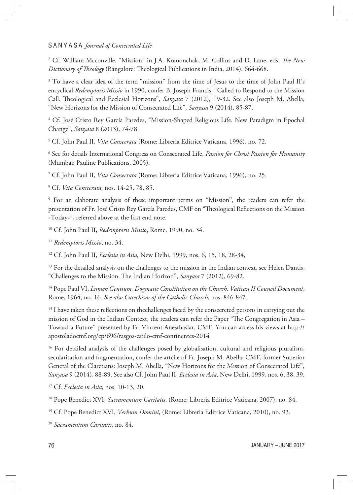2 Cf. William Mcconville, "Mission" in J.A. Komonchak, M. Collins and D. Lane, eds. *The New Dictionary of Theology* (Bangalore: Theological Publications in India, 2014), 664-668.

<sup>3</sup> To have a clear idea of the term "mission" from the time of Jesus to the time of John Paul II's encyclical *Redemptoris Missio* in 1990, confer B. Joseph Francis, "Called to Respond to the Mission Call. Theological and Ecclesial Horizons", *Sanyasa* 7 (2012), 19-32. See also Joseph M. Abella, "New Horizons for the Mission of Consecrated Life", *Sanyasa* 9 (2014), 85-87.

4 Cf. José Cristo Rey García Paredes, "Mission-Shaped Religious Life. New Paradigm in Epochal Change", *Sanyasa* 8 (2013), 74-78.

5 Cf. John Paul II, *Vita Consecrata* (Rome: Libreria Editrice Vaticana, 1996), no. 72.

6 See for details International Congress on Consecrated Life, *Passion for Christ Passion for Humanity* (Mumbai: Pauline Publications, 2005).

7 Cf. John Paul II, *Vita Consecrata* (Rome: Libreria Editrice Vaticana, 1996), no. 25.

8 Cf. *Vita Consecrata,* nos. 14-25, 78, 85.

9 For an elaborate analysis of these important terms on "Mission", the readers can refer the presentation of Fr. José Cristo Rey García Paredes, CMF on "Theological Reflections on the Mission «Today»", referred above at the first end note.

10 Cf. John Paul II, *Redemptoris Missio*, Rome, 1990, no. 34.

<sup>11</sup> *Redemptoris Missio*, no. 34.

12 Cf. John Paul II, *Ecclesia in Asia,* New Delhi, 1999, nos. 6, 15, 18, 28-34,

<sup>13</sup> For the detailed analysis on the challenges to the mission in the Indian context, see Helen Dantis, "Challenges to the Mission. The Indian Horizon", *Sanyasa* 7 (2012), 69-82.

14 Pope Paul VI, *Lumen Gentium. Dogmatic Constitution on the Church. Vatican II Council Document*, Rome, 1964, no. 16. *See also Catechism of the Catholic Church*, nos. 846-847.

<sup>15</sup> I have taken these reflections on thechallenges faced by the consecreted persons in carrying out the mission of God in the Indian Context, the readers can refer the Paper "The Congregation in Asia – Toward a Future" presented by Fr. Vincent Anesthasiar, CMF. You can access his views at http:// apostoladocmf.org/cp/696/rasgos-estilo-cmf-continentes-2014

<sup>16</sup> For detailed analysis of the challenges posed by globalisation, cultural and religious pluralism, secularisation and fragmentation, confer the artcile of Fr. Joseph M. Abella, CMF, former Superior General of the Claretians: Joseph M. Abella, "New Horizons for the Mission of Consecrated Life", *Sanyasa* 9 (2014), 88-89. See also Cf. John Paul II, *Ecclesia in Asia,* New Delhi, 1999, nos. 6, 38, 39.

17 Cf. *Ecclesia in Asia*, nos. 10-13, 20.

18 Pope Benedict XVI, *Sacramentum Caritatis*, (Rome: Libreria Editrice Vaticana, 2007), no. 84.

19 Cf. Pope Benedict XVI, *Verbum Domini*, (Rome: Libreria Editrice Vaticana, 2010), no. 93.

<sup>20</sup> *Sacramentum Caritatis*, no. 84.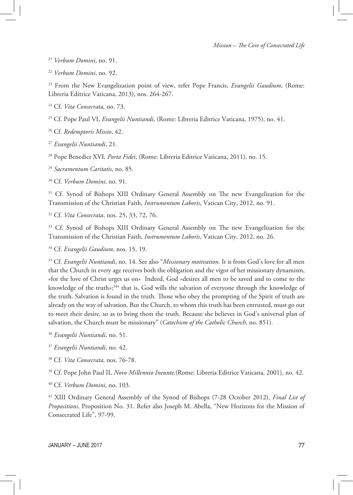<sup>21</sup> *Verbum Domini*, no. 91.

<sup>22</sup> *Verbum Domini*, no. 92.

23 From the New Evangelization point of view, refer Pope Francis, *Evangelii Gaudium*, (Rome: Libreria Editrice Vaticana, 2013), nos. 264-267.

24 Cf. *Vita Consecrata,* no. 73.

25 Cf. Pope Paul VI, *Evangelii Nuntiandi*, (Rome: Libreria Editrice Vaticana, 1975), no. 41.

26 Cf. *Redemptoris Missio*, 42.

<sup>27</sup> *Evangelii Nuntiandi*, 21.

28 Pope Benedict XVI*, Porta Fidei*, (Rome: Libreria Editrice Vaticana, 2011), no. 15.

<sup>29</sup> *Sacramentum Caritatis*, no. 85.

30 Cf. *Verbum Domini*, no. 91.

<sup>31</sup> Cf. Synod of Bishops XIII Ordinary General Assembly on The new Evangelization for the Transmission of the Christian Faith, *Instrumentum Laboris*, Vatican City, 2012, no. 91.

32 Cf. *Vita Consecrata*, nos. 25, 33, 72, 76.

<sup>33</sup> Cf. Synod of Bishops XIII Ordinary General Assembly on The new Evangelization for the Transmission of the Christian Faith, *Instrumentum Laboris*, Vatican City, 2012, no. 26.

34 Cf. *Evangelii Gaudium*, nos. 15, 19.

35 Cf. *Evangelii Nuntiandi*, no. 14. See also "*Missionary motivation*. It is from God's love for all men that the Church in every age receives both the obligation and the vigor of her missionary dynamism, «for the love of Christ urges us on» Indeed, God «desires all men to be saved and to come to the knowledge of the truth»;344 that is, God wills the salvation of everyone through the knowledge of the truth. Salvation is found in the truth. Those who obey the prompting of the Spirit of truth are already on the way of salvation. But the Church, to whom this truth has been entrusted, must go out to meet their desire, so as to bring them the truth. Because she believes in God's universal plan of salvation, the Church must be missionary" (*Catechism of the Catholic Church*, no. 851).

<sup>36</sup> *Evangelii Nuntiandi*, no. 51.

<sup>37</sup> *Evangelii Nuntiandi*, no. 42.

38 Cf. *Vita Consecrata,* nos. 76-78.

39 Cf. Pope John Paul II, *Novo Millennio Ineunte,*(Rome: Libreria Editrice Vaticana, 2001), no. 42.

40 Cf. *Verbum Domini*, no. 103.

41 XIII Ordinary General Assembly of the Synod of Bishops (7-28 October 2012), *Final List of Propositions*, Proposition No. 31. Refer also Joseph M. Abella, "New Horizons for the Mission of Consecrated Life", 97-99.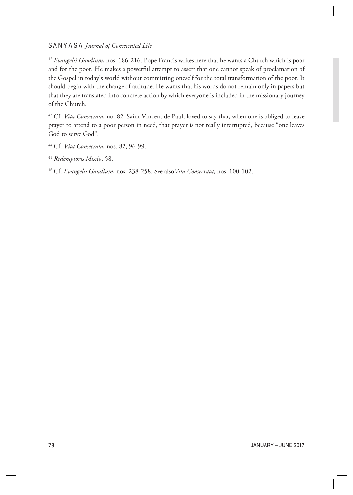<sup>42</sup> *Evangelii Gaudium*, nos. 186-216. Pope Francis writes here that he wants a Church which is poor and for the poor. He makes a powerful attempt to assert that one cannot speak of proclamation of the Gospel in today's world without committing oneself for the total transformation of the poor. It should begin with the change of attitude. He wants that his words do not remain only in papers but that they are translated into concrete action by which everyone is included in the missionary journey of the Church.

43 Cf. *Vita Consecrata,* no. 82. Saint Vincent de Paul, loved to say that, when one is obliged to leave prayer to attend to a poor person in need, that prayer is not really interrupted, because "one leaves God to serve God".

44 Cf. *Vita Consecrata,* nos. 82, 96-99.

<sup>45</sup> *Redemptoris Missio*, 58.

46 Cf. *Evangelii Gaudium*, nos. 238-258. See also*Vita Consecrata,* nos. 100-102.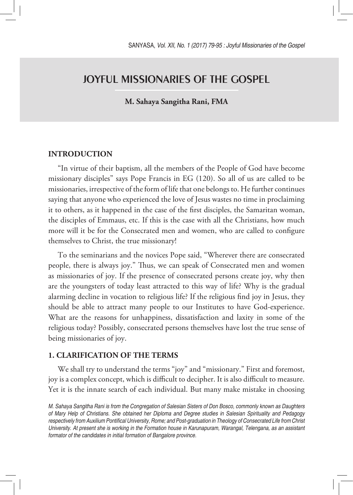# JOYFUL MISSIONARIES OF THE GOSPEL

#### **M. Sahaya Sangitha Rani, FMA**

#### **INTRODUCTION**

"In virtue of their baptism, all the members of the People of God have become missionary disciples" says Pope Francis in EG (120). So all of us are called to be missionaries, irrespective of the form of life that one belongs to. He further continues saying that anyone who experienced the love of Jesus wastes no time in proclaiming it to others, as it happened in the case of the first disciples, the Samaritan woman, the disciples of Emmaus, etc. If this is the case with all the Christians, how much more will it be for the Consecrated men and women, who are called to configure themselves to Christ, the true missionary!

To the seminarians and the novices Pope said, "Wherever there are consecrated people, there is always joy." Thus, we can speak of Consecrated men and women as missionaries of joy. If the presence of consecrated persons create joy, why then are the youngsters of today least attracted to this way of life? Why is the gradual alarming decline in vocation to religious life? If the religious find joy in Jesus, they should be able to attract many people to our Institutes to have God-experience. What are the reasons for unhappiness, dissatisfaction and laxity in some of the religious today? Possibly, consecrated persons themselves have lost the true sense of being missionaries of joy.

#### **1. CLARIFICATION OF THE TERMS**

We shall try to understand the terms "joy" and "missionary." First and foremost, joy is a complex concept, which is difficult to decipher. It is also difficult to measure. Yet it is the innate search of each individual. But many make mistake in choosing

M. Sahaya Sangitha Rani is from the Congregation of Salesian Sisters of Don Bosco, commonly known as Daughters of Mary Help of Christians. She obtained her Diploma and Degree studies in Salesian Spirituality and Pedagogy respectively from Auxilium Pontifical University, Rome; and Post-graduation in Theology of Consecrated Life from Christ University. At present she is working in the Formation house in Karunapuram, Warangal, Telengana, as an assistant *formator of the candidates in initial formation of Bangalore province.*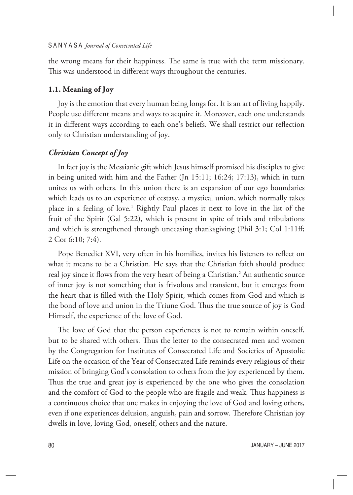the wrong means for their happiness. The same is true with the term missionary. This was understood in different ways throughout the centuries.

## **1.1. Meaning of Joy**

Joy is the emotion that every human being longs for. It is an art of living happily. People use different means and ways to acquire it. Moreover, each one understands it in different ways according to each one's beliefs. We shall restrict our reflection only to Christian understanding of joy.

## *Christian Concept of Joy*

In fact joy is the Messianic gift which Jesus himself promised his disciples to give in being united with him and the Father (Jn 15:11; 16:24; 17:13), which in turn unites us with others. In this union there is an expansion of our ego boundaries which leads us to an experience of ecstasy, a mystical union, which normally takes place in a feeling of love.1 Rightly Paul places it next to love in the list of the fruit of the Spirit (Gal 5:22), which is present in spite of trials and tribulations and which is strengthened through unceasing thanksgiving (Phil 3:1; Col 1:11ff; 2 Cor 6:10; 7:4).

Pope Benedict XVI, very often in his homilies, invites his listeners to reflect on what it means to be a Christian. He says that the Christian faith should produce real joy since it flows from the very heart of being a Christian.<sup>2</sup> An authentic source of inner joy is not something that is frivolous and transient, but it emerges from the heart that is filled with the Holy Spirit, which comes from God and which is the bond of love and union in the Triune God. Thus the true source of joy is God Himself, the experience of the love of God.

The love of God that the person experiences is not to remain within oneself, but to be shared with others. Thus the letter to the consecrated men and women by the Congregation for Institutes of Consecrated Life and Societies of Apostolic Life on the occasion of the Year of Consecrated Life reminds every religious of their mission of bringing God's consolation to others from the joy experienced by them. Thus the true and great joy is experienced by the one who gives the consolation and the comfort of God to the people who are fragile and weak. Thus happiness is a continuous choice that one makes in enjoying the love of God and loving others, even if one experiences delusion, anguish, pain and sorrow. Therefore Christian joy dwells in love, loving God, oneself, others and the nature.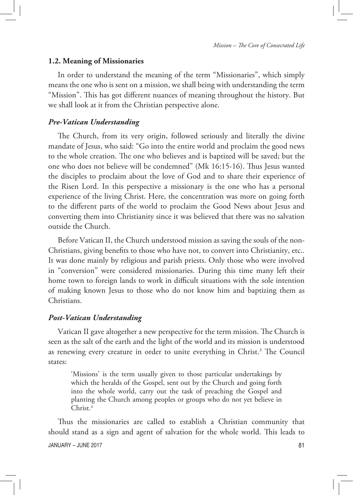## **1.2. Meaning of Missionaries**

In order to understand the meaning of the term "Missionaries", which simply means the one who is sent on a mission, we shall being with understanding the term "Mission". This has got different nuances of meaning throughout the history. But we shall look at it from the Christian perspective alone.

#### *Pre-Vatican Understanding*

The Church, from its very origin, followed seriously and literally the divine mandate of Jesus, who said: "Go into the entire world and proclaim the good news to the whole creation. The one who believes and is baptized will be saved; but the one who does not believe will be condemned" (Mk 16:15-16). Thus Jesus wanted the disciples to proclaim about the love of God and to share their experience of the Risen Lord. In this perspective a missionary is the one who has a personal experience of the living Christ. Here, the concentration was more on going forth to the different parts of the world to proclaim the Good News about Jesus and converting them into Christianity since it was believed that there was no salvation outside the Church.

Before Vatican II, the Church understood mission as saving the souls of the non-Christians, giving benefits to those who have not, to convert into Christianity, etc.. It was done mainly by religious and parish priests. Only those who were involved in "conversion" were considered missionaries. During this time many left their home town to foreign lands to work in difficult situations with the sole intention of making known Jesus to those who do not know him and baptizing them as Christians.

#### *Post-Vatican Understanding*

Vatican II gave altogether a new perspective for the term mission. The Church is seen as the salt of the earth and the light of the world and its mission is understood as renewing every creature in order to unite everything in Christ.<sup>3</sup> The Council states:

'Missions' is the term usually given to those particular undertakings by which the heralds of the Gospel, sent out by the Church and going forth into the whole world, carry out the task of preaching the Gospel and planting the Church among peoples or groups who do not yet believe in Christ.<sup>4</sup>

Thus the missionaries are called to establish a Christian community that should stand as a sign and agent of salvation for the whole world. This leads to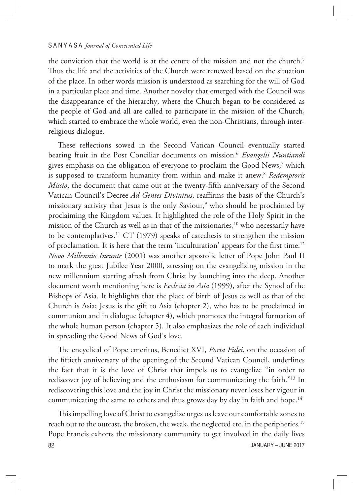the conviction that the world is at the centre of the mission and not the church.<sup>5</sup> Thus the life and the activities of the Church were renewed based on the situation of the place. In other words mission is understood as searching for the will of God in a particular place and time. Another novelty that emerged with the Council was the disappearance of the hierarchy, where the Church began to be considered as the people of God and all are called to participate in the mission of the Church, which started to embrace the whole world, even the non-Christians, through interreligious dialogue.

These reflections sowed in the Second Vatican Council eventually started bearing fruit in the Post Conciliar documents on mission.6 *Evangelii Nuntiandi* gives emphasis on the obligation of everyone to proclaim the Good News,<sup>7</sup> which is supposed to transform humanity from within and make it anew.8 *Redemptoris Missio*, the document that came out at the twenty-fifth anniversary of the Second Vatican Council's Decree *Ad Gentes Divinitus*, reaffirms the basis of the Church's missionary activity that Jesus is the only Saviour,<sup>9</sup> who should be proclaimed by proclaiming the Kingdom values. It highlighted the role of the Holy Spirit in the mission of the Church as well as in that of the missionaries, $10$  who necessarily have to be contemplatives.<sup>11</sup> CT (1979) speaks of catechesis to strengthen the mission of proclamation. It is here that the term 'inculturation' appears for the first time.<sup>12</sup> *Novo Millennio Ineunte* (2001) was another apostolic letter of Pope John Paul II to mark the great Jubilee Year 2000, stressing on the evangelizing mission in the new millennium starting afresh from Christ by launching into the deep. Another document worth mentioning here is *Ecclesia in Asia* (1999), after the Synod of the Bishops of Asia. It highlights that the place of birth of Jesus as well as that of the Church is Asia; Jesus is the gift to Asia (chapter 2), who has to be proclaimed in communion and in dialogue (chapter 4), which promotes the integral formation of the whole human person (chapter 5). It also emphasizes the role of each individual in spreading the Good News of God's love.

The encyclical of Pope emeritus, Benedict XVI, *Porta Fidei*, on the occasion of the fiftieth anniversary of the opening of the Second Vatican Council, underlines the fact that it is the love of Christ that impels us to evangelize "in order to rediscover joy of believing and the enthusiasm for communicating the faith."13 In rediscovering this love and the joy in Christ the missionary never loses her vigour in communicating the same to others and thus grows day by day in faith and hope.<sup>14</sup>

82 JANUARY – JUNE 2017 This impelling love of Christ to evangelize urges us leave our comfortable zones to reach out to the outcast, the broken, the weak, the neglected etc. in the peripheries.<sup>15</sup> Pope Francis exhorts the missionary community to get involved in the daily lives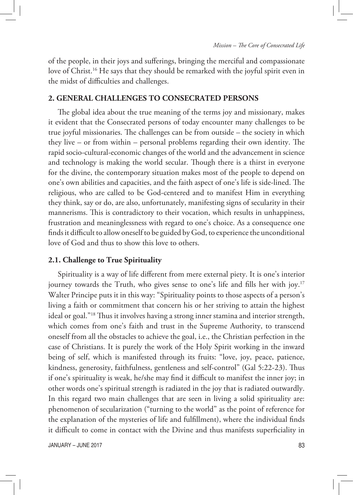of the people, in their joys and sufferings, bringing the merciful and compassionate love of Christ.16 He says that they should be remarked with the joyful spirit even in the midst of difficulties and challenges.

## **2. GENERAL CHALLENGES TO CONSECRATED PERSONS**

The global idea about the true meaning of the terms joy and missionary, makes it evident that the Consecrated persons of today encounter many challenges to be true joyful missionaries. The challenges can be from outside – the society in which they live – or from within – personal problems regarding their own identity. The rapid socio-cultural-economic changes of the world and the advancement in science and technology is making the world secular. Though there is a thirst in everyone for the divine, the contemporary situation makes most of the people to depend on one's own abilities and capacities, and the faith aspect of one's life is side-lined. The religious, who are called to be God-centered and to manifest Him in everything they think, say or do, are also, unfortunately, manifesting signs of secularity in their mannerisms. This is contradictory to their vocation, which results in unhappiness, frustration and meaninglessness with regard to one's choice. As a consequence one finds it difficult to allow oneself to be guided by God, to experience the unconditional love of God and thus to show this love to others.

## **2.1. Challenge to True Spirituality**

Spirituality is a way of life different from mere external piety. It is one's interior journey towards the Truth, who gives sense to one's life and fills her with joy.17 Walter Principe puts it in this way: "Spirituality points to those aspects of a person's living a faith or commitment that concern his or her striving to attain the highest ideal or goal."18 Thus it involves having a strong inner stamina and interior strength, which comes from one's faith and trust in the Supreme Authority, to transcend oneself from all the obstacles to achieve the goal, i.e., the Christian perfection in the case of Christians. It is purely the work of the Holy Spirit working in the inward being of self, which is manifested through its fruits: "love, joy, peace, patience, kindness, generosity, faithfulness, gentleness and self-control" (Gal 5:22-23). Thus if one's spirituality is weak, he/she may find it difficult to manifest the inner joy; in other words one's spiritual strength is radiated in the joy that is radiated outwardly. In this regard two main challenges that are seen in living a solid spirituality are: phenomenon of secularization ("turning to the world" as the point of reference for the explanation of the mysteries of life and fulfillment), where the individual finds it difficult to come in contact with the Divine and thus manifests superficiality in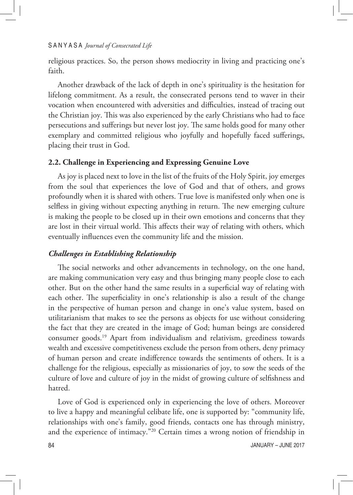religious practices. So, the person shows mediocrity in living and practicing one's faith.

Another drawback of the lack of depth in one's spirituality is the hesitation for lifelong commitment. As a result, the consecrated persons tend to waver in their vocation when encountered with adversities and difficulties, instead of tracing out the Christian joy. This was also experienced by the early Christians who had to face persecutions and sufferings but never lost joy. The same holds good for many other exemplary and committed religious who joyfully and hopefully faced sufferings, placing their trust in God.

#### **2.2. Challenge in Experiencing and Expressing Genuine Love**

As joy is placed next to love in the list of the fruits of the Holy Spirit, joy emerges from the soul that experiences the love of God and that of others, and grows profoundly when it is shared with others. True love is manifested only when one is selfless in giving without expecting anything in return. The new emerging culture is making the people to be closed up in their own emotions and concerns that they are lost in their virtual world. This affects their way of relating with others, which eventually influences even the community life and the mission.

#### *Challenges in Establishing Relationship*

The social networks and other advancements in technology, on the one hand, are making communication very easy and thus bringing many people close to each other. But on the other hand the same results in a superficial way of relating with each other. The superficiality in one's relationship is also a result of the change in the perspective of human person and change in one's value system, based on utilitarianism that makes to see the persons as objects for use without considering the fact that they are created in the image of God; human beings are considered consumer goods.19 Apart from individualism and relativism, greediness towards wealth and excessive competitiveness exclude the person from others, deny primacy of human person and create indifference towards the sentiments of others. It is a challenge for the religious, especially as missionaries of joy, to sow the seeds of the culture of love and culture of joy in the midst of growing culture of selfishness and hatred.

Love of God is experienced only in experiencing the love of others. Moreover to live a happy and meaningful celibate life, one is supported by: "community life, relationships with one's family, good friends, contacts one has through ministry, and the experience of intimacy."20 Certain times a wrong notion of friendship in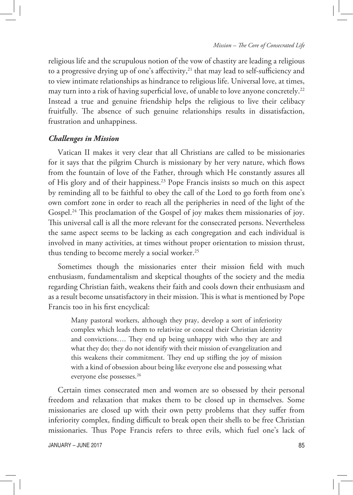religious life and the scrupulous notion of the vow of chastity are leading a religious to a progressive drying up of one's affectivity, $21$  that may lead to self-sufficiency and to view intimate relationships as hindrance to religious life. Universal love, at times, may turn into a risk of having superficial love, of unable to love anyone concretely.<sup>22</sup> Instead a true and genuine friendship helps the religious to live their celibacy fruitfully. The absence of such genuine relationships results in dissatisfaction, frustration and unhappiness.

## *Challenges in Mission*

Vatican II makes it very clear that all Christians are called to be missionaries for it says that the pilgrim Church is missionary by her very nature, which flows from the fountain of love of the Father, through which He constantly assures all of His glory and of their happiness.23 Pope Francis insists so much on this aspect by reminding all to be faithful to obey the call of the Lord to go forth from one's own comfort zone in order to reach all the peripheries in need of the light of the Gospel.24 This proclamation of the Gospel of joy makes them missionaries of joy. This universal call is all the more relevant for the consecrated persons. Nevertheless the same aspect seems to be lacking as each congregation and each individual is involved in many activities, at times without proper orientation to mission thrust, thus tending to become merely a social worker.<sup>25</sup>

Sometimes though the missionaries enter their mission field with much enthusiasm, fundamentalism and skeptical thoughts of the society and the media regarding Christian faith, weakens their faith and cools down their enthusiasm and as a result become unsatisfactory in their mission. This is what is mentioned by Pope Francis too in his first encyclical:

Many pastoral workers, although they pray, develop a sort of inferiority complex which leads them to relativize or conceal their Christian identity and convictions…. They end up being unhappy with who they are and what they do; they do not identify with their mission of evangelization and this weakens their commitment. They end up stifling the joy of mission with a kind of obsession about being like everyone else and possessing what everyone else possesses.26

Certain times consecrated men and women are so obsessed by their personal freedom and relaxation that makes them to be closed up in themselves. Some missionaries are closed up with their own petty problems that they suffer from inferiority complex, finding difficult to break open their shells to be free Christian missionaries. Thus Pope Francis refers to three evils, which fuel one's lack of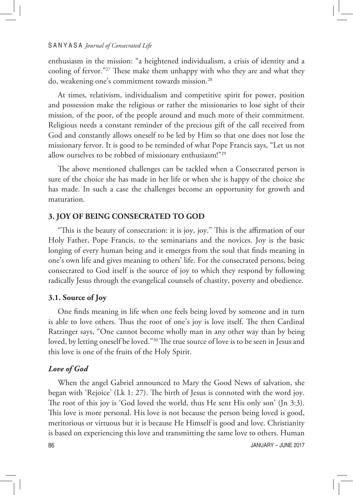enthusiasm in the mission: "a heightened individualism, a crisis of identity and a cooling of fervor."<sup>27</sup> These make them unhappy with who they are and what they do, weakening one's commitment towards mission.<sup>28</sup>

At times, relativism, individualism and competitive spirit for power, position and possession make the religious or rather the missionaries to lose sight of their mission, of the poor, of the people around and much more of their commitment. Religious needs a constant reminder of the precious gift of the call received from God and constantly allows oneself to be led by Him so that one does not lose the missionary fervor. It is good to be reminded of what Pope Francis says, "Let us not allow ourselves to be robbed of missionary enthusiasm!"29

The above mentioned challenges can be tackled when a Consecrated person is sure of the choice she has made in her life or when she is happy of the choice she has made. In such a case the challenges become an opportunity for growth and maturation.

## **3. JOY OF BEING CONSECRATED TO GOD**

"This is the beauty of consecration: it is joy, joy." This is the affirmation of our Holy Father, Pope Francis, to the seminarians and the novices. Joy is the basic longing of every human being and it emerges from the soul that finds meaning in one's own life and gives meaning to others' life. For the consecrated persons, being consecrated to God itself is the source of joy to which they respond by following radically Jesus through the evangelical counsels of chastity, poverty and obedience.

#### **3.1. Source of Joy**

One finds meaning in life when one feels being loved by someone and in turn is able to love others. Thus the root of one's joy is love itself. The then Cardinal Ratzinger says, "One cannot become wholly man in any other way than by being loved, by letting oneself be loved."<sup>30</sup> The true source of love is to be seen in Jesus and this love is one of the fruits of the Holy Spirit.

#### *Love of God*

When the angel Gabriel announced to Mary the Good News of salvation, she began with 'Rejoice' (Lk 1: 27). The birth of Jesus is connoted with the word joy. The root of this joy is 'God loved the world, thus He sent His only son' (Jn 3:3). This love is more personal. His love is not because the person being loved is good, meritorious or virtuous but it is because He Himself is good and love. Christianity is based on experiencing this love and transmitting the same love to others. Human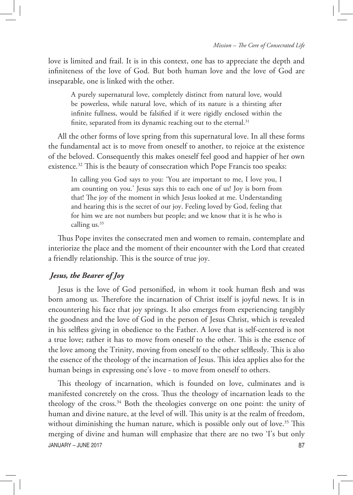love is limited and frail. It is in this context, one has to appreciate the depth and infiniteness of the love of God. But both human love and the love of God are inseparable, one is linked with the other.

A purely supernatural love, completely distinct from natural love, would be powerless, while natural love, which of its nature is a thirsting after infinite fullness, would be falsified if it were rigidly enclosed within the finite, separated from its dynamic reaching out to the eternal.<sup>31</sup>

All the other forms of love spring from this supernatural love. In all these forms the fundamental act is to move from oneself to another, to rejoice at the existence of the beloved. Consequently this makes oneself feel good and happier of her own existence.32 This is the beauty of consecration which Pope Francis too speaks:

In calling you God says to you: 'You are important to me, I love you, I am counting on you.' Jesus says this to each one of us! Joy is born from that! The joy of the moment in which Jesus looked at me. Understanding and hearing this is the secret of our joy. Feeling loved by God, feeling that for him we are not numbers but people; and we know that it is he who is calling us. $33$ 

Thus Pope invites the consecrated men and women to remain, contemplate and interiorize the place and the moment of their encounter with the Lord that created a friendly relationship. This is the source of true joy.

## *Jesus, the Bearer of Joy*

Jesus is the love of God personified, in whom it took human flesh and was born among us. Therefore the incarnation of Christ itself is joyful news. It is in encountering his face that joy springs. It also emerges from experiencing tangibly the goodness and the love of God in the person of Jesus Christ, which is revealed in his selfless giving in obedience to the Father. A love that is self-centered is not a true love; rather it has to move from oneself to the other. This is the essence of the love among the Trinity, moving from oneself to the other selflessly. This is also the essence of the theology of the incarnation of Jesus. This idea applies also for the human beings in expressing one's love - to move from oneself to others.

JANUARY – JUNE 2017 87 This theology of incarnation, which is founded on love, culminates and is manifested concretely on the cross. Thus the theology of incarnation leads to the theology of the cross.<sup>34</sup> Both the theologies converge on one point: the unity of human and divine nature, at the level of will. This unity is at the realm of freedom, without diminishing the human nature, which is possible only out of love.<sup>35</sup> This merging of divine and human will emphasize that there are no two 'I's but only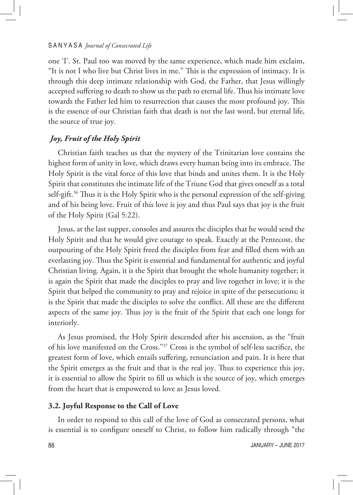one 'I'. St. Paul too was moved by the same experience, which made him exclaim, "It is not I who live but Christ lives in me." This is the expression of intimacy. It is through this deep intimate relationship with God, the Father, that Jesus willingly accepted suffering to death to show us the path to eternal life. Thus his intimate love towards the Father led him to resurrection that causes the most profound joy. This is the essence of our Christian faith that death is not the last word, but eternal life, the source of true joy.

## *Joy, Fruit of the Holy Spirit*

Christian faith teaches us that the mystery of the Trinitarian love contains the highest form of unity in love, which draws every human being into its embrace. The Holy Spirit is the vital force of this love that binds and unites them. It is the Holy Spirit that constitutes the intimate life of the Triune God that gives oneself as a total self-gift.<sup>36</sup> Thus it is the Holy Spirit who is the personal expression of the self-giving and of his being love. Fruit of this love is joy and thus Paul says that joy is the fruit of the Holy Spirit (Gal 5:22).

Jesus, at the last supper, consoles and assures the disciples that he would send the Holy Spirit and that he would give courage to speak. Exactly at the Pentecost, the outpouring of the Holy Spirit freed the disciples from fear and filled them with an everlasting joy. Thus the Spirit is essential and fundamental for authentic and joyful Christian living. Again, it is the Spirit that brought the whole humanity together; it is again the Spirit that made the disciples to pray and live together in love; it is the Spirit that helped the community to pray and rejoice in spite of the persecutions; it is the Spirit that made the disciples to solve the conflict. All these are the different aspects of the same joy. Thus joy is the fruit of the Spirit that each one longs for interiorly.

As Jesus promised, the Holy Spirit descended after his ascension, as the "fruit of his love manifested on the Cross."37 Cross is the symbol of self-less sacrifice, the greatest form of love, which entails suffering, renunciation and pain. It is here that the Spirit emerges as the fruit and that is the real joy. Thus to experience this joy, it is essential to allow the Spirit to fill us which is the source of joy, which emerges from the heart that is empowered to love as Jesus loved.

## **3.2. Joyful Response to the Call of Love**

In order to respond to this call of the love of God as consecrated persons, what is essential is to configure oneself to Christ, to follow him radically through "the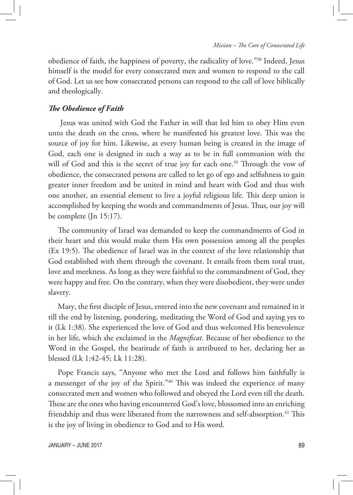obedience of faith, the happiness of poverty, the radicality of love."38 Indeed, Jesus himself is the model for every consecrated men and women to respond to the call of God. Let us see how consecrated persons can respond to the call of love biblically and theologically.

### *The Obedience of Faith*

 Jesus was united with God the Father in will that led him to obey Him even unto the death on the cross, where he manifested his greatest love. This was the source of joy for him. Likewise, as every human being is created in the image of God, each one is designed in such a way as to be in full communion with the will of God and this is the secret of true joy for each one.<sup>39</sup> Through the vow of obedience, the consecrated persons are called to let go of ego and selfishness to gain greater inner freedom and be united in mind and heart with God and thus with one another, an essential element to live a joyful religious life. This deep union is accomplished by keeping the words and commandments of Jesus. Thus, our joy will be complete (Jn 15:17).

The community of Israel was demanded to keep the commandments of God in their heart and this would make them His own possession among all the peoples (Ex 19:5). The obedience of Israel was in the context of the love relationship that God established with them through the covenant. It entails from them total trust, love and meekness. As long as they were faithful to the commandment of God, they were happy and free. On the contrary, when they were disobedient, they were under slavery.

Mary, the first disciple of Jesus, entered into the new covenant and remained in it till the end by listening, pondering, meditating the Word of God and saying yes to it (Lk 1:38). She experienced the love of God and thus welcomed His benevolence in her life, which she exclaimed in the *Magnificat*. Because of her obedience to the Word in the Gospel, the beatitude of faith is attributed to her, declaring her as blessed (Lk 1:42-45; Lk 11:28).

Pope Francis says, "Anyone who met the Lord and follows him faithfully is a messenger of the joy of the Spirit."40 This was indeed the experience of many consecrated men and women who followed and obeyed the Lord even till the death. These are the ones who having encountered God's love, blossomed into an enriching friendship and thus were liberated from the narrowness and self-absorption.<sup>41</sup> This is the joy of living in obedience to God and to His word.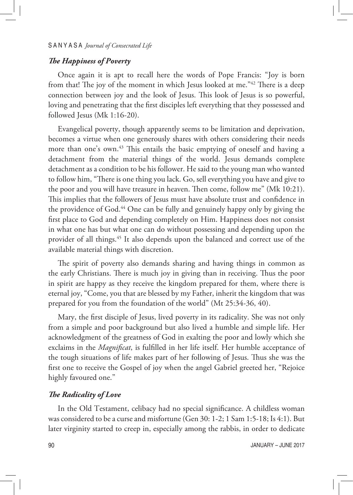## *The Happiness of Poverty*

Once again it is apt to recall here the words of Pope Francis: "Joy is born from that! The joy of the moment in which Jesus looked at me."42 There is a deep connection between joy and the look of Jesus. This look of Jesus is so powerful, loving and penetrating that the first disciples left everything that they possessed and followed Jesus (Mk 1:16-20).

Evangelical poverty, though apparently seems to be limitation and deprivation, becomes a virtue when one generously shares with others considering their needs more than one's own.<sup>43</sup> This entails the basic emptying of oneself and having a detachment from the material things of the world. Jesus demands complete detachment as a condition to be his follower. He said to the young man who wanted to follow him, "There is one thing you lack. Go, sell everything you have and give to the poor and you will have treasure in heaven. Then come, follow me" (Mk 10:21). This implies that the followers of Jesus must have absolute trust and confidence in the providence of God.<sup>44</sup> One can be fully and genuinely happy only by giving the first place to God and depending completely on Him. Happiness does not consist in what one has but what one can do without possessing and depending upon the provider of all things.<sup>45</sup> It also depends upon the balanced and correct use of the available material things with discretion.

The spirit of poverty also demands sharing and having things in common as the early Christians. There is much joy in giving than in receiving. Thus the poor in spirit are happy as they receive the kingdom prepared for them, where there is eternal joy, "Come, you that are blessed by my Father, inherit the kingdom that was prepared for you from the foundation of the world" (Mt 25:34-36, 40).

Mary, the first disciple of Jesus, lived poverty in its radicality. She was not only from a simple and poor background but also lived a humble and simple life. Her acknowledgment of the greatness of God in exalting the poor and lowly which she exclaims in the *Magnificat*, is fulfilled in her life itself. Her humble acceptance of the tough situations of life makes part of her following of Jesus. Thus she was the first one to receive the Gospel of joy when the angel Gabriel greeted her, "Rejoice highly favoured one."

## *The Radicality of Love*

In the Old Testament, celibacy had no special significance. A childless woman was considered to be a curse and misfortune (Gen 30: 1-2; 1 Sam 1:5-18; Is 4:1). But later virginity started to creep in, especially among the rabbis, in order to dedicate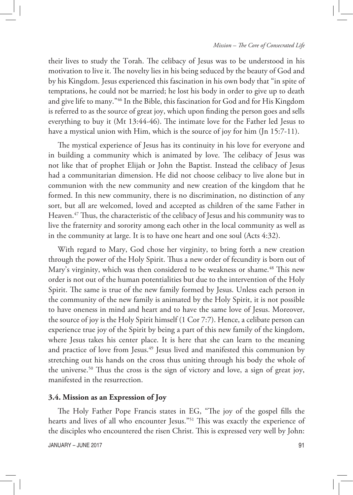their lives to study the Torah. The celibacy of Jesus was to be understood in his motivation to live it. The novelty lies in his being seduced by the beauty of God and by his Kingdom. Jesus experienced this fascination in his own body that "in spite of temptations, he could not be married; he lost his body in order to give up to death and give life to many."46 In the Bible, this fascination for God and for His Kingdom is referred to as the source of great joy, which upon finding the person goes and sells everything to buy it (Mt 13:44-46). The intimate love for the Father led Jesus to have a mystical union with Him, which is the source of joy for him (Jn 15:7-11).

The mystical experience of Jesus has its continuity in his love for everyone and in building a community which is animated by love. The celibacy of Jesus was not like that of prophet Elijah or John the Baptist. Instead the celibacy of Jesus had a communitarian dimension. He did not choose celibacy to live alone but in communion with the new community and new creation of the kingdom that he formed. In this new community, there is no discrimination, no distinction of any sort, but all are welcomed, loved and accepted as children of the same Father in Heaven.<sup>47</sup> Thus, the characteristic of the celibacy of Jesus and his community was to live the fraternity and sorority among each other in the local community as well as in the community at large. It is to have one heart and one soul (Acts 4:32).

With regard to Mary, God chose her virginity, to bring forth a new creation through the power of the Holy Spirit. Thus a new order of fecundity is born out of Mary's virginity, which was then considered to be weakness or shame.<sup>48</sup> This new order is not out of the human potentialities but due to the intervention of the Holy Spirit. The same is true of the new family formed by Jesus. Unless each person in the community of the new family is animated by the Holy Spirit, it is not possible to have oneness in mind and heart and to have the same love of Jesus. Moreover, the source of joy is the Holy Spirit himself (1 Cor 7:7). Hence, a celibate person can experience true joy of the Spirit by being a part of this new family of the kingdom, where Jesus takes his center place. It is here that she can learn to the meaning and practice of love from Jesus.49 Jesus lived and manifested this communion by stretching out his hands on the cross thus uniting through his body the whole of the universe.50 Thus the cross is the sign of victory and love, a sign of great joy, manifested in the resurrection.

## **3.4. Mission as an Expression of Joy**

The Holy Father Pope Francis states in EG, "The joy of the gospel fills the hearts and lives of all who encounter Jesus."51 This was exactly the experience of the disciples who encountered the risen Christ. This is expressed very well by John: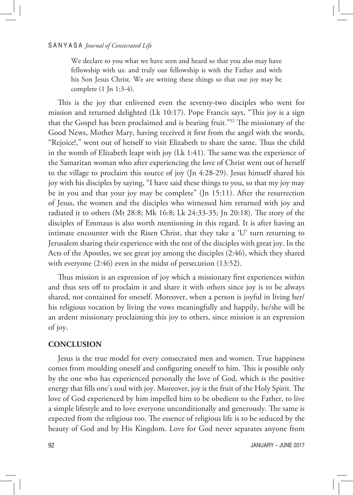We declare to you what we have seen and heard so that you also may have fellowship with us: and truly our fellowship is with the Father and with his Son Jesus Christ. We are writing these things so that our joy may be complete (1 Jn 1:3-4).

This is the joy that enlivened even the seventy-two disciples who went for mission and returned delighted (Lk 10:17). Pope Francis says, "This joy is a sign that the Gospel has been proclaimed and is bearing fruit."52 The missionary of the Good News, Mother Mary, having received it first from the angel with the words, "Rejoice!," went out of herself to visit Elizabeth to share the same. Thus the child in the womb of Elizabeth leapt with joy (Lk 1:41). The same was the experience of the Samaritan woman who after experiencing the love of Christ went out of herself to the village to proclaim this source of joy (Jn 4:28-29). Jesus himself shared his joy with his disciples by saying, "I have said these things to you, so that my joy may be in you and that your joy may be complete" (Jn 15:11). After the resurrection of Jesus, the women and the disciples who witnessed him returned with joy and radiated it to others (Mt 28:8; Mk 16:8; Lk 24:33-35; Jn 20:18). The story of the disciples of Emmaus is also worth mentioning in this regard. It is after having an intimate encounter with the Risen Christ, that they take a 'U' turn returning to Jerusalem sharing their experience with the rest of the disciples with great joy. In the Acts of the Apostles, we see great joy among the disciples (2:46), which they shared with everyone (2:46) even in the midst of persecution (13:52).

Thus mission is an expression of joy which a missionary first experiences within and thus sets off to proclaim it and share it with others since joy is to be always shared, not contained for oneself. Moreover, when a person is joyful in living her/ his religious vocation by living the vows meaningfully and happily, he/she will be an ardent missionary proclaiming this joy to others, since mission is an expression of joy.

#### **CONCLUSION**

Jesus is the true model for every consecrated men and women. True happiness comes from moulding oneself and configuring oneself to him. This is possible only by the one who has experienced personally the love of God, which is the positive energy that fills one's soul with joy. Moreover, joy is the fruit of the Holy Spirit. The love of God experienced by him impelled him to be obedient to the Father, to live a simple lifestyle and to love everyone unconditionally and generously. The same is expected from the religious too. The essence of religious life is to be seduced by the beauty of God and by His Kingdom. Love for God never separates anyone from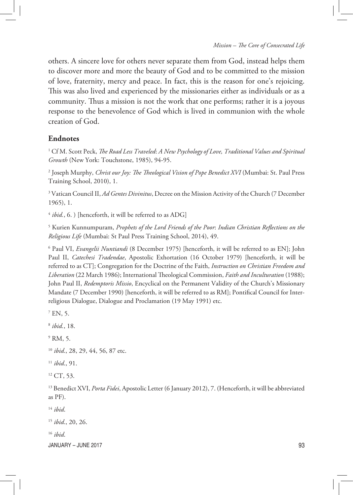others. A sincere love for others never separate them from God, instead helps them to discover more and more the beauty of God and to be committed to the mission of love, fraternity, mercy and peace. In fact, this is the reason for one's rejoicing. This was also lived and experienced by the missionaries either as individuals or as a community. Thus a mission is not the work that one performs; rather it is a joyous response to the benevolence of God which is lived in communion with the whole creation of God.

## **Endnotes**

1 Cf M. Scott Peck, *The Road Less Traveled*: *A New Psychology of Love, Traditional Values and Spiritual Growth* (New York: Touchstone, 1985), 94-95.

2 Joseph Murphy, *Christ our Joy: The Theological Vision of Pope Benedict XVI* (Mumbai: St. Paul Press Training School, 2010), 1.

3 Vatican Council II, *Ad Gentes Divinitus*, Decree on the Mission Activity of the Church (7 December 1965), 1.

<sup>4</sup> *ibid.*, 6. ) [henceforth, it will be referred to as ADG]

5 Kurien Kunnumpuram, *Prophets of the Lord Friends of the Poor*: *Indian Christian Reflections on the Religious Life* (Mumbai: St Paul Press Training School, 2014), 49.

6 Paul VI, *Evangelii Nuntiandi* (8 December 1975) [henceforth, it will be referred to as EN]; John Paul II, *Catechesi Tradendae*, Apostolic Exhortation (16 October 1979) [henceforth, it will be referred to as CT]; Congregation for the Doctrine of the Faith, *Instruction on Christian Freedom and Liberation* (22 March 1986); International Theological Commission, *Faith and Inculturation* (1988); John Paul II, *Redemptoris Missio*, Encyclical on the Permanent Validity of the Church's Missionary Mandate (7 December 1990) [henceforth, it will be referred to as RM]; Pontifical Council for Interreligious Dialogue, Dialogue and Proclamation (19 May 1991) etc.

 $7$  EN, 5.

<sup>8</sup> *ibid.*, 18.

9 RM, 5.

<sup>10</sup> *ibid.*, 28, 29, 44, 56, 87 etc.

<sup>11</sup> *ibid*., 91.

<sup>12</sup> CT, 53.

13 Benedict XVI, *Porta Fidei*, Apostolic Letter (6 January 2012), 7. (Henceforth, it will be abbreviated as PF).

<sup>14</sup> *ibid*.

<sup>15</sup> *ibid*., 20, 26.

<sup>16</sup> *ibid*.

JANUARY – JUNE 2017 93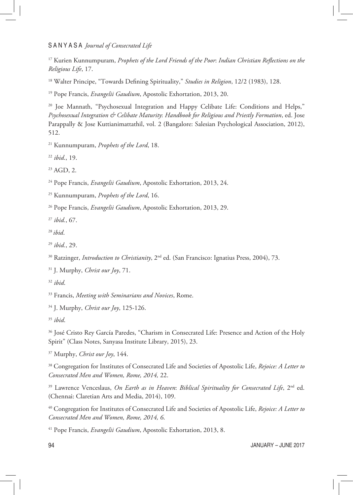17 Kurien Kunnumpuram, *Prophets of the Lord Friends of the Poor*: *Indian Christian Reflections on the Religious Life*, 17.

18 Walter Principe, "Towards Defining Spirituality," *Studies in Religion*, 12/2 (1983), 128.

19 Pope Francis, *Evangelii Gaudium*, Apostolic Exhortation, 2013, 20.

20 Joe Mannath, "Psychosexual Integration and Happy Celibate Life: Conditions and Helps," *Psychosexual Integration & Celibate Maturity*: *Handbook for Religious and Priestly Formation*, ed. Jose Parappally & Jose Kuttianimattathil, vol. 2 (Bangalore: Salesian Psychological Association, 2012), 512.

21 Kunnumpuram, *Prophets of the Lord*, 18.

<sup>22</sup> *ibid*., 19.

 $23$  AGD, 2.

24 Pope Francis, *Evangelii Gaudium*, Apostolic Exhortation, 2013, 24.

25 Kunnumpuram, *Prophets of the Lord*, 16.

26 Pope Francis, *Evangelii Gaudium*, Apostolic Exhortation, 2013, 29.

<sup>27</sup> *ibid.*, 67.

<sup>28</sup>*ibid*.

<sup>29</sup> *ibid.*, 29.

<sup>30</sup> Ratzinger, *Introduction to Christianity*, 2<sup>nd</sup> ed. (San Francisco: Ignatius Press, 2004), 73.

31 J. Murphy, *Christ our Joy*, 71.

<sup>32</sup> *ibid*.

33 Francis, *Meeting with Seminarians and Novices*, Rome.

34 J. Murphy, *Christ our Joy*, 125-126.

<sup>35</sup> *ibid*.

36 José Cristo Rey García Paredes, "Charism in Consecrated Life: Presence and Action of the Holy Spirit" (Class Notes, Sanyasa Institute Library, 2015), 23.

37 Murphy, *Christ our Joy*, 144.

38 Congregation for Institutes of Consecrated Life and Societies of Apostolic Life, *Rejoice: A Letter to Consecrated Men and Women, Rome, 2014,* 22.

39 Lawrence Venceslaus, *On Earth as in Heaven*: *Biblical Spirituality for Consecrated Life*, 2nd ed. (Chennai: Claretian Arts and Media, 2014), 109.

40 Congregation for Institutes of Consecrated Life and Societies of Apostolic Life, *Rejoice: A Letter to Consecrated Men and Women, Rome, 2014, 6*.

41 Pope Francis, *Evangelii Gaudium*, Apostolic Exhortation, 2013, 8.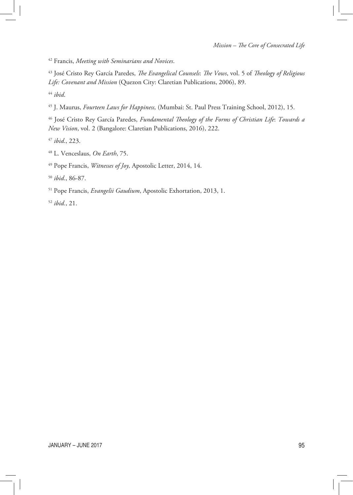42 Francis, *Meeting with Seminarians and Novices*.

43 José Cristo Rey García Paredes, *The Evangelical Counsels*: *The Vows*, vol. 5 of *Theology of Religious Life: Covenant and Mission* (Quezon City: Claretian Publications, 2006), 89. <sup>44</sup> *ibid*.

45 J. Maurus, *Fourteen Laws for Happiness,* (Mumbai: St. Paul Press Training School, 2012), 15.

46 José Cristo Rey García Paredes, *Fundamental Theology of the Forms of Christian Life*: *Towards a New Vision*, vol. 2 (Bangalore: Claretian Publications, 2016), 222.

<sup>47</sup> *ibid*., 223.

48 L. Venceslaus, *On Earth*, 75.

49 Pope Francis, *Witnesses of Joy,* Apostolic Letter, 2014, 14.

<sup>50</sup> *ibid*., 86-87.

51 Pope Francis, *Evangelii Gaudium*, Apostolic Exhortation, 2013, 1.

<sup>52</sup> *ibid.*, 21.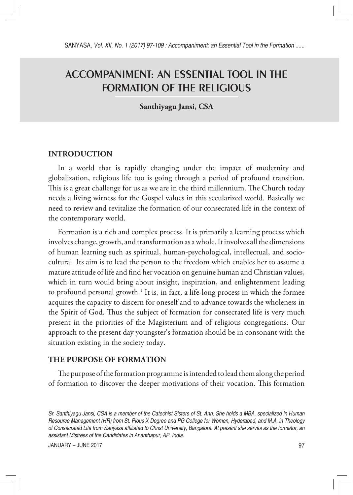# ACCOMPANIMENT: AN ESSENTIAL TOOL IN THE FORMATION OF THE RELIGIOUS

**Santhiyagu Jansi, CSA** 

## **INTRODUCTION**

In a world that is rapidly changing under the impact of modernity and globalization, religious life too is going through a period of profound transition. This is a great challenge for us as we are in the third millennium. The Church today needs a living witness for the Gospel values in this secularized world. Basically we need to review and revitalize the formation of our consecrated life in the context of the contemporary world.

Formation is a rich and complex process. It is primarily a learning process which involves change, growth, and transformation as a whole. It involves all the dimensions of human learning such as spiritual, human-psychological, intellectual, and sociocultural. Its aim is to lead the person to the freedom which enables her to assume a mature attitude of life and find her vocation on genuine human and Christian values, which in turn would bring about insight, inspiration, and enlightenment leading to profound personal growth.<sup>1</sup> It is, in fact, a life-long process in which the formee acquires the capacity to discern for oneself and to advance towards the wholeness in the Spirit of God. Thus the subject of formation for consecrated life is very much present in the priorities of the Magisterium and of religious congregations. Our approach to the present day youngster's formation should be in consonant with the situation existing in the society today.

## **THE PURPOSE OF FORMATION**

The purpose of the formation programme is intended to lead them along the period of formation to discover the deeper motivations of their vocation. This formation

Sr. Santhiyagu Jansi, CSA is a member of the Catechist Sisters of St. Ann. She holds a MBA, specialized in Human Resource Management (HR) from St. Pious X Degree and PG College for Women, Hyderabad, and M.A. in Theology of Consecrated Life from Sanyasa affiliated to Christ University, Bangalore. At present she serves as the formator, an *assistant Mistress of the Candidates in Ananthapur, AP. India.*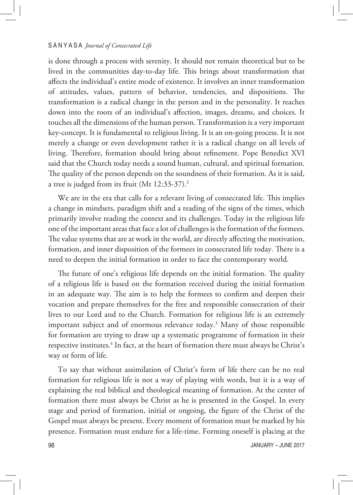is done through a process with serenity. It should not remain theoretical but to be lived in the communities day-to-day life. This brings about transformation that affects the individual's entire mode of existence. It involves an inner transformation of attitudes, values, pattern of behavior, tendencies, and dispositions. The transformation is a radical change in the person and in the personality. It reaches down into the roots of an individual's affection, images, dreams, and choices. It touches all the dimensions of the human person. Transformation is a very important key-concept. It is fundamental to religious living. It is an on-going process. It is not merely a change or even development rather it is a radical change on all levels of living. Therefore, formation should bring about refinement. Pope Benedict XVI said that the Church today needs a sound human, cultural, and spiritual formation. The quality of the person depends on the soundness of their formation. As it is said, a tree is judged from its fruit (Mt 12:33-37).2

We are in the era that calls for a relevant living of consecrated life. This implies a change in mindsets, paradigm shift and a reading of the signs of the times, which primarily involve reading the context and its challenges. Today in the religious life one of the important areas that face a lot of challenges is the formation of the formees. The value systems that are at work in the world, are directly affecting the motivation, formation, and inner disposition of the formees in consecrated life today. There is a need to deepen the initial formation in order to face the contemporary world.

The future of one's religious life depends on the initial formation. The quality of a religious life is based on the formation received during the initial formation in an adequate way. The aim is to help the formees to confirm and deepen their vocation and prepare themselves for the free and responsible consecration of their lives to our Lord and to the Church. Formation for religious life is an extremely important subject and of enormous relevance today.3 Many of those responsible for formation are trying to draw up a systematic programme of formation in their respective institutes.<sup>4</sup> In fact, at the heart of formation there must always be Christ's way or form of life.

To say that without assimilation of Christ's form of life there can be no real formation for religious life is not a way of playing with words, but it is a way of explaining the real biblical and theological meaning of formation. At the center of formation there must always be Christ as he is presented in the Gospel. In every stage and period of formation, initial or ongoing, the figure of the Christ of the Gospel must always be present. Every moment of formation must be marked by his presence. Formation must endure for a life-time. Forming oneself is placing at the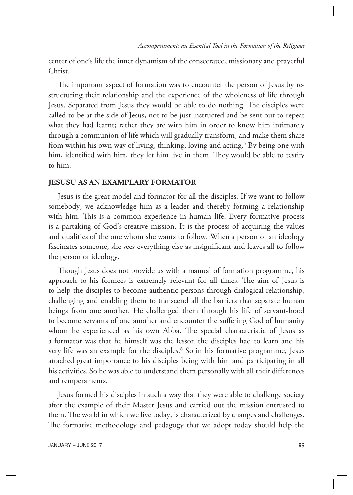center of one's life the inner dynamism of the consecrated, missionary and prayerful Christ.

The important aspect of formation was to encounter the person of Jesus by restructuring their relationship and the experience of the wholeness of life through Jesus. Separated from Jesus they would be able to do nothing. The disciples were called to be at the side of Jesus, not to be just instructed and be sent out to repeat what they had learnt; rather they are with him in order to know him intimately through a communion of life which will gradually transform, and make them share from within his own way of living, thinking, loving and acting.5 By being one with him, identified with him, they let him live in them. They would be able to testify to him.

#### **JESUSU AS AN EXAMPLARY FORMATOR**

Jesus is the great model and formator for all the disciples. If we want to follow somebody, we acknowledge him as a leader and thereby forming a relationship with him. This is a common experience in human life. Every formative process is a partaking of God's creative mission. It is the process of acquiring the values and qualities of the one whom she wants to follow. When a person or an ideology fascinates someone, she sees everything else as insignificant and leaves all to follow the person or ideology.

Though Jesus does not provide us with a manual of formation programme, his approach to his formees is extremely relevant for all times. The aim of Jesus is to help the disciples to become authentic persons through dialogical relationship, challenging and enabling them to transcend all the barriers that separate human beings from one another. He challenged them through his life of servant-hood to become servants of one another and encounter the suffering God of humanity whom he experienced as his own Abba. The special characteristic of Jesus as a formator was that he himself was the lesson the disciples had to learn and his very life was an example for the disciples.<sup>6</sup> So in his formative programme, Jesus attached great importance to his disciples being with him and participating in all his activities. So he was able to understand them personally with all their differences and temperaments.

Jesus formed his disciples in such a way that they were able to challenge society after the example of their Master Jesus and carried out the mission entrusted to them. The world in which we live today, is characterized by changes and challenges. The formative methodology and pedagogy that we adopt today should help the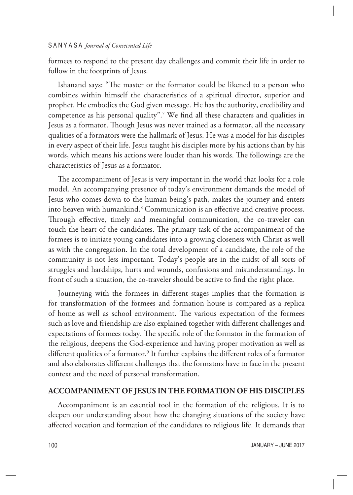formees to respond to the present day challenges and commit their life in order to follow in the footprints of Jesus.

Ishanand says: "The master or the formator could be likened to a person who combines within himself the characteristics of a spiritual director, superior and prophet. He embodies the God given message. He has the authority, credibility and competence as his personal quality".7 We find all these characters and qualities in Jesus as a formator. Though Jesus was never trained as a formator, all the necessary qualities of a formators were the hallmark of Jesus. He was a model for his disciples in every aspect of their life. Jesus taught his disciples more by his actions than by his words, which means his actions were louder than his words. The followings are the characteristics of Jesus as a formator.

The accompaniment of Jesus is very important in the world that looks for a role model. An accompanying presence of today's environment demands the model of Jesus who comes down to the human being's path, makes the journey and enters into heaven with humankind.<sup>8</sup> Communication is an effective and creative process. Through effective, timely and meaningful communication, the co-traveler can touch the heart of the candidates. The primary task of the accompaniment of the formees is to initiate young candidates into a growing closeness with Christ as well as with the congregation. In the total development of a candidate, the role of the community is not less important. Today's people are in the midst of all sorts of struggles and hardships, hurts and wounds, confusions and misunderstandings. In front of such a situation, the co-traveler should be active to find the right place.

Journeying with the formees in different stages implies that the formation is for transformation of the formees and formation house is compared as a replica of home as well as school environment. The various expectation of the formees such as love and friendship are also explained together with different challenges and expectations of formees today. The specific role of the formator in the formation of the religious, deepens the God-experience and having proper motivation as well as different qualities of a formator.<sup>9</sup> It further explains the different roles of a formator and also elaborates different challenges that the formators have to face in the present context and the need of personal transformation.

## **ACCOMPANIMENT OF JESUS IN THE FORMATION OF HIS DISCIPLES**

Accompaniment is an essential tool in the formation of the religious. It is to deepen our understanding about how the changing situations of the society have affected vocation and formation of the candidates to religious life. It demands that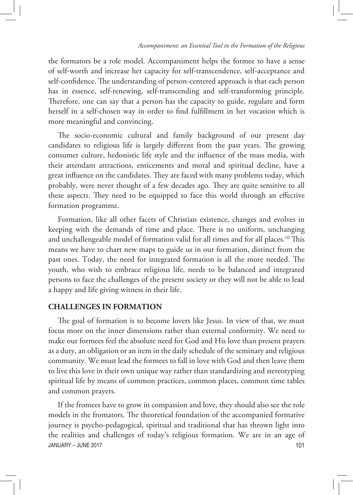the formators be a role model. Accompaniment helps the formee to have a sense of self-worth and increase her capacity for self-transcendence, self-acceptance and self-confidence. The understanding of person-centered approach is that each person has in essence, self-renewing, self-transcending and self-transforming principle. Therefore, one can say that a person has the capacity to guide, regulate and form herself in a self-chosen way in order to find fulfillment in her vocation which is more meaningful and convincing.

The socio-economic cultural and family background of our present day candidates to religious life is largely different from the past years. The growing consumer culture, hedonistic life style and the influence of the mass media, with their attendant attractions, enticements and moral and spiritual decline, have a great influence on the candidates. They are faced with many problems today, which probably, were never thought of a few decades ago. They are quite sensitive to all these aspects. They need to be equipped to face this world through an effective formation programme.

Formation, like all other facets of Christian existence, changes and evolves in keeping with the demands of time and place. There is no uniform, unchanging and unchallengeable model of formation valid for all times and for all places.10 This means we have to chart new maps to guide us in our formation, distinct from the past ones. Today, the need for integrated formation is all the more needed. The youth, who wish to embrace religious life, needs to be balanced and integrated persons to face the challenges of the present society or they will not be able to lead a happy and life giving witness in their life.

#### **CHALLENGES IN FORMATION**

The goal of formation is to become lovers like Jesus. In view of that, we must focus more on the inner dimensions rather than external conformity. We need to make our formees feel the absolute need for God and His love than present prayers as a duty, an obligation or an item in the daily schedule of the seminary and religious community. We must lead the formees to fall in love with God and then leave them to live this love in their own unique way rather than standardizing and stereotyping spiritual life by means of common practices, common places, common time tables and common prayers.

JANUARY – JUNE 2017 **101** If the fromees have to grow in compassion and love, they should also see the role models in the fromators. The theoretical foundation of the accompanied formative journey is psycho-pedagogical, spiritual and traditional that has thrown light into the realities and challenges of today's religious formation. We are in an age of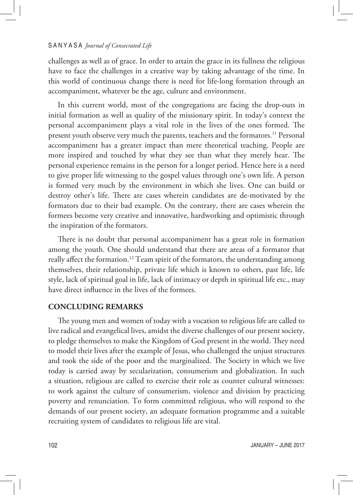challenges as well as of grace. In order to attain the grace in its fullness the religious have to face the challenges in a creative way by taking advantage of the time. In this world of continuous change there is need for life-long formation through an accompaniment, whatever be the age, culture and environment.

In this current world, most of the congregations are facing the drop-outs in initial formation as well as quality of the missionary spirit. In today's context the personal accompaniment plays a vital role in the lives of the ones formed. The present youth observe very much the parents, teachers and the formators.11 Personal accompaniment has a greater impact than mere theoretical teaching. People are more inspired and touched by what they see than what they merely hear. The personal experience remains in the person for a longer period. Hence here is a need to give proper life witnessing to the gospel values through one's own life. A person is formed very much by the environment in which she lives. One can build or destroy other's life. There are cases wherein candidates are de-motivated by the formators due to their bad example. On the contrary, there are cases wherein the formees become very creative and innovative, hardworking and optimistic through the inspiration of the formators.

There is no doubt that personal accompaniment has a great role in formation among the youth. One should understand that there are areas of a formator that really affect the formation.<sup>12</sup> Team spirit of the formators, the understanding among themselves, their relationship, private life which is known to others, past life, life style, lack of spiritual goal in life, lack of intimacy or depth in spiritual life etc., may have direct influence in the lives of the formees.

#### **CONCLUDING REMARKS**

The young men and women of today with a vocation to religious life are called to live radical and evangelical lives, amidst the diverse challenges of our present society, to pledge themselves to make the Kingdom of God present in the world. They need to model their lives after the example of Jesus, who challenged the unjust structures and took the side of the poor and the marginalized. The Society in which we live today is carried away by secularization, consumerism and globalization. In such a situation, religious are called to exercise their role as counter cultural witnesses: to work against the culture of consumerism, violence and division by practicing poverty and renunciation. To form committed religious, who will respond to the demands of our present society, an adequate formation programme and a suitable recruiting system of candidates to religious life are vital.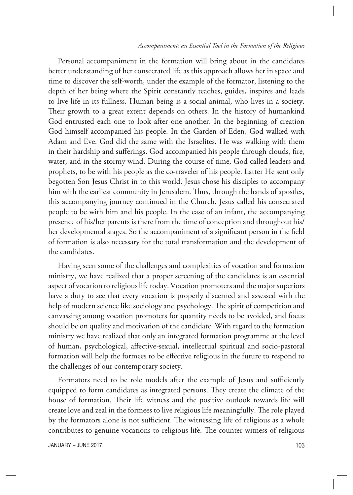Personal accompaniment in the formation will bring about in the candidates better understanding of her consecrated life as this approach allows her in space and time to discover the self-worth, under the example of the formator, listening to the depth of her being where the Spirit constantly teaches, guides, inspires and leads to live life in its fullness. Human being is a social animal, who lives in a society. Their growth to a great extent depends on others. In the history of humankind God entrusted each one to look after one another. In the beginning of creation God himself accompanied his people. In the Garden of Eden, God walked with Adam and Eve. God did the same with the Israelites. He was walking with them in their hardship and sufferings. God accompanied his people through clouds, fire, water, and in the stormy wind. During the course of time, God called leaders and prophets, to be with his people as the co-traveler of his people. Latter He sent only begotten Son Jesus Christ in to this world. Jesus chose his disciples to accompany him with the earliest community in Jerusalem. Thus, through the hands of apostles, this accompanying journey continued in the Church. Jesus called his consecrated people to be with him and his people. In the case of an infant, the accompanying presence of his/her parents is there from the time of conception and throughout his/ her developmental stages. So the accompaniment of a significant person in the field of formation is also necessary for the total transformation and the development of the candidates.

Having seen some of the challenges and complexities of vocation and formation ministry, we have realized that a proper screening of the candidates is an essential aspect of vocation to religious life today. Vocation promoters and the major superiors have a duty to see that every vocation is properly discerned and assessed with the help of modern science like sociology and psychology. The spirit of competition and canvassing among vocation promoters for quantity needs to be avoided, and focus should be on quality and motivation of the candidate. With regard to the formation ministry we have realized that only an integrated formation programme at the level of human, psychological, affective-sexual, intellectual spiritual and socio-pastoral formation will help the formees to be effective religious in the future to respond to the challenges of our contemporary society.

Formators need to be role models after the example of Jesus and sufficiently equipped to form candidates as integrated persons. They create the climate of the house of formation. Their life witness and the positive outlook towards life will create love and zeal in the formees to live religious life meaningfully. The role played by the formators alone is not sufficient. The witnessing life of religious as a whole contributes to genuine vocations to religious life. The counter witness of religious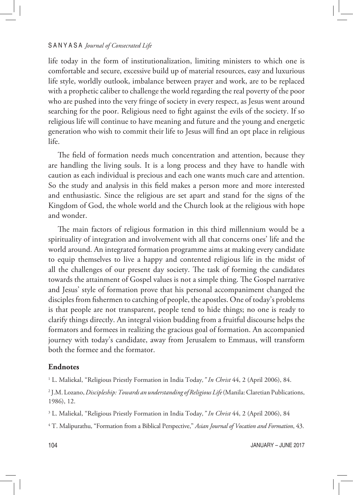life today in the form of institutionalization, limiting ministers to which one is comfortable and secure, excessive build up of material resources, easy and luxurious life style, worldly outlook, imbalance between prayer and work, are to be replaced with a prophetic caliber to challenge the world regarding the real poverty of the poor who are pushed into the very fringe of society in every respect, as Jesus went around searching for the poor. Religious need to fight against the evils of the society. If so religious life will continue to have meaning and future and the young and energetic generation who wish to commit their life to Jesus will find an opt place in religious life.

The field of formation needs much concentration and attention, because they are handling the living souls. It is a long process and they have to handle with caution as each individual is precious and each one wants much care and attention. So the study and analysis in this field makes a person more and more interested and enthusiastic. Since the religious are set apart and stand for the signs of the Kingdom of God, the whole world and the Church look at the religious with hope and wonder.

The main factors of religious formation in this third millennium would be a spirituality of integration and involvement with all that concerns ones' life and the world around. An integrated formation programme aims at making every candidate to equip themselves to live a happy and contented religious life in the midst of all the challenges of our present day society. The task of forming the candidates towards the attainment of Gospel values is not a simple thing. The Gospel narrative and Jesus' style of formation prove that his personal accompaniment changed the disciples from fishermen to catching of people, the apostles. One of today's problems is that people are not transparent, people tend to hide things; no one is ready to clarify things directly. An integral vision budding from a fruitful discourse helps the formators and formees in realizing the gracious goal of formation. An accompanied journey with today's candidate, away from Jerusalem to Emmaus, will transform both the formee and the formator.

#### **Endnotes**

1 L. Maliekal, "Religious Priestly Formation in India Today*," In Christ* 44, 2 (April 2006), 84.

2 J.M. Lozano, *Discipleship: Towards an understanding of Religious Life* (Manila: Claretian Publications, 1986), 12.

3 L. Maliekal, "Religious Priestly Formation in India Today*," In Christ* 44, 2 (April 2006), 84

4 T. Malipurathu, "Formation from a Biblical Perspective," *Asian Journal of Vocation and Formation*, 43.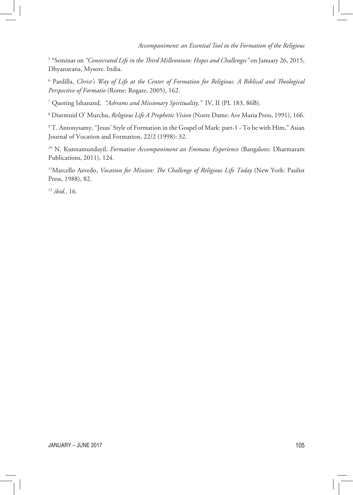5 \*Seminar on *"Consecrated Life in the Third Millennium: Hopes and Challenges"* on January 26, 2015, Dhyanavana, Mysore. India.

6 Pardilla, *Christ's Way of Life at the Center of Formation for Religious: A Biblical and Theological Perspective of Formatio* (Rome: Rogate, 2005), 162.

7 Quoting Ishanand, *"Ashrams and Missionary Spirituality,"* IV, II (PL 183, 86B).

8 Diarmuid O' Murchu, *Religious Life A Prophetic Vision* (Notre Dame: Ave Maria Press, 1991), 166.

9 T. Antonysamy, "Jesus' Style of Formation in the Gospel of Mark: part-1 - To be with Him," Asian Journal of Vocation and Formation, 22/2 (1998): 32.

10 N. Kunnamundayil, *Formative Accompaniment an Emmaus Experience* (Bangalore: Dharmaram Publications, 2011), 124.

<sup>11</sup>Marcello Azvedo, *Vocation for Mission: The Challenge of Religious Life Today* (New York: Paulist Press, 1988), 82.

<sup>12</sup> *ibid.,* 16.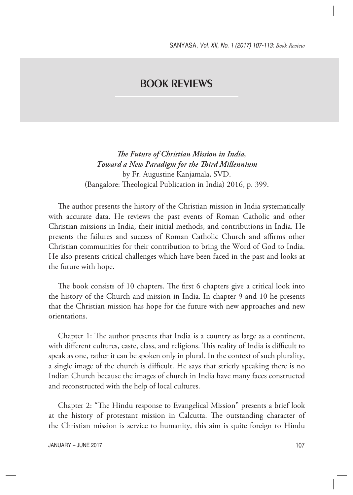# BOOK REVIEWS

*The Future of Christian Mission in India, Toward a New Paradigm for the Third Millennium* by Fr. Augustine Kanjamala, SVD. (Bangalore: Theological Publication in India) 2016, p. 399.

The author presents the history of the Christian mission in India systematically with accurate data. He reviews the past events of Roman Catholic and other Christian missions in India, their initial methods, and contributions in India. He presents the failures and success of Roman Catholic Church and affirms other Christian communities for their contribution to bring the Word of God to India. He also presents critical challenges which have been faced in the past and looks at the future with hope.

The book consists of 10 chapters. The first 6 chapters give a critical look into the history of the Church and mission in India. In chapter 9 and 10 he presents that the Christian mission has hope for the future with new approaches and new orientations.

Chapter 1: The author presents that India is a country as large as a continent, with different cultures, caste, class, and religions. This reality of India is difficult to speak as one, rather it can be spoken only in plural. In the context of such plurality, a single image of the church is difficult. He says that strictly speaking there is no Indian Church because the images of church in India have many faces constructed and reconstructed with the help of local cultures.

Chapter 2: "The Hindu response to Evangelical Mission" presents a brief look at the history of protestant mission in Calcutta. The outstanding character of the Christian mission is service to humanity, this aim is quite foreign to Hindu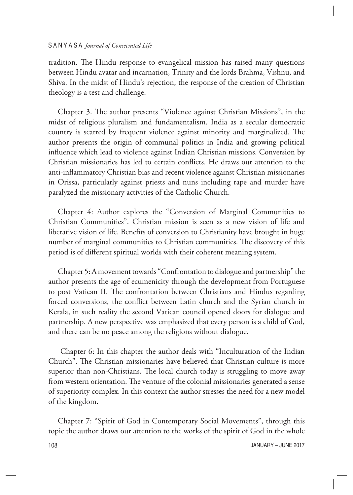#### S ANYA S A *Journal of Consecrated Life*

tradition. The Hindu response to evangelical mission has raised many questions between Hindu avatar and incarnation, Trinity and the lords Brahma, Vishnu, and Shiva. In the midst of Hindu's rejection, the response of the creation of Christian theology is a test and challenge.

Chapter 3. The author presents "Violence against Christian Missions", in the midst of religious pluralism and fundamentalism. India as a secular democratic country is scarred by frequent violence against minority and marginalized. The author presents the origin of communal politics in India and growing political influence which lead to violence against Indian Christian missions. Conversion by Christian missionaries has led to certain conflicts. He draws our attention to the anti-inflammatory Christian bias and recent violence against Christian missionaries in Orissa, particularly against priests and nuns including rape and murder have paralyzed the missionary activities of the Catholic Church.

Chapter 4: Author explores the "Conversion of Marginal Communities to Christian Communities". Christian mission is seen as a new vision of life and liberative vision of life. Benefits of conversion to Christianity have brought in huge number of marginal communities to Christian communities. The discovery of this period is of different spiritual worlds with their coherent meaning system.

Chapter 5: A movement towards "Confrontation to dialogue and partnership" the author presents the age of ecumenicity through the development from Portuguese to post Vatican II. The confrontation between Christians and Hindus regarding forced conversions, the conflict between Latin church and the Syrian church in Kerala, in such reality the second Vatican council opened doors for dialogue and partnership. A new perspective was emphasized that every person is a child of God, and there can be no peace among the religions without dialogue.

 Chapter 6: In this chapter the author deals with "Inculturation of the Indian Church". The Christian missionaries have believed that Christian culture is more superior than non-Christians. The local church today is struggling to move away from western orientation. The venture of the colonial missionaries generated a sense of superiority complex. In this context the author stresses the need for a new model of the kingdom.

Chapter 7: "Spirit of God in Contemporary Social Movements", through this topic the author draws our attention to the works of the spirit of God in the whole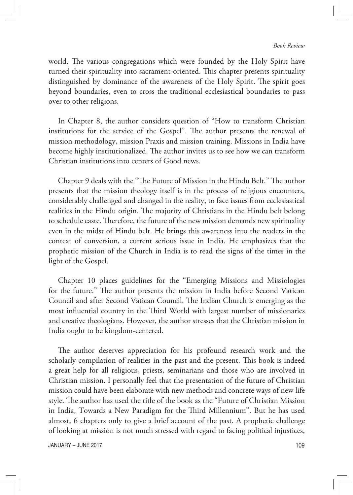world. The various congregations which were founded by the Holy Spirit have turned their spirituality into sacrament-oriented. This chapter presents spirituality distinguished by dominance of the awareness of the Holy Spirit. The spirit goes beyond boundaries, even to cross the traditional ecclesiastical boundaries to pass over to other religions.

In Chapter 8, the author considers question of "How to transform Christian institutions for the service of the Gospel". The author presents the renewal of mission methodology, mission Praxis and mission training. Missions in India have become highly institutionalized. The author invites us to see how we can transform Christian institutions into centers of Good news.

Chapter 9 deals with the "The Future of Mission in the Hindu Belt." The author presents that the mission theology itself is in the process of religious encounters, considerably challenged and changed in the reality, to face issues from ecclesiastical realities in the Hindu origin. The majority of Christians in the Hindu belt belong to schedule caste. Therefore, the future of the new mission demands new spirituality even in the midst of Hindu belt. He brings this awareness into the readers in the context of conversion, a current serious issue in India. He emphasizes that the prophetic mission of the Church in India is to read the signs of the times in the light of the Gospel.

Chapter 10 places guidelines for the "Emerging Missions and Missiologies for the future." The author presents the mission in India before Second Vatican Council and after Second Vatican Council. The Indian Church is emerging as the most influential country in the Third World with largest number of missionaries and creative theologians. However, the author stresses that the Christian mission in India ought to be kingdom-centered.

The author deserves appreciation for his profound research work and the scholarly compilation of realities in the past and the present. This book is indeed a great help for all religious, priests, seminarians and those who are involved in Christian mission. I personally feel that the presentation of the future of Christian mission could have been elaborate with new methods and concrete ways of new life style. The author has used the title of the book as the "Future of Christian Mission in India, Towards a New Paradigm for the Third Millennium". But he has used almost, 6 chapters only to give a brief account of the past. A prophetic challenge of looking at mission is not much stressed with regard to facing political injustices,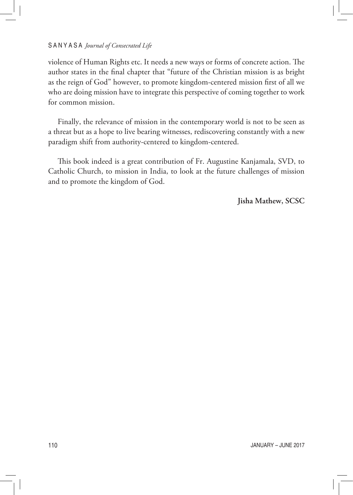#### S ANYA S A *Journal of Consecrated Life*

violence of Human Rights etc. It needs a new ways or forms of concrete action. The author states in the final chapter that "future of the Christian mission is as bright as the reign of God" however, to promote kingdom-centered mission first of all we who are doing mission have to integrate this perspective of coming together to work for common mission.

Finally, the relevance of mission in the contemporary world is not to be seen as a threat but as a hope to live bearing witnesses, rediscovering constantly with a new paradigm shift from authority-centered to kingdom-centered.

This book indeed is a great contribution of Fr. Augustine Kanjamala, SVD, to Catholic Church, to mission in India, to look at the future challenges of mission and to promote the kingdom of God.

**Jisha Mathew, SCSC**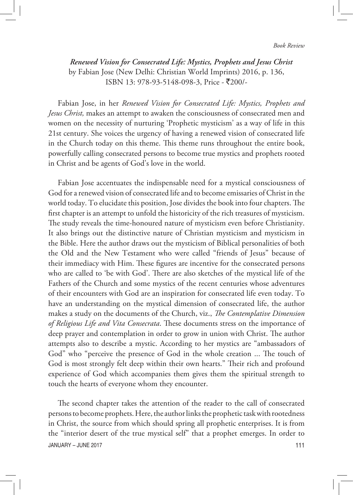*Renewed Vision for Consecrated Life: Mystics, Prophets and Jesus Christ* by Fabian Jose (New Delhi: Christian World Imprints) 2016, p. 136, ISBN 13: 978-93-5148-098-3, Price - `200/-

Fabian Jose, in her *Renewed Vision for Consecrated Life: Mystics, Prophets and Jesus Christ,* makes an attempt to awaken the consciousness of consecrated men and women on the necessity of nurturing 'Prophetic mysticism' as a way of life in this 21st century. She voices the urgency of having a renewed vision of consecrated life in the Church today on this theme. This theme runs throughout the entire book, powerfully calling consecrated persons to become true mystics and prophets rooted in Christ and be agents of God's love in the world.

Fabian Jose accentuates the indispensable need for a mystical consciousness of God for a renewed vision of consecrated life and to become emissaries of Christ in the world today. To elucidate this position, Jose divides the book into four chapters. The first chapter is an attempt to unfold the historicity of the rich treasures of mysticism. The study reveals the time-honoured nature of mysticism even before Christianity. It also brings out the distinctive nature of Christian mysticism and mysticism in the Bible. Here the author draws out the mysticism of Biblical personalities of both the Old and the New Testament who were called "friends of Jesus" because of their immediacy with Him. These figures are incentive for the consecrated persons who are called to 'be with God'. There are also sketches of the mystical life of the Fathers of the Church and some mystics of the recent centuries whose adventures of their encounters with God are an inspiration for consecrated life even today. To have an understanding on the mystical dimension of consecrated life, the author makes a study on the documents of the Church, viz., *The Contemplative Dimension of Religious Life and Vita Consecrata*. These documents stress on the importance of deep prayer and contemplation in order to grow in union with Christ. The author attempts also to describe a mystic. According to her mystics are "ambassadors of God" who "perceive the presence of God in the whole creation ... The touch of God is most strongly felt deep within their own hearts." Their rich and profound experience of God which accompanies them gives them the spiritual strength to touch the hearts of everyone whom they encounter.

JANUARY – JUNE 2017 **111** The second chapter takes the attention of the reader to the call of consecrated persons to become prophets. Here, the author links the prophetic task with rootedness in Christ, the source from which should spring all prophetic enterprises. It is from the "interior desert of the true mystical self" that a prophet emerges. In order to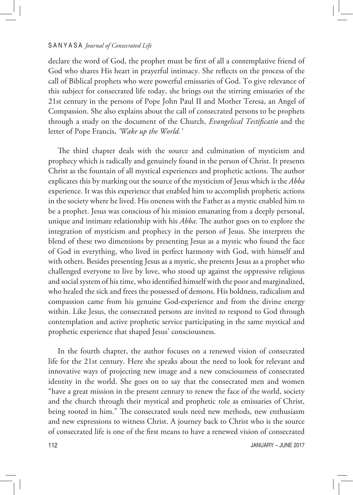#### S ANYA S A *Journal of Consecrated Life*

declare the word of God, the prophet must be first of all a contemplative friend of God who shares His heart in prayerful intimacy. She reflects on the process of the call of Biblical prophets who were powerful emissaries of God. To give relevance of this subject for consecrated life today, she brings out the stirring emissaries of the 21st century in the persons of Pope John Paul II and Mother Teresa, an Angel of Compassion. She also explains about the call of consecrated persons to be prophets through a study on the document of the Church, *Evangelical Testificatio* and the letter of Pope Francis, *'Wake up the World.'*

The third chapter deals with the source and culmination of mysticism and prophecy which is radically and genuinely found in the person of Christ. It presents Christ as the fountain of all mystical experiences and prophetic actions. The author explicates this by marking out the source of the mysticism of Jesus which is the *Abba* experience. It was this experience that enabled him to accomplish prophetic actions in the society where he lived. His oneness with the Father as a mystic enabled him to be a prophet. Jesus was conscious of his mission emanating from a deeply personal, unique and intimate relationship with his *Abba*. The author goes on to explore the integration of mysticism and prophecy in the person of Jesus. She interprets the blend of these two dimensions by presenting Jesus as a mystic who found the face of God in everything, who lived in perfect harmony with God, with himself and with others. Besides presenting Jesus as a mystic, she presents Jesus as a prophet who challenged everyone to live by love, who stood up against the oppressive religious and social system of his time, who identified himself with the poor and marginalized, who healed the sick and frees the possessed of demons. His boldness, radicalism and compassion came from his genuine God-experience and from the divine energy within. Like Jesus, the consecrated persons are invited to respond to God through contemplation and active prophetic service participating in the same mystical and prophetic experience that shaped Jesus' consciousness.

In the fourth chapter, the author focuses on a renewed vision of consecrated life for the 21st century. Here she speaks about the need to look for relevant and innovative ways of projecting new image and a new consciousness of consecrated identity in the world. She goes on to say that the consecrated men and women "have a great mission in the present century to renew the face of the world, society and the church through their mystical and prophetic role as emissaries of Christ, being rooted in him." The consecrated souls need new methods, new enthusiasm and new expressions to witness Christ. A journey back to Christ who is the source of consecrated life is one of the first means to have a renewed vision of consecrated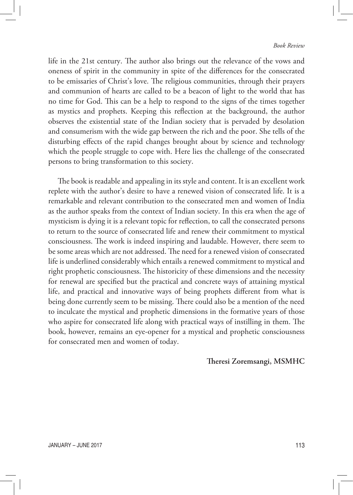life in the 21st century. The author also brings out the relevance of the vows and oneness of spirit in the community in spite of the differences for the consecrated to be emissaries of Christ's love. The religious communities, through their prayers and communion of hearts are called to be a beacon of light to the world that has no time for God. This can be a help to respond to the signs of the times together as mystics and prophets. Keeping this reflection at the background, the author observes the existential state of the Indian society that is pervaded by desolation and consumerism with the wide gap between the rich and the poor. She tells of the disturbing effects of the rapid changes brought about by science and technology which the people struggle to cope with. Here lies the challenge of the consecrated persons to bring transformation to this society.

The book is readable and appealing in its style and content. It is an excellent work replete with the author's desire to have a renewed vision of consecrated life. It is a remarkable and relevant contribution to the consecrated men and women of India as the author speaks from the context of Indian society. In this era when the age of mysticism is dying it is a relevant topic for reflection, to call the consecrated persons to return to the source of consecrated life and renew their commitment to mystical consciousness. The work is indeed inspiring and laudable. However, there seem to be some areas which are not addressed. The need for a renewed vision of consecrated life is underlined considerably which entails a renewed commitment to mystical and right prophetic consciousness. The historicity of these dimensions and the necessity for renewal are specified but the practical and concrete ways of attaining mystical life, and practical and innovative ways of being prophets different from what is being done currently seem to be missing. There could also be a mention of the need to inculcate the mystical and prophetic dimensions in the formative years of those who aspire for consecrated life along with practical ways of instilling in them. The book, however, remains an eye-opener for a mystical and prophetic consciousness for consecrated men and women of today.

#### **Theresi Zoremsangi, MSMHC**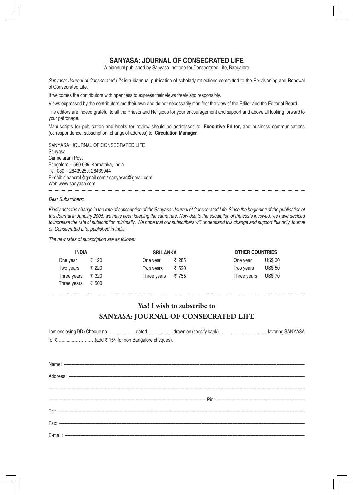#### **Sanyasa: Journal of Consecrated Life**

A biannual published by Sanyasa Institute for Consecrated Life, Bangalore

Sanyasa: Journal of Consecrated Life is a biannual publication of scholarly reflections committed to the Re-visioning and Renewal of Consecrated Life.

It welcomes the contributors with openness to express their views freely and responsibly.

Views expressed by the contributors are their own and do not necessarily manifest the view of the Editor and the Editorial Board.

The editors are indeed grateful to all the Priests and Religious for your encouragement and support and above all looking forward to your patronage.

Manuscripts for publication and books for review should be addressed to: **Executive Editor,** and business communications (correspondence, subscription, change of address) to: **Circulation Manager**

SANYASA: JOURNAL OF CONSECRATED LIFE

Sanyasa Carmelaram Post Bangalore – 560 035, Karnataka, India Tel: 080 – 28439259; 28439944 E-mail: sjbancmf@gmail.com / sanyasac@gmail.com Web:www.sanyasa.com

Dear Subscribers:

Kindly note the change in the rate of subscription of the Sanyasa: Journal of Consecrated Life. Since the beginning of the publication of this Journal in January 2006, we have been keeping the same rate. Now due to the escalation of the costs involved, we have decided to increase the rate of subscription minimally. We hope that our subscribers will understand this change and support this only Journal *on Consecrated Life, published in India.*

The new rates of subscription are as follows:

- - - - - - - - -

| <b>INDIA</b>                   |       | <b>SRI LANKA</b>               |       | <b>OTHER COUNTRIES</b> |               |
|--------------------------------|-------|--------------------------------|-------|------------------------|---------------|
| One vear                       | ₹ 120 | One vear                       | ₹ 285 | One year               | <b>US\$30</b> |
| Two years                      | ₹ 220 | Two vears                      | ₹ 520 | Two years              | <b>US\$50</b> |
| Three years $\overline{z}$ 320 |       | Three years $\overline{z}$ 755 |       | Three years            | <b>US\$70</b> |
| Three years $\overline{5}$ 500 |       |                                |       |                        |               |

### **Yes! I wish to subscribe to Sanyasa: Journal of Consecrated Life**

I am enclosing DD / Cheque no….................…dated….............…..drawn on (specify bank)………………............……favoring SANYASA for  $\bar{\tau}$  .............................(add  $\bar{\tau}$  15/- for non Bangalore cheques).

Name: –––––––––––––––––––––––––––––––––––––––––––––––––––––––––––––––––––––––––––––––––––––––––––––– Address: –––––––––––––––––––––––––––––––––––––––––––––––––––––––––––––––––––––––––––––––––––––––––––– –––––––––––––––––––––––––––––––––––––––––––––––––––––––––––––––––––––––––––––––––––––––––––––––––––– ––––––––––––––––––––––––––––––––––––––––––––––––––––––––––––– Pin:––––––––––––––––––––––––––––––––––– Tel: –––––––––––––––––––––––––––––––––––––––––––––––––––––––––––––––––––––––––––––––––––––––––––––––– Fax: ––––––––––––––––––––––––––––––––––––––––––––––––––––––––––––––––––––––––––––––––––––––––––––––– E-mail: –––––––––––––––––––––––––––––––––––––––––––––––––––––––––––––––––––––––––––––––––––––––––––––